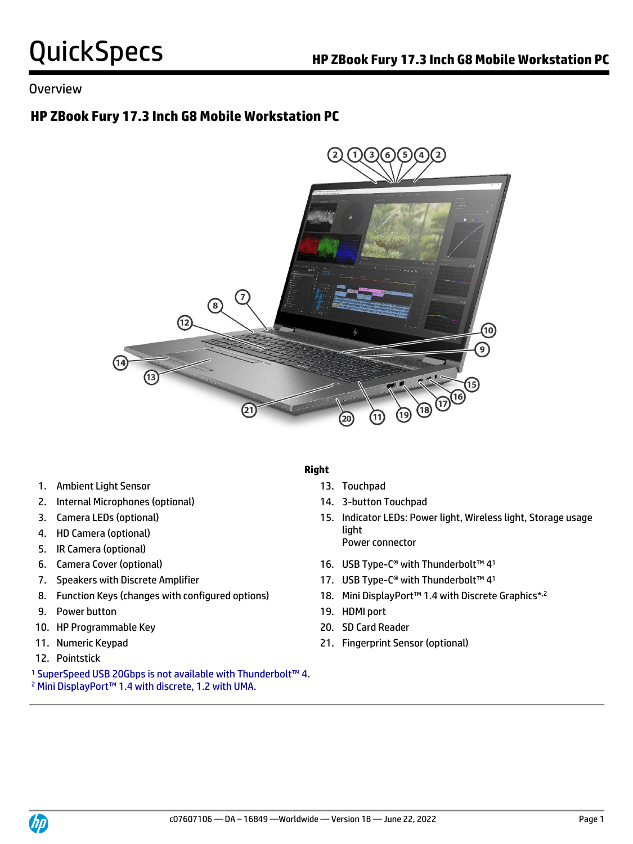## Overview

# **HP ZBook Fury 17.3 Inch G8 Mobile Workstation PC**



- 1. Ambient Light Sensor 13. Touchpad
- 2. Internal Microphones (optional) 14. 3-button Touchpad
- 
- 4. HD Camera (optional)
- 5. IR Camera (optional)
- 
- 
- 8. Function Keys (changes with configured options)
- 9. Power button 19. HDMI port
- 10. HP Programmable Key 20. SD Card Reader
- 
- 12. Pointstick
- <sup>1</sup> SuperSpeed USB 20Gbps is not available with Thunderbolt™ 4.
- <sup>2</sup> Mini DisplayPort™ 1.4 with discrete, 1.2 with UMA.

### **Right**

- 
- 
- 3. Camera LEDs (optional) 15. Indicator LEDs: Power light, Wireless light, Storage usage light Power connector
- 6. Camera Cover (optional) 16. USB Type-C® with Thunderbolt™ 4 1
- 7. Speakers with Discrete Amplifier 17. USB Type-C® with Thunderbolt™ 41
	- 18. Mini DisplayPort<sup>™</sup> 1.4 with Discrete Graphics<sup>\*,2</sup>
	-
	-
- 11. Numeric Keypad 21. Fingerprint Sensor (optional)

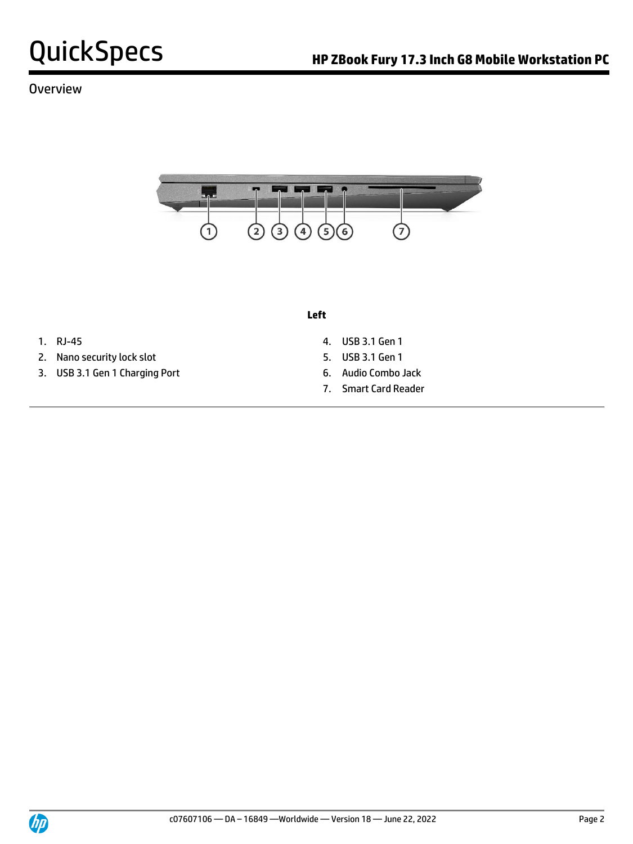

## **Overview**



#### **Left**

- 
- 2. Nano security lock slot 5. USB 3.1 Gen 1
- 3. USB 3.1 Gen 1 Charging Port 6. Audio Combo Jack
- 1. RJ-45 4. USB 3.1 Gen 1
	-
	-
	- 7. Smart Card Reader

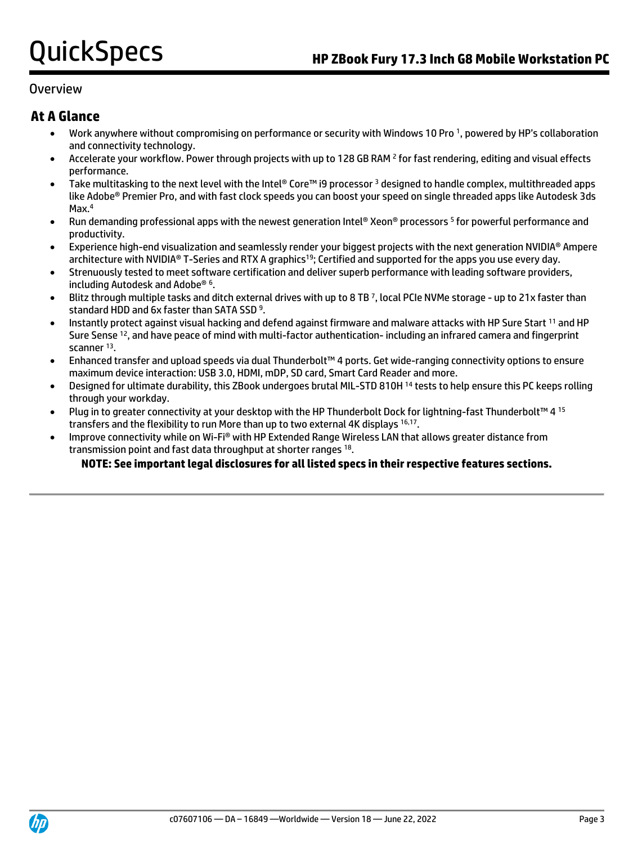## Overview

## **At A Glance**

- Work anywhere without compromising on performance or security with Windows 10 Pro <sup>1</sup> , powered by HP's collaboration and connectivity technology.
- Accelerate your workflow. Power through projects with up to 128 GB RAM <sup>2</sup> for fast rendering, editing and visual effects performance.
- Take multitasking to the next level with the Intel® Core™ i9 processor <sup>3</sup> designed to handle complex, multithreaded apps like Adobe® Premier Pro, and with fast clock speeds you can boost your speed on single threaded apps like Autodesk 3ds Max.<sup>4</sup>
- Run demanding professional apps with the newest generation Intel® Xeon® processors <sup>5</sup> for powerful performance and productivity.
- Experience high-end visualization and seamlessly render your biggest projects with the next generation NVIDIA® Ampere architecture with NVIDIA® T-Series and RTX A graphics<sup>19</sup>; Certified and supported for the apps you use every day.
- Strenuously tested to meet software certification and deliver superb performance with leading software providers, including Autodesk and Adobe® <sup>6</sup> .
- Blitz through multiple tasks and ditch external drives with up to 8 TB <sup>7</sup> , local PCIe NVMe storage up to 21x faster than standard HDD and 6x faster than SATA SSD<sup>9</sup>.
- Instantly protect against visual hacking and defend against firmware and malware attacks with HP Sure Start <sup>11</sup> and HP Sure Sense <sup>12</sup>, and have peace of mind with multi-factor authentication- including an infrared camera and fingerprint scanner <sup>13</sup>.
- Enhanced transfer and upload speeds via dual Thunderbolt™ 4 ports. Get wide-ranging connectivity options to ensure maximum device interaction: USB 3.0, HDMI, mDP, SD card, Smart Card Reader and more.
- Designed for ultimate durability, this ZBook undergoes brutal MIL-STD 810H <sup>14</sup> tests to help ensure this PC keeps rolling through your workday.
- Plug in to greater connectivity at your desktop with the HP Thunderbolt Dock for lightning-fast Thunderbolt™ 4 15 transfers and the flexibility to run More than up to two external 4K displays 16,17.
- Improve connectivity while on Wi-Fi® with HP Extended Range Wireless LAN that allows greater distance from transmission point and fast data throughput at shorter ranges 18.

### **NOTE: See important legal disclosures for all listed specs in their respective features sections.**

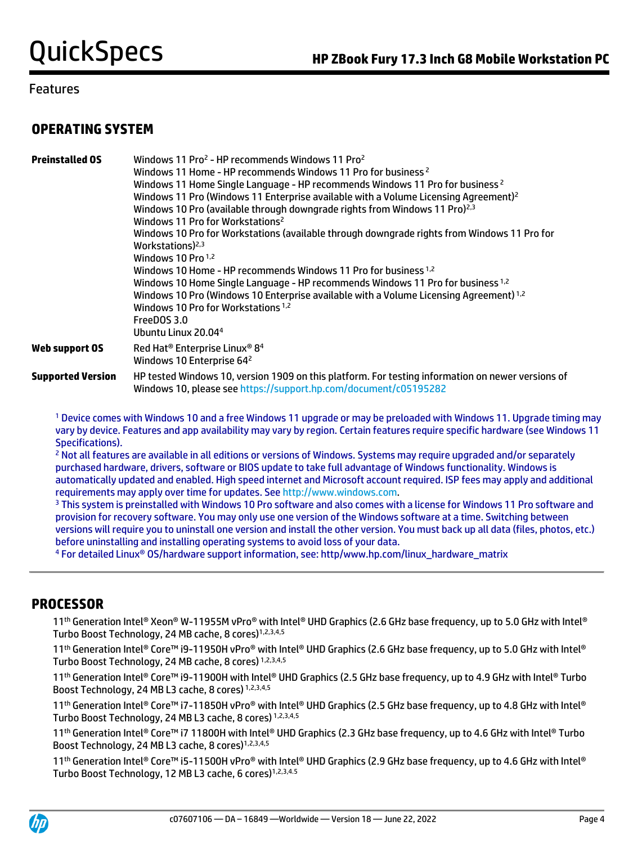## **OPERATING SYSTEM**

| <b>Preinstalled OS</b>   | Windows 11 Pro <sup>2</sup> - HP recommends Windows 11 Pro <sup>2</sup><br>Windows 11 Home - HP recommends Windows 11 Pro for business <sup>2</sup><br>Windows 11 Home Single Language - HP recommends Windows 11 Pro for business <sup>2</sup><br>Windows 11 Pro (Windows 11 Enterprise available with a Volume Licensing Agreement) <sup>2</sup><br>Windows 10 Pro (available through downgrade rights from Windows 11 Pro) <sup>2,3</sup><br>Windows 11 Pro for Workstations <sup>2</sup><br>Windows 10 Pro for Workstations (available through downgrade rights from Windows 11 Pro for<br>Workstations) <sup>2,3</sup><br>Windows 10 Pro $1,2$<br>Windows 10 Home - HP recommends Windows 11 Pro for business <sup>1,2</sup><br>Windows 10 Home Single Language - HP recommends Windows 11 Pro for business 1,2<br>Windows 10 Pro (Windows 10 Enterprise available with a Volume Licensing Agreement) <sup>1,2</sup><br>Windows 10 Pro for Workstations <sup>1,2</sup><br>FreeDOS 3.0<br>Ubuntu Linux 20.04 <sup>4</sup> |
|--------------------------|-------------------------------------------------------------------------------------------------------------------------------------------------------------------------------------------------------------------------------------------------------------------------------------------------------------------------------------------------------------------------------------------------------------------------------------------------------------------------------------------------------------------------------------------------------------------------------------------------------------------------------------------------------------------------------------------------------------------------------------------------------------------------------------------------------------------------------------------------------------------------------------------------------------------------------------------------------------------------------------------------------------------------------|
| Web support OS           | Red Hat <sup>®</sup> Enterprise Linux <sup>®</sup> 8 <sup>4</sup><br>Windows 10 Enterprise 64 <sup>2</sup>                                                                                                                                                                                                                                                                                                                                                                                                                                                                                                                                                                                                                                                                                                                                                                                                                                                                                                                    |
| <b>Supported Version</b> | HP tested Windows 10, version 1909 on this platform. For testing information on newer versions of<br>Windows 10, please see https://support.hp.com/document/c05195282                                                                                                                                                                                                                                                                                                                                                                                                                                                                                                                                                                                                                                                                                                                                                                                                                                                         |

<sup>1</sup> Device comes with Windows 10 and a free Windows 11 upgrade or may be preloaded with Windows 11. Upgrade timing may vary by device. Features and app availability may vary by region. Certain features require specific hardware (see Windows 11 Specifications).

<sup>2</sup> Not all features are available in all editions or versions of Windows. Systems may require upgraded and/or separately purchased hardware, drivers, software or BIOS update to take full advantage of Windows functionality. Windows is automatically updated and enabled. High speed internet and Microsoft account required. ISP fees may apply and additional requirements may apply over time for updates. Se[e http://www.windows.com.](http://www.windows.com/)

<sup>3</sup> This system is preinstalled with Windows 10 Pro software and also comes with a license for Windows 11 Pro software and provision for recovery software. You may only use one version of the Windows software at a time. Switching between versions will require you to uninstall one version and install the other version. You must back up all data (files, photos, etc.) before uninstalling and installing operating systems to avoid loss of your data.

<sup>4</sup> For detailed Linux® OS/hardware support information, see: http/www.hp.com/linux\_hardware\_matrix

## **PROCESSOR**

11 th Generation Intel® Xeon® W-11955M vPro® with Intel® UHD Graphics (2.6 GHz base frequency, up to 5.0 GHz with Intel® Turbo Boost Technology, 24 MB cache, 8 cores)<sup>1,2,3,4,5</sup>

11<sup>th</sup> Generation Intel® Core™ i9-11950H vPro® with Intel® UHD Graphics (2.6 GHz base frequency, up to 5.0 GHz with Intel® Turbo Boost Technology, 24 MB cache, 8 cores) 1,2,3,4,5

11th Generation Intel® Core™ i9-11900H with Intel® UHD Graphics (2.5 GHz base frequency, up to 4.9 GHz with Intel® Turbo Boost Technology, 24 MB L3 cache, 8 cores) 1,2,3,4,5

11th Generation Intel® Core™ i7-11850H vPro® with Intel® UHD Graphics (2.5 GHz base frequency, up to 4.8 GHz with Intel® Turbo Boost Technology, 24 MB L3 cache, 8 cores) 1,2,3,4,5

11th Generation Intel® Core™ i7 11800H with Intel® UHD Graphics (2.3 GHz base frequency, up to 4.6 GHz with Intel® Turbo Boost Technology, 24 MB L3 cache. 8 cores)<sup>1,2,3,4,5</sup>

11<sup>th</sup> Generation Intel® Core™ i5-11500H vPro® with Intel® UHD Graphics (2.9 GHz base frequency, up to 4.6 GHz with Intel® Turbo Boost Technology, 12 MB L3 cache, 6 cores)<sup>1,2,3,4.5</sup>

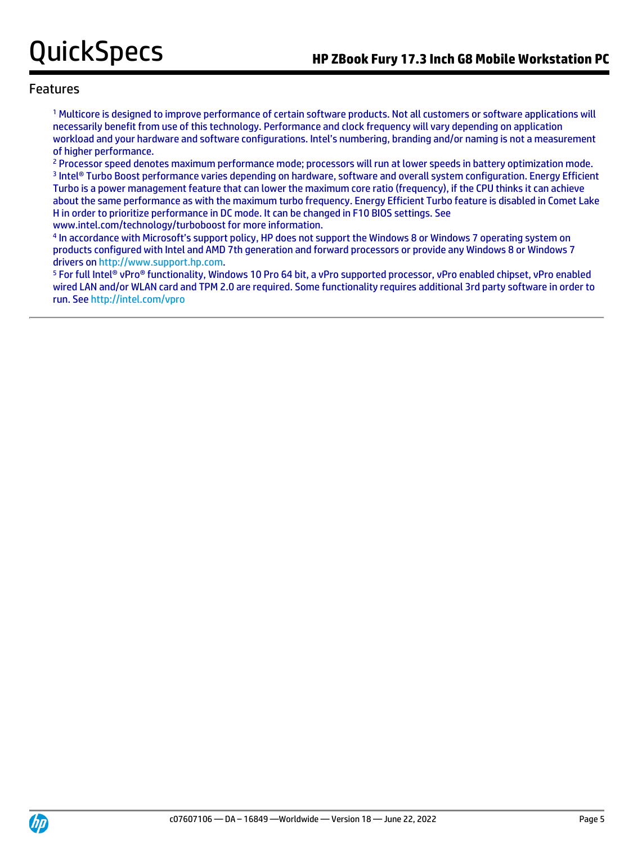<sup>1</sup> Multicore is designed to improve performance of certain software products. Not all customers or software applications will necessarily benefit from use of this technology. Performance and clock frequency will vary depending on application workload and your hardware and software configurations. Intel's numbering, branding and/or naming is not a measurement of higher performance.

<sup>2</sup> Processor speed denotes maximum performance mode; processors will run at lower speeds in battery optimization mode. 3 Intel® Turbo Boost performance varies depending on hardware, software and overall system configuration. Energy Efficient Turbo is a power management feature that can lower the maximum core ratio (frequency), if the CPU thinks it can achieve about the same performance as with the maximum turbo frequency. Energy Efficient Turbo feature is disabled in Comet Lake H in order to prioritize performance in DC mode. It can be changed in F10 BIOS settings. See www.intel.com/technology/turboboost for more information.

4 In accordance with Microsoft's support policy, HP does not support the Windows 8 or Windows 7 operating system on products configured with Intel and AMD 7th generation and forward processors or provide any Windows 8 or Windows 7 drivers on [http://www.support.hp.com.](http://www.support.hp.com/)

<sup>5</sup> For full Intel® vPro® functionality, Windows 10 Pro 64 bit, a vPro supported processor, vPro enabled chipset, vPro enabled wired LAN and/or WLAN card and TPM 2.0 are required. Some functionality requires additional 3rd party software in order to run. Se[e http://intel.com/vpro](http://intel.com/vpro)

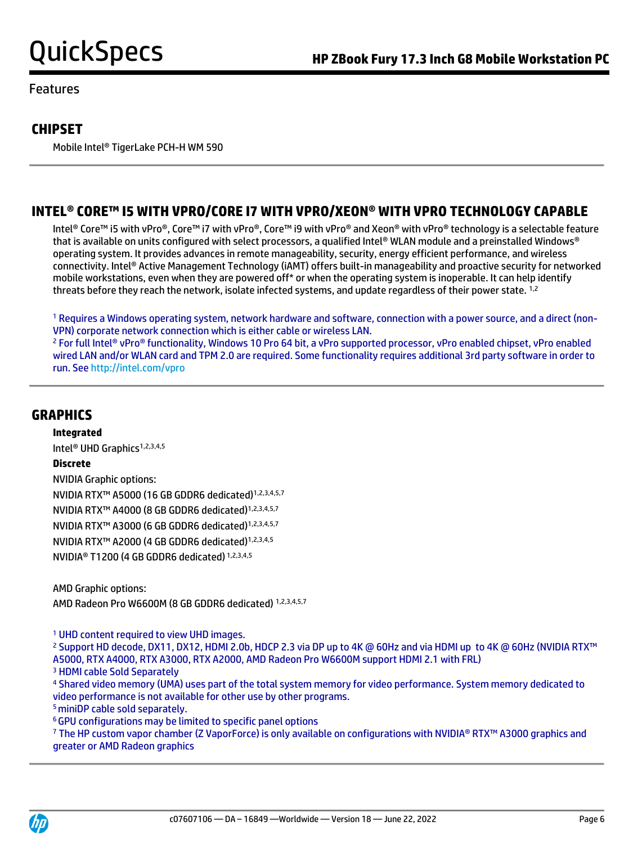## **CHIPSET**

Mobile Intel® TigerLake PCH-H WM 590

# **INTEL® CORE™ I5 WITH VPRO/CORE I7 WITH VPRO/XEON® WITH VPRO TECHNOLOGY CAPABLE**

Intel® Core™ i5 with vPro®, Core™ i7 with vPro®, Core™ i9 with vPro® and Xeon® with vPro® technology is a selectable feature that is available on units configured with select processors, a qualified Intel® WLAN module and a preinstalled Windows® operating system. It provides advances in remote manageability, security, energy efficient performance, and wireless connectivity. Intel® Active Management Technology (iAMT) offers built-in manageability and proactive security for networked mobile workstations, even when they are powered off\* or when the operating system is inoperable. It can help identify threats before they reach the network, isolate infected systems, and update regardless of their power state. <sup>1,2</sup>

<sup>1</sup> Requires a Windows operating system, network hardware and software, connection with a power source, and a direct (non-VPN) corporate network connection which is either cable or wireless LAN.

<sup>2</sup> For full Intel® vPro® functionality, Windows 10 Pro 64 bit, a vPro supported processor, vPro enabled chipset, vPro enabled wired LAN and/or WLAN card and TPM 2.0 are required. Some functionality requires additional 3rd party software in order to run. Se[e http://intel.com/vpro](http://intel.com/vpro)

## **GRAPHICS**

**Integrated** Intel<sup>®</sup> UHD Graphics<sup>1,2,3,4,5</sup> **Discrete** NVIDIA Graphic options: NVIDIA RTX™ A5000 (16 GB GDDR6 dedicated)1,2,3,4,5,7 NVIDIA RTX™ A4000 (8 GB GDDR6 dedicated)1,2,3,4,5,7 NVIDIA RTX™ A3000 (6 GB GDDR6 dedicated)1,2,3,4,5,7 NVIDIA RTX™ A2000 (4 GB GDDR6 dedicated)1,2,3,4,5 NVIDIA® T1200 (4 GB GDDR6 dedicated) 1,2,3,4,5

AMD Graphic options: AMD Radeon Pro W6600M (8 GB GDDR6 dedicated) 1,2,3,4,5,7

<sup>1</sup> UHD content required to view UHD images.

<sup>2</sup> Support HD decode, DX11, DX12, HDMI 2.0b, HDCP 2.3 via DP up to 4K @ 60Hz and via HDMI up to 4K @ 60Hz (NVIDIA RTX™ A5000, RTX A4000, RTX A3000, RTX A2000, AMD Radeon Pro W6600M support HDMI 2.1 with FRL)

<sup>3</sup> HDMI cable Sold Separately

<sup>4</sup> Shared video memory (UMA) uses part of the total system memory for video performance. System memory dedicated to video performance is not available for other use by other programs.

<sup>5</sup>miniDP cable sold separately.

<sup>6</sup>GPU configurations may be limited to specific panel options

<sup>7</sup> The HP custom vapor chamber (Z VaporForce) is only available on configurations with NVIDIA® RTX™ A3000 graphics and greater or AMD Radeon graphics

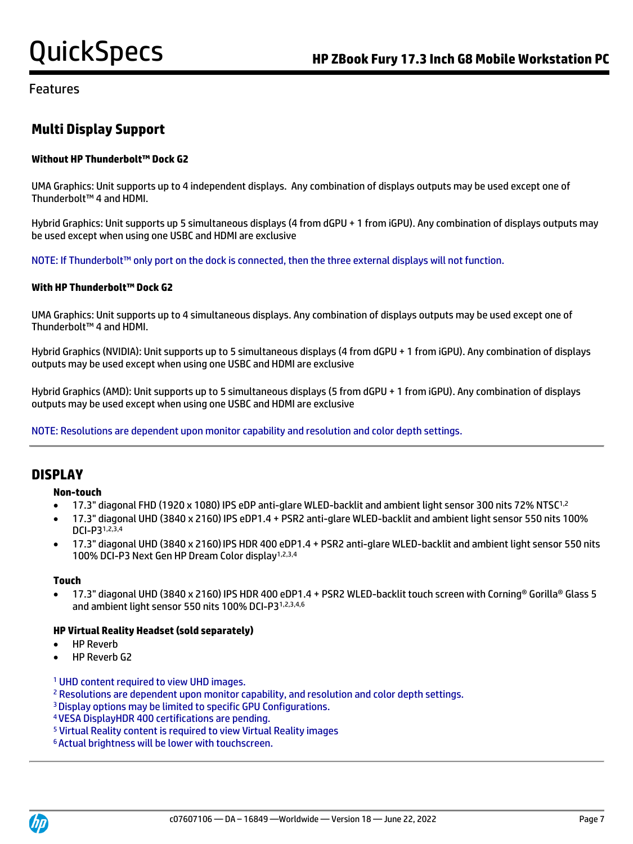# **Multi Display Support**

### **Without HP Thunderbolt™ Dock G2**

UMA Graphics: Unit supports up to 4 independent displays. Any combination of displays outputs may be used except one of Thunderbolt™ 4 and HDMI.

Hybrid Graphics: Unit supports up 5 simultaneous displays (4 from dGPU + 1 from iGPU). Any combination of displays outputs may be used except when using one USBC and HDMI are exclusive

NOTE: If Thunderbolt™ only port on the dock is connected, then the three external displays will not function.

#### **With HP Thunderbolt™ Dock G2**

UMA Graphics: Unit supports up to 4 simultaneous displays. Any combination of displays outputs may be used except one of Thunderbolt™ 4 and HDMI.

Hybrid Graphics (NVIDIA): Unit supports up to 5 simultaneous displays (4 from dGPU + 1 from iGPU). Any combination of displays outputs may be used except when using one USBC and HDMI are exclusive

Hybrid Graphics (AMD): Unit supports up to 5 simultaneous displays (5 from dGPU + 1 from iGPU). Any combination of displays outputs may be used except when using one USBC and HDMI are exclusive

NOTE: Resolutions are dependent upon monitor capability and resolution and color depth settings.

## **DISPLAY**

#### **Non-touch**

- 17.3" diagonal FHD (1920 x 1080) IPS eDP anti-glare WLED-backlit and ambient light sensor 300 nits 72% NTSC1,2
- 17.3" diagonal UHD (3840 x 2160) IPS eDP1.4 + PSR2 anti-glare WLED-backlit and ambient light sensor 550 nits 100% DCI-P31,2,3,4
- 17.3" diagonal UHD (3840 x 2160)IPS HDR 400 eDP1.4 + PSR2 anti-glare WLED-backlit and ambient light sensor 550 nits 100% DCI-P3 Next Gen HP Dream Color display1,2,3,4

#### **Touch**

• 17.3" diagonal UHD (3840 x 2160) IPS HDR 400 eDP1.4 + PSR2 WLED-backlit touch screen with Corning® Gorilla® Glass 5 and ambient light sensor 550 nits 100% DCI-P31,2,3,4,6

#### **HP Virtual Reality Headset (sold separately)**

- HP Reverb
- HP Reverb G2

<sup>1</sup> UHD content required to view UHD images.

- <sup>2</sup> Resolutions are dependent upon monitor capability, and resolution and color depth settings.
- <sup>3</sup>Display options may be limited to specific GPU Configurations.
- <sup>4</sup>VESA DisplayHDR 400 certifications are pending.
- <sup>5</sup> Virtual Reality content is required to view Virtual Reality images
- 6 Actual brightness will be lower with touchscreen.

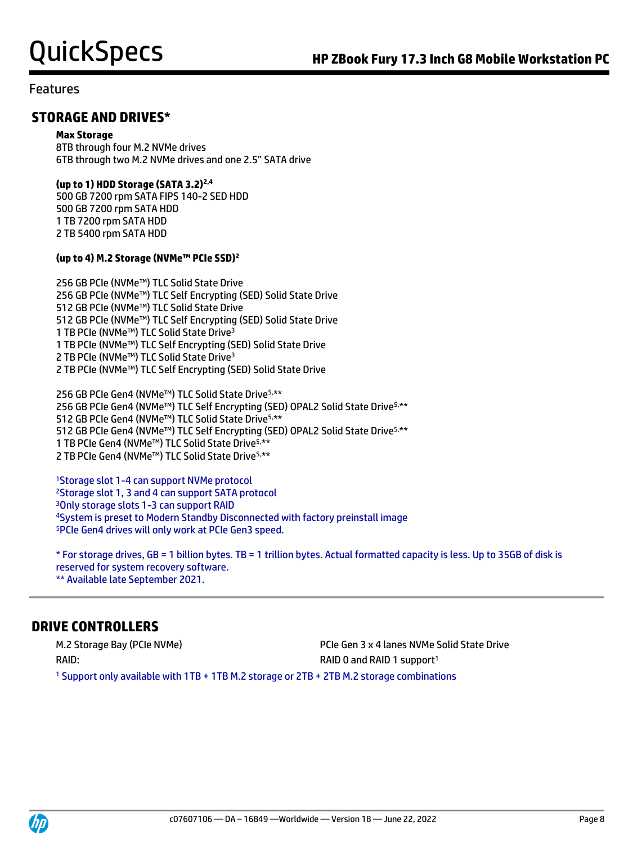## **STORAGE AND DRIVES\***

#### **Max Storage**

8TB through four M.2 NVMe drives 6TB through two M.2 NVMe drives and one 2.5" SATA drive

### **(up to 1) HDD Storage (SATA 3.2)2,4**

500 GB 7200 rpm SATA FIPS 140-2 SED HDD 500 GB 7200 rpm SATA HDD 1 TB 7200 rpm SATA HDD 2 TB 5400 rpm SATA HDD

### **(up to 4) M.2 Storage (NVMe™ PCIe SSD)<sup>2</sup>**

256 GB PCIe (NVMe™) TLC Solid State Drive 256 GB PCIe (NVMe™) TLC Self Encrypting (SED) Solid State Drive 512 GB PCIe (NVMe™) TLC Solid State Drive 512 GB PCIe (NVMe™) TLC Self Encrypting (SED) Solid State Drive 1 TB PCIe (NVMe™) TLC Solid State Drive<sup>3</sup> 1 TB PCIe (NVMe™) TLC Self Encrypting (SED) Solid State Drive 2 TB PCIe (NVMe™) TLC Solid State Drive<sup>3</sup> 2 TB PCIe (NVMe™) TLC Self Encrypting (SED) Solid State Drive

256 GB PCIe Gen4 (NVMe™) TLC Solid State Drive5,\*\* 256 GB PCIe Gen4 (NVMe™) TLC Self Encrypting (SED) OPAL2 Solid State Drive<sup>5,\*\*</sup> GB PCIe Gen4 (NVMe™) TLC Solid State Drive5,\*\* GB PCIe Gen4 (NVMe™) TLC Self Encrypting (SED) OPAL2 Solid State Drive5,\*\* TB PCIe Gen4 (NVMe™) TLC Solid State Drive5,\*\* TB PCIe Gen4 (NVMe™) TLC Solid State Drive5,\*\*

Storage slot 1-4 can support NVMe protocol Storage slot 1, 3 and 4 can support SATA protocol Only storage slots 1-3 can support RAID System is preset to Modern Standby Disconnected with factory preinstall image PCIe Gen4 drives will only work at PCIe Gen3 speed.

\* For storage drives, GB = 1 billion bytes. TB = 1 trillion bytes. Actual formatted capacity is less.Up to 35GB of disk is reserved for system recovery software. \*\* Available late September 2021.

## **DRIVE CONTROLLERS**

RAID: RAID: RAID 1 support<sup>1</sup>

M.2 Storage Bay (PCIe NVMe) PCIe Gen 3 x 4 lanes NVMe Solid State Drive

<sup>1</sup> Support only available with 1TB + 1TB M.2 storage or 2TB + 2TB M.2 storage combinations

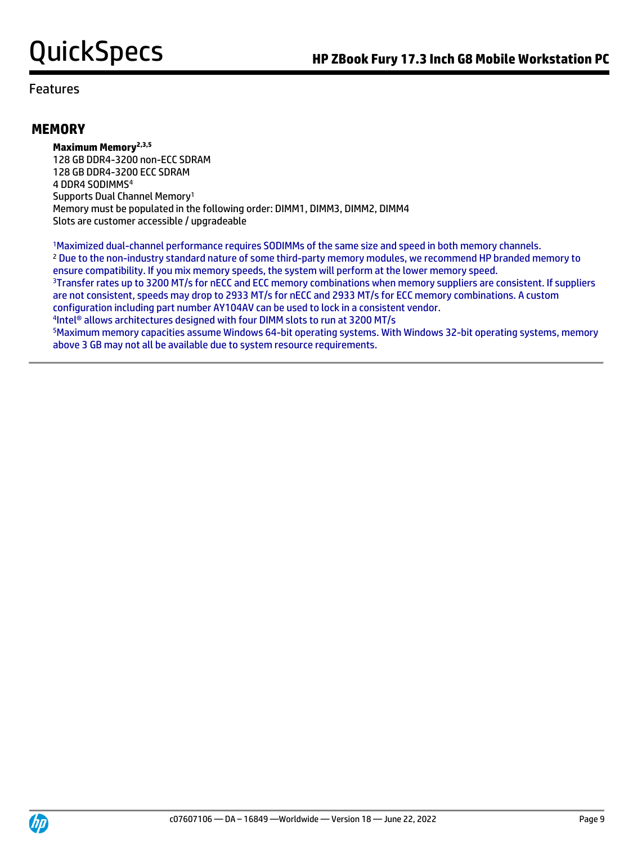## **MEMORY**

**Maximum Memory2,3,5** 128 GB DDR4-3200 non-ECC SDRAM 128 GB DDR4-3200 ECC SDRAM 4 DDR4 SODIMMS<sup>4</sup> Supports Dual Channel Memory<sup>1</sup> Memory must be populated in the following order: DIMM1, DIMM3, DIMM2, DIMM4 Slots are customer accessible / upgradeable

<sup>1</sup>Maximized dual-channel performance requires SODIMMs of the same size and speed in both memory channels. <sup>2</sup> Due to the non-industry standard nature of some third-party memory modules, we recommend HP branded memory to ensure compatibility. If you mix memory speeds, the system will perform at the lower memory speed. <sup>3</sup>Transfer rates up to 3200 MT/s for nECC and ECC memory combinations when memory suppliers are consistent. If suppliers are not consistent, speeds may drop to 2933 MT/s for nECC and 2933 MT/s for ECC memory combinations. A custom configuration including part number AY104AV can be used to lock in a consistent vendor. 4 Intel® allows architectures designed with four DIMM slots to run at 3200 MT/s <sup>5</sup>Maximum memory capacities assume Windows 64-bit operating systems. With Windows 32-bit operating systems, memory above 3 GB may not all be available due to system resource requirements.

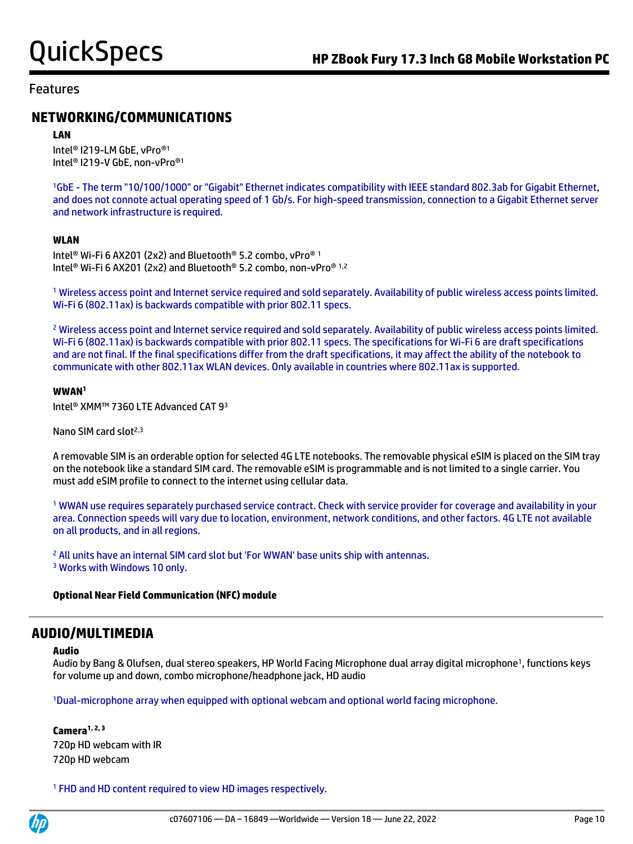## **NETWORKING/COMMUNICATIONS**

#### **LAN**

Intel® I219-LM GbE, vPro® 1 Intel® I219-V GbE, non-vPro® 1

<sup>1</sup>GbE - The term "10/100/1000" or "Gigabit" Ethernet indicates compatibility with IEEE standard 802.3ab for Gigabit Ethernet, and does not connote actual operating speed of 1 Gb/s. For high-speed transmission, connection to a Gigabit Ethernet server and network infrastructure is required.

#### **WLAN**

Intel® Wi-Fi 6 AX201 (2x2) and Bluetooth® 5.2 combo, vPro® 1 Intel® Wi-Fi 6 AX201 (2x2) and Bluetooth® 5.2 combo, non-vPro® 1,2

<sup>1</sup> Wireless access point and Internet service required and sold separately. Availability of public wireless access points limited. Wi-Fi 6 (802.11ax) is backwards compatible with prior 802.11 specs.

<sup>2</sup> Wireless access point and Internet service required and sold separately. Availability of public wireless access points limited. Wi-Fi 6 (802.11ax) is backwards compatible with prior 802.11 specs. The specifications for Wi-Fi 6 are draft specifications and are not final. If the final specifications differ from the draft specifications, it may affect the ability of the notebook to communicate with other 802.11ax WLAN devices. Only available in countries where 802.11ax is supported.

#### **WWAN<sup>1</sup>**

Intel® XMM™ 7360 LTE Advanced CAT 9<sup>3</sup>

Nano SIM card slot<sup>2,3</sup>

A removable SIM is an orderable option for selected 4G LTE notebooks. The removable physical eSIM is placed on the SIM tray on the notebook like a standard SIM card. The removable eSIM is programmable and is not limited to a single carrier. You must add eSIM profile to connect to the internet using cellular data.

<sup>1</sup> WWAN use requires separately purchased service contract. Check with service provider for coverage and availability in your area. Connection speeds will vary due to location, environment, network conditions, and other factors. 4G LTE not available on all products, and in all regions.

<sup>2</sup> All units have an internal SIM card slot but 'For WWAN' base units ship with antennas. <sup>3</sup> Works with Windows 10 only.

#### **Optional Near Field Communication (NFC) module**

### **AUDIO/MULTIMEDIA**

#### **Audio**

Audio by Bang & Olufsen, dual stereo speakers, HP World Facing Microphone dual array digital microphone<sup>1</sup>, functions keys for volume up and down, combo microphone/headphone jack, HD audio

<sup>1</sup>Dual-microphone array when equipped with optional webcam and optional world facing microphone.

**Camera1, 2, 3** 720p HD webcam with IR 720p HD webcam

<sup>1</sup> FHD and HD content required to view HD images respectively.

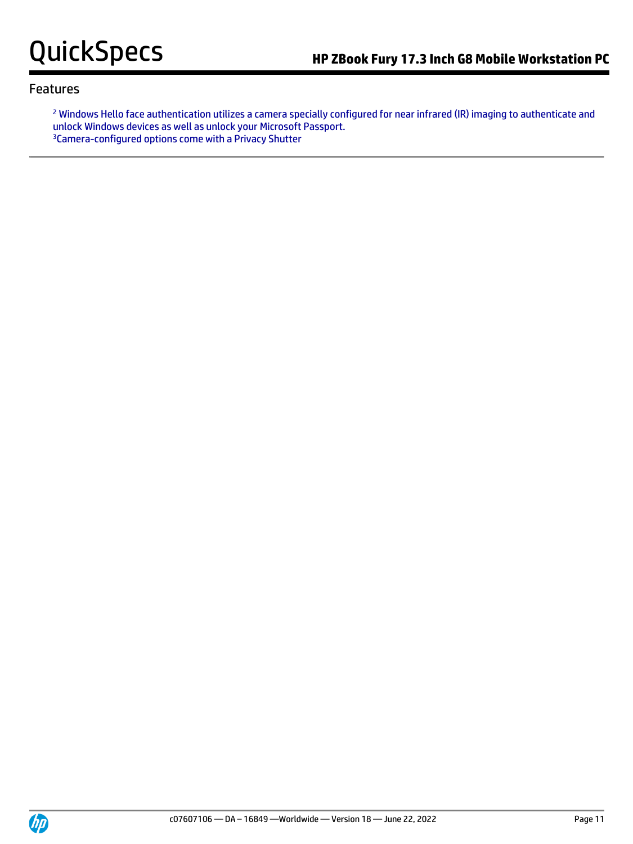<sup>2</sup> Windows Hello face authentication utilizes a camera specially configured for near infrared (IR) imaging to authenticate and unlock Windows devices as well as unlock your Microsoft Passport. <sup>3</sup>Camera-configured options come with a Privacy Shutter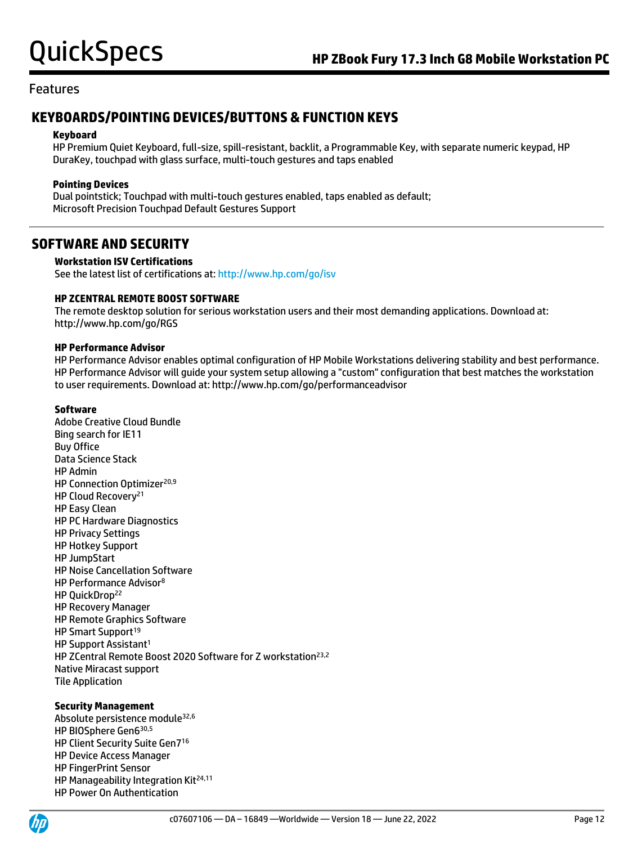## **KEYBOARDS/POINTING DEVICES/BUTTONS & FUNCTION KEYS**

#### **Keyboard**

HP Premium Quiet Keyboard, full-size, spill-resistant, backlit, a Programmable Key, with separate numeric keypad, HP DuraKey, touchpad with glass surface, multi-touch gestures and taps enabled

### **Pointing Devices**

Dual pointstick; Touchpad with multi-touch gestures enabled, taps enabled as default; Microsoft Precision Touchpad Default Gestures Support

## **SOFTWARE AND SECURITY**

#### **Workstation ISV Certifications**

See the latest list of certifications at[: http://www.hp.com/go/isv](http://www.hp.com/go/isv)

#### **HP ZCENTRAL REMOTE BOOST SOFTWARE**

The remote desktop solution for serious workstation users and their most demanding applications. Download at: http://www.hp.com/go/RGS

#### **HP Performance Advisor**

HP Performance Advisor enables optimal configuration of HP Mobile Workstations delivering stability and best performance. HP Performance Advisor will guide your system setup allowing a "custom" configuration that best matches the workstation to user requirements. Download at: http://www.hp.com/go/performanceadvisor

#### **Software**

Adobe Creative Cloud Bundle Bing search for IE11 Buy Office Data Science Stack HP Admin HP Connection Optimizer<sup>20,9</sup> HP Cloud Recovery<sup>21</sup> HP Easy Clean HP PC Hardware Diagnostics HP Privacy Settings HP Hotkey Support HP JumpStart HP Noise Cancellation Software HP Performance Advisor<sup>8</sup> HP OuickDrop<sup>22</sup> HP Recovery Manager HP Remote Graphics Software HP Smart Support<sup>19</sup> HP Support Assistant<sup>1</sup> HP ZCentral Remote Boost 2020 Software for Z workstation<sup>23,2</sup> Native Miracast support Tile Application

#### **Security Management**

Absolute persistence module32,6 HP BIOSphere Gen6 30,5 HP Client Security Suite Gen7<sup>16</sup> HP Device Access Manager HP FingerPrint Sensor HP Manageability Integration Kit<sup>24,11</sup> HP Power On Authentication

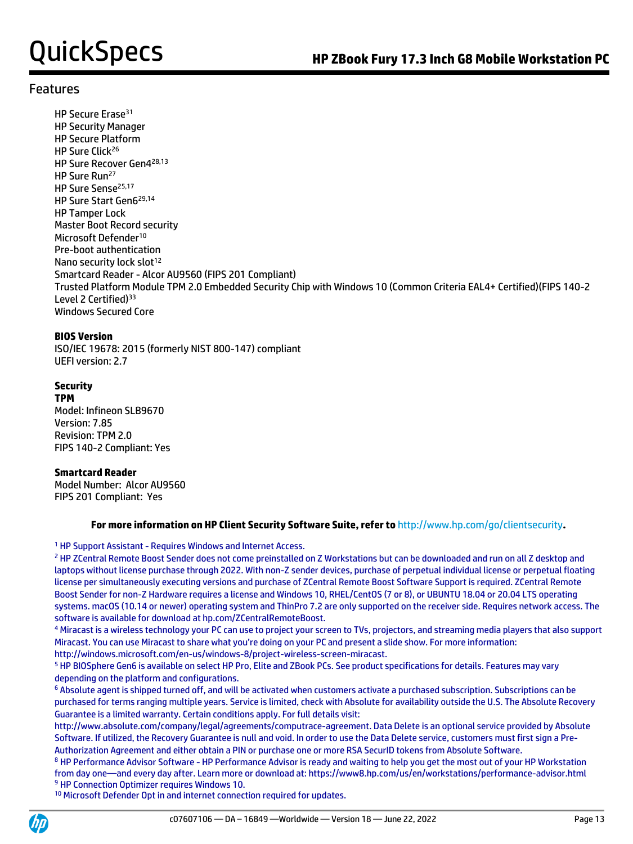HP Secure Erase<sup>31</sup> HP Security Manager HP Secure Platform HP Sure Click<sup>26</sup> HP Sure Recover Gen4 28,13 HP Sure Run<sup>27</sup> HP Sure Sense<sup>25,17</sup> HP Sure Start Gen6 29,14 HP Tamper Lock Master Boot Record security Microsoft Defender<sup>10</sup> Pre-boot authentication Nano security lock slot<sup>12</sup> Smartcard Reader - Alcor AU9560 (FIPS 201 Compliant) Trusted Platform Module TPM 2.0 Embedded Security Chip with Windows 10 (Common Criteria EAL4+ Certified)(FIPS 140-2 Level 2 Certified)<sup>33</sup> Windows Secured Core

#### **BIOS Version**

ISO/IEC 19678: 2015 (formerly NIST 800-147) compliant UEFI version: 2.7

### **Security**

**TPM** Model: Infineon SLB9670 Version: 7.85 Revision: TPM 2.0 FIPS 140-2 Compliant: Yes

### **Smartcard Reader**

Model Number: Alcor AU9560 FIPS 201 Compliant: Yes

### **For more information on HP Client Security Software Suite, refer to** http://www.hp.com/go/clientsecurity**.**

<sup>1</sup> HP Support Assistant - Requires Windows and Internet Access.

<sup>2</sup> HP ZCentral Remote Boost Sender does not come preinstalled on Z Workstations but can be downloaded and run on all Z desktop and laptops without license purchase through 2022. With non-Z sender devices, purchase of perpetual individual license or perpetual floating license per simultaneously executing versions and purchase of ZCentral Remote Boost Software Support is required. ZCentral Remote Boost Sender for non-Z Hardware requires a license and Windows 10, RHEL/CentOS (7 or 8), or UBUNTU 18.04 or 20.04 LTS operating systems. macOS (10.14 or newer) operating system and ThinPro 7.2 are only supported on the receiver side. Requires network access. The software is available for download at hp.com/ZCentralRemoteBoost.

<sup>4</sup> Miracast is a wireless technology your PC can use to project your screen to TVs, projectors, and streaming media players that also support Miracast. You can use Miracast to share what you're doing on your PC and present a slide show. For more information: http://windows.microsoft.com/en-us/windows-8/project-wireless-screen-miracast.

<sup>5</sup> HP BIOSphere Gen6 is available on select HP Pro, Elite and ZBook PCs. See product specifications for details. Features may vary depending on the platform and configurations.

<sup>6</sup> Absolute agent is shipped turned off, and will be activated when customers activate a purchased subscription. Subscriptions can be purchased for terms ranging multiple years. Service is limited, check with Absolute for availability outside the U.S. The Absolute Recovery Guarantee is a limited warranty. Certain conditions apply. For full details visit:

http://www.absolute.com/company/legal/agreements/computrace-agreement. Data Delete is an optional service provided by Absolute Software. If utilized, the Recovery Guarantee is null and void. In order to use the Data Delete service, customers must first sign a Pre-Authorization Agreement and either obtain a PIN or purchase one or more RSA SecurID tokens from Absolute Software.

<sup>8</sup> HP Performance Advisor Software - HP Performance Advisor is ready and waiting to help you get the most out of your HP Workstation from day one—and every day after. Learn more or download at: https://www8.hp.com/us/en/workstations/performance-advisor.html <sup>9</sup> HP Connection Optimizer requires Windows 10.

<sup>10</sup> Microsoft Defender Opt in and internet connection required for updates.

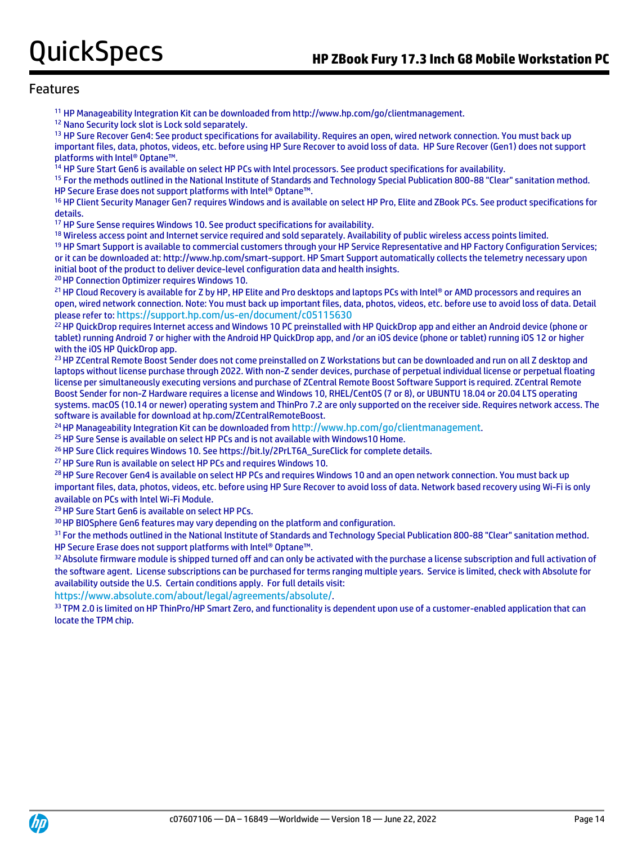<sup>11</sup> HP Manageability Integration Kit can be downloaded from http://www.hp.com/go/clientmanagement.

<sup>12</sup> Nano Security lock slot is Lock sold separately.

<sup>13</sup> HP Sure Recover Gen4: See product specifications for availability. Requires an open, wired network connection. You must back up important files, data, photos, videos, etc. before using HP Sure Recover to avoid loss of data. HP Sure Recover (Gen1) does not support platforms with Intel® Optane™.

<sup>14</sup> HP Sure Start Gen6 is available on select HP PCs with Intel processors. See product specifications for availability.

<sup>15</sup> For the methods outlined in the National Institute of Standards and Technology Special Publication 800-88 "Clear" sanitation method. HP Secure Erase does not support platforms with Intel® Optane™.

<sup>16</sup> HP Client Security Manager Gen7 requires Windows and is available on select HP Pro, Elite and ZBook PCs. See product specifications for details.

<sup>17</sup> HP Sure Sense requires Windows 10. See product specifications for availability.

<sup>18</sup> Wireless access point and Internet service required and sold separately. Availability of public wireless access points limited.

<sup>19</sup> HP Smart Support is available to commercial customers through your HP Service Representative and HP Factory Configuration Services; or it can be downloaded at: http://www.hp.com/smart-support. HP Smart Support automatically collects the telemetry necessary upon initial boot of the product to deliver device-level configuration data and health insights.

<sup>20</sup> HP Connection Optimizer requires Windows 10.

21 HP Cloud Recovery is available for Z by HP, HP Elite and Pro desktops and laptops PCs with Intel® or AMD processors and requires an open, wired network connection. Note: You must back up important files, data, photos, videos, etc. before use to avoid loss of data. Detail please refer to: <https://support.hp.com/us-en/document/c05115630>

<sup>22</sup> HP QuickDrop requires Internet access and Windows 10 PC preinstalled with HP QuickDrop app and either an Android device (phone or tablet) running Android 7 or higher with the Android HP QuickDrop app, and /or an iOS device (phone or tablet) running iOS 12 or higher with the iOS HP QuickDrop app.

<sup>23</sup> HP ZCentral Remote Boost Sender does not come preinstalled on Z Workstations but can be downloaded and run on all Z desktop and laptops without license purchase through 2022. With non-Z sender devices, purchase of perpetual individual license or perpetual floating license per simultaneously executing versions and purchase of ZCentral Remote Boost Software Support is required. ZCentral Remote Boost Sender for non-Z Hardware requires a license and Windows 10, RHEL/CentOS (7 or 8), or UBUNTU 18.04 or 20.04 LTS operating systems. macOS (10.14 or newer) operating system and ThinPro 7.2 are only supported on the receiver side. Requires network access. The software is available for download at hp.com/ZCentralRemoteBoost.

<sup>24</sup> HP Manageability Integration Kit can be downloaded from <http://www.hp.com/go/clientmanagement>.

<sup>25</sup> HP Sure Sense is available on select HP PCs and is not available with Windows10 Home.

<sup>26</sup> HP Sure Click requires Windows 10. See https://bit.ly/2PrLT6A\_SureClick for complete details.

<sup>27</sup> HP Sure Run is available on select HP PCs and requires Windows 10.

<sup>28</sup> HP Sure Recover Gen4 is available on select HP PCs and requires Windows 10 and an open network connection. You must back up important files, data, photos, videos, etc. before using HP Sure Recover to avoid loss of data. Network based recovery using Wi-Fi is only available on PCs with Intel Wi-Fi Module.

<sup>29</sup> HP Sure Start Gen6 is available on select HP PCs.

<sup>30</sup> HP BIOSphere Gen6 features may vary depending on the platform and configuration.

<sup>31</sup> For the methods outlined in the National Institute of Standards and Technology Special Publication 800-88 "Clear" sanitation method. HP Secure Erase does not support platforms with Intel® Optane™.

32 Absolute firmware module is shipped turned off and can only be activated with the purchase a license subscription and full activation of the software agent. License subscriptions can be purchased for terms ranging multiple years. Service is limited, check with Absolute for availability outside the U.S. Certain conditions apply. For full details visit:

<https://www.absolute.com/about/legal/agreements/absolute/>.

<sup>33</sup> TPM 2.0 is limited on HP ThinPro/HP Smart Zero, and functionality is dependent upon use of a customer-enabled application that can locate the TPM chip.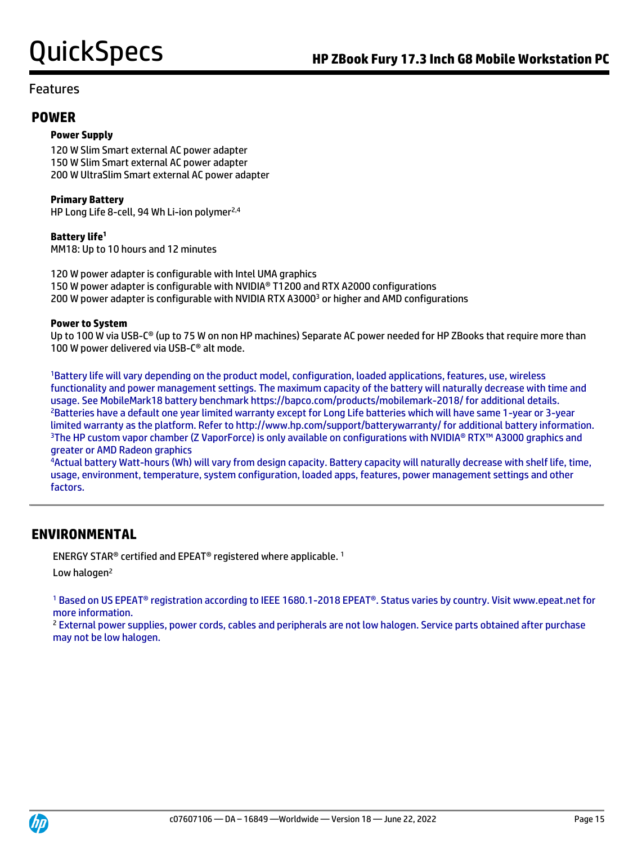## **POWER**

### **Power Supply**

120 W Slim Smart external AC power adapter 150 W Slim Smart external AC power adapter 200 W UltraSlim Smart external AC power adapter

**Primary Battery**

HP Long Life 8-cell, 94 Wh Li-ion polymer<sup>2,4</sup>

**Battery life<sup>1</sup>** MM18: Up to 10 hours and 12 minutes

120 W power adapter is configurable with Intel UMA graphics 150 W power adapter is configurable with NVIDIA® T1200 and RTX A2000 configurations 200 W power adapter is configurable with NVIDIA RTX A3000<sup>3</sup> or higher and AMD configurations

#### **Power to System**

Up to 100 W via USB-C® (up to 75 W on non HP machines) Separate AC power needed for HP ZBooks that require more than 100 W power delivered via USB-C® alt mode.

<sup>1</sup>Battery life will vary depending on the product model, configuration, loaded applications, features, use, wireless functionality and power management settings. The maximum capacity of the battery will naturally decrease with time and usage. See MobileMark18 battery benchmark https://bapco.com/products/mobilemark-2018/ for additional details. <sup>2</sup>Batteries have a default one year limited warranty except for Long Life batteries which will have same 1-year or 3-year limited warranty as the platform. Refer to http://www.hp.com/support/batterywarranty/ for additional battery information. <sup>3</sup>The HP custom vapor chamber (Z VaporForce) is only available on configurations with NVIDIA® RTX™ A3000 graphics and greater or AMD Radeon graphics

<sup>4</sup>Actual battery Watt-hours (Wh) will vary from design capacity. Battery capacity will naturally decrease with shelf life, time, usage, environment, temperature, system configuration, loaded apps, features, power management settings and other factors.

## **ENVIRONMENTAL**

ENERGY STAR® certified and EPEAT® registered where applicable. <sup>1</sup>

Low halogen<sup>2</sup>

<sup>1</sup> Based on US EPEAT® registration according to IEEE 1680.1-2018 EPEAT®. Status varies by country. Visit www.epeat.net for more information.

<sup>2</sup> External power supplies, power cords, cables and peripherals are not low halogen. Service parts obtained after purchase may not be low halogen.

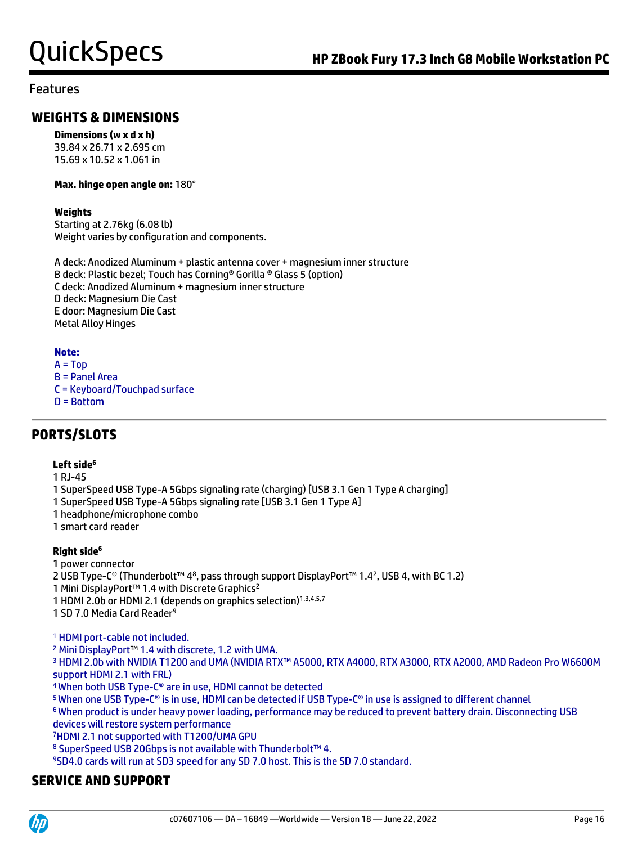## **WEIGHTS & DIMENSIONS**

#### **Dimensions (w x d x h)**

39.84 x 26.71 x 2.695 cm 15.69 x 10.52 x 1.061 in

#### **Max. hinge open angle on:** 180°

### **Weights**

Starting at 2.76kg (6.08 lb) Weight varies by configuration and components.

A deck: Anodized Aluminum + plastic antenna cover + magnesium inner structure B deck: Plastic bezel; Touch has Corning® Gorilla ® Glass 5 (option) C deck: Anodized Aluminum + magnesium inner structure D deck: Magnesium Die Cast E door: Magnesium Die Cast Metal Alloy Hinges

### **Note:**

 $A = Top$ B = Panel Area C = Keyboard/Touchpad surface D = Bottom

# **PORTS/SLOTS**

### **Left side<sup>6</sup>**

1 RJ-45

- 1 SuperSpeed USB Type-A 5Gbps signaling rate (charging) [USB 3.1 Gen 1 Type A charging]
- 1 SuperSpeed USB Type-A 5Gbps signaling rate [USB 3.1 Gen 1 Type A]
- 1 headphone/microphone combo
- 1 smart card reader

### **Right side<sup>6</sup>**

1 power connector

2 USB Type-C® (Thunderbolt™ 48, pass through support DisplayPort™ 1.42, USB 4, with BC 1.2)

1 Mini DisplayPort<sup>™</sup> 1.4 with Discrete Graphics<sup>2</sup>

1 HDMI 2.0b or HDMI 2.1 (depends on graphics selection)<sup>1,3,4,5,7</sup>

1 SD 7.0 Media Card Reader<sup>9</sup>

<sup>1</sup> HDMI port-cable not included.

<sup>2</sup> Mini DisplayPort™ 1.4 with discrete, 1.2 with UMA.

<sup>3</sup> HDMI 2.0b with NVIDIA T1200 and UMA (NVIDIA RTX™ A5000, RTX A4000, RTX A3000, RTX A2000, AMD Radeon Pro W6600M support HDMI 2.1 with FRL)

<sup>4</sup>When both USB Type-C® are in use, HDMI cannot be detected

<sup>5</sup>When one USB Type-C® is in use, HDMI can be detected if USB Type-C® in use is assigned to different channel

<sup>6</sup>When product is under heavy power loading, performance may be reduced to prevent battery drain. Disconnecting USB devices will restore system performance

<sup>7</sup>HDMI 2.1 not supported with T1200/UMA GPU

8 SuperSpeed USB 20Gbps is not available with Thunderbolt™ 4.

<sup>9</sup>SD4.0 cards will run at SD3 speed for any SD 7.0 host. This is the SD 7.0 standard.

## **SERVICE AND SUPPORT**

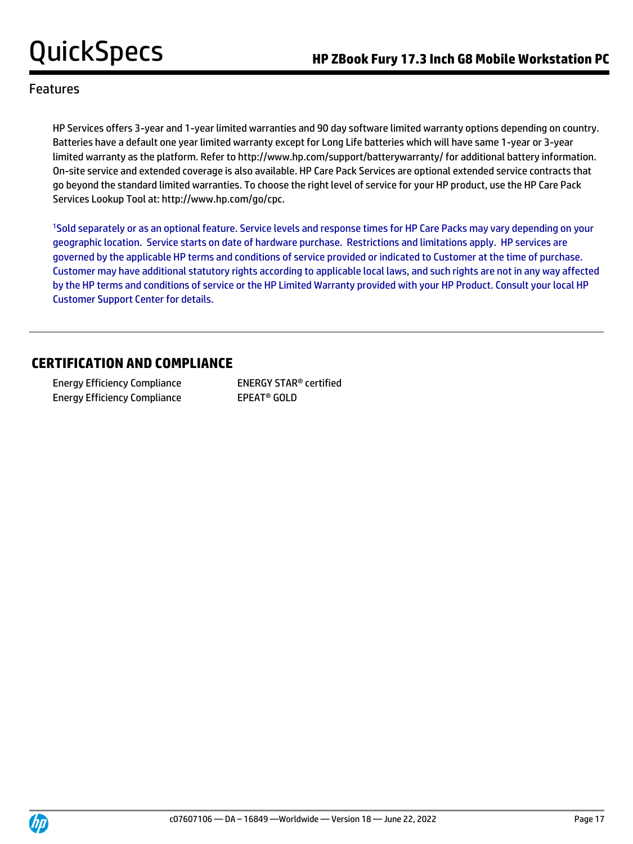HP Services offers 3-year and 1-year limited warranties and 90 day software limited warranty options depending on country. Batteries have a default one year limited warranty except for Long Life batteries which will have same 1-year or 3-year limited warranty as the platform. Refer to http://www.hp.com/support/batterywarranty/ for additional battery information. On-site service and extended coverage is also available. HP Care Pack Services are optional extended service contracts that go beyond the standard limited warranties. To choose the right level of service for your HP product, use the HP Care Pack Services Lookup Tool at: http://www.hp.com/go/cpc.

<sup>1</sup>Sold separately or as an optional feature. Service levels and response times for HP Care Packs may vary depending on your geographic location. Service starts on date of hardware purchase. Restrictions and limitations apply. HP services are governed by the applicable HP terms and conditions of service provided or indicated to Customer at the time of purchase. Customer may have additional statutory rights according to applicable local laws, and such rights are not in any way affected by the HP terms and conditions of service or the HP Limited Warranty provided with your HP Product. Consult your local HP Customer Support Center for details.

## **CERTIFICATION AND COMPLIANCE**

Energy Efficiency Compliance ENERGY STAR® certified Energy Efficiency Compliance EPEAT<sup>®</sup> GOLD

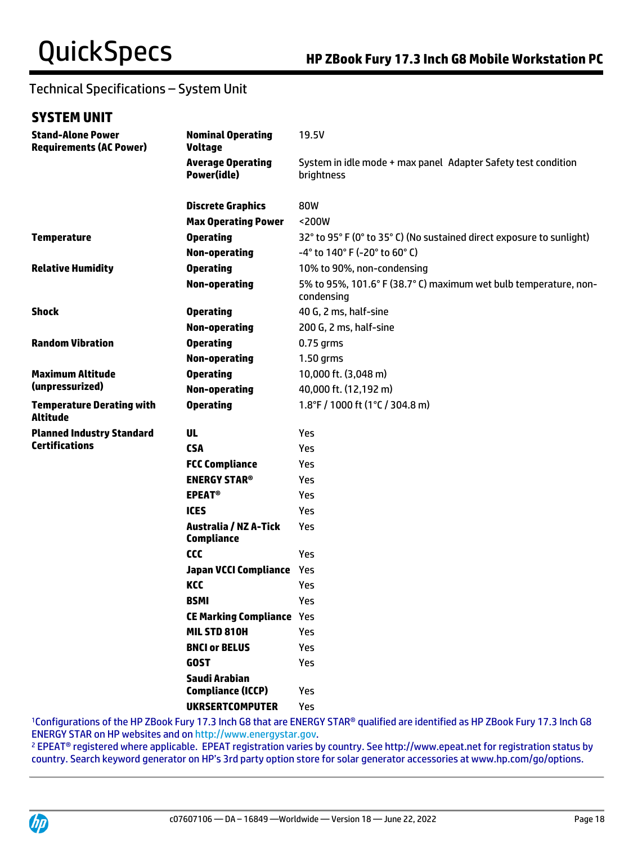# Technical Specifications – System Unit

## **SYSTEM UNIT**

| <b>Stand-Alone Power</b><br><b>Requirements (AC Power)</b> | <b>Nominal Operating</b><br><b>Voltage</b>        | 19.5V                                                                          |
|------------------------------------------------------------|---------------------------------------------------|--------------------------------------------------------------------------------|
|                                                            | <b>Average Operating</b><br>Power(idle)           | System in idle mode + max panel Adapter Safety test condition<br>brightness    |
|                                                            | <b>Discrete Graphics</b>                          | 80W                                                                            |
|                                                            | <b>Max Operating Power</b>                        | <200W                                                                          |
| <b>Temperature</b>                                         | <b>Operating</b>                                  | 32° to 95° F (0° to 35° C) (No sustained direct exposure to sunlight)          |
|                                                            | <b>Non-operating</b>                              | -4° to 140° F (-20° to 60° C)                                                  |
| <b>Relative Humidity</b>                                   | <b>Operating</b>                                  | 10% to 90%, non-condensing                                                     |
|                                                            | <b>Non-operating</b>                              | 5% to 95%, 101.6° F (38.7° C) maximum wet bulb temperature, non-<br>condensing |
| <b>Shock</b>                                               | <b>Operating</b>                                  | 40 G, 2 ms, half-sine                                                          |
|                                                            | <b>Non-operating</b>                              | 200 G, 2 ms, half-sine                                                         |
| <b>Random Vibration</b>                                    | <b>Operating</b>                                  | $0.75$ grms                                                                    |
|                                                            | <b>Non-operating</b>                              | 1.50 grms                                                                      |
| <b>Maximum Altitude</b>                                    | <b>Operating</b>                                  | 10,000 ft. (3,048 m)                                                           |
| (unpressurized)                                            | <b>Non-operating</b>                              | 40,000 ft. (12,192 m)                                                          |
| <b>Temperature Derating with</b><br><b>Altitude</b>        | <b>Operating</b>                                  | 1.8°F / 1000 ft (1°C / 304.8 m)                                                |
| <b>Planned Industry Standard</b>                           | UL                                                | Yes                                                                            |
| <b>Certifications</b>                                      | <b>CSA</b>                                        | <b>Yes</b>                                                                     |
|                                                            | <b>FCC Compliance</b>                             | <b>Yes</b>                                                                     |
|                                                            | <b>ENERGY STAR®</b>                               | Yes                                                                            |
|                                                            | <b>EPEAT<sup>®</sup></b>                          | <b>Yes</b>                                                                     |
|                                                            | <b>ICES</b>                                       | Yes                                                                            |
|                                                            | <b>Australia / NZ A-Tick</b><br><b>Compliance</b> | Yes                                                                            |
|                                                            | <b>CCC</b>                                        | Yes                                                                            |
|                                                            | Japan VCCI Compliance Yes                         |                                                                                |
|                                                            | KCC                                               | Yes                                                                            |
|                                                            | <b>BSMI</b>                                       | Yes                                                                            |
|                                                            | <b>CE Marking Compliance Yes</b>                  |                                                                                |
|                                                            | MIL STD 810H                                      | Yes                                                                            |
|                                                            | <b>BNCI or BELUS</b>                              | Yes                                                                            |
|                                                            | <b>GOST</b>                                       | Yes                                                                            |
|                                                            | Saudi Arabian<br><b>Compliance (ICCP)</b>         | Yes                                                                            |
|                                                            | <b>UKRSERTCOMPUTER</b>                            | Yes                                                                            |
|                                                            |                                                   | CO that are ENEDCY CTAD® analified are ide                                     |

<sup>1</sup>Configurations of the HP ZBook Fury 17.3 Inch G8 that are ENERGY STAR® qualified are identified as HP ZBook Fury 17.3 Inch G8 ENERGY STAR on HP websites and o[n http://www.energystar.gov.](http://www.energystar.gov/)

<sup>2</sup> EPEAT® registered where applicable. EPEAT registration varies by country. See http://www.epeat.net for registration status by country. Search keyword generator on HP's 3rd party option store for solar generator accessories at www.hp.com/go/options.

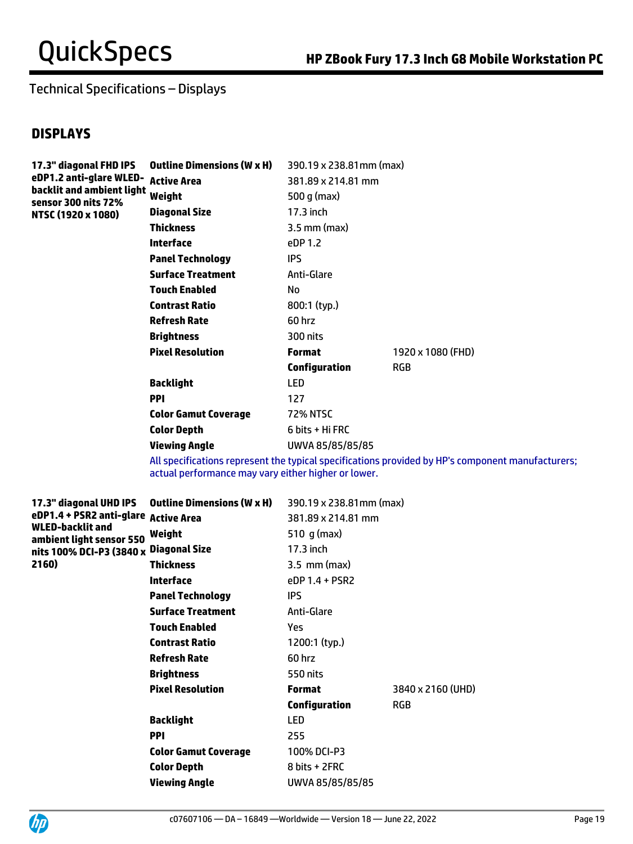# Technical Specifications – Displays

## **DISPLAYS**

| 17.3" diagonal FHD IPS<br>eDP1.2 anti-glare WLED-<br>backlit and ambient light<br>sensor 300 nits 72% | <b>Outline Dimensions (W x H)</b> | 390.19 x 238.81mm (max) |                   |
|-------------------------------------------------------------------------------------------------------|-----------------------------------|-------------------------|-------------------|
|                                                                                                       | <b>Active Area</b>                | 381.89 x 214.81 mm      |                   |
|                                                                                                       | Weight                            | 500 g (max)             |                   |
| NTSC (1920 x 1080)                                                                                    | Diagonal Size                     | $17.3$ inch             |                   |
|                                                                                                       | Thickness                         | $3.5$ mm (max)          |                   |
|                                                                                                       | <b>Interface</b>                  | eDP 1.2                 |                   |
|                                                                                                       | <b>Panel Technology</b>           | IPS.                    |                   |
|                                                                                                       | <b>Surface Treatment</b>          | Anti-Glare              |                   |
|                                                                                                       | <b>Touch Enabled</b>              | No                      |                   |
|                                                                                                       | <b>Contrast Ratio</b>             | 800:1 (typ.)            |                   |
|                                                                                                       | <b>Refresh Rate</b>               | 60 hrz                  |                   |
|                                                                                                       | <b>Brightness</b>                 | 300 nits                |                   |
|                                                                                                       | <b>Pixel Resolution</b>           | <b>Format</b>           | 1920 x 1080 (FHD) |
|                                                                                                       |                                   | <b>Configuration</b>    | <b>RGB</b>        |
|                                                                                                       | <b>Backlight</b>                  | <b>LED</b>              |                   |
|                                                                                                       | <b>PPI</b>                        | 127                     |                   |
|                                                                                                       | <b>Color Gamut Coverage</b>       | 72% NTSC                |                   |
|                                                                                                       | <b>Color Depth</b>                | 6 bits + Hi FRC         |                   |
|                                                                                                       | Viewing Angle                     | UWVA 85/85/85/85        |                   |

All specifications represent the typical specifications provided by HP's component manufacturers; actual performance may vary either higher or lower.

| 17.3" diagonal UHD IPS                                                                                                                | <b>Outline Dimensions (W x H)</b> | 390.19 x 238.81mm (max)  |                   |
|---------------------------------------------------------------------------------------------------------------------------------------|-----------------------------------|--------------------------|-------------------|
| eDP1.4 + PSR2 anti-glare Active Area<br><b>WLED-backlit and</b><br>ambient light sensor 550<br>nits 100% DCI-P3 (3840 x Diagonal Size |                                   | 381.89 x 214.81 mm       |                   |
|                                                                                                                                       | Weight                            | 510 g (max)              |                   |
|                                                                                                                                       |                                   | 17.3 inch                |                   |
| 2160)                                                                                                                                 | <b>Thickness</b>                  | $3.5 \, \text{mm}$ (max) |                   |
|                                                                                                                                       | <b>Interface</b>                  | eDP 1.4 + PSR2           |                   |
|                                                                                                                                       | <b>Panel Technology</b>           | <b>IPS</b>               |                   |
|                                                                                                                                       | <b>Surface Treatment</b>          | Anti-Glare               |                   |
|                                                                                                                                       | <b>Touch Enabled</b>              | <b>Yes</b>               |                   |
|                                                                                                                                       | <b>Contrast Ratio</b>             | 1200:1 (typ.)            |                   |
|                                                                                                                                       | <b>Refresh Rate</b>               | 60 hrz                   |                   |
|                                                                                                                                       | <b>Brightness</b>                 | 550 nits                 |                   |
|                                                                                                                                       | <b>Pixel Resolution</b>           | <b>Format</b>            | 3840 x 2160 (UHD) |
|                                                                                                                                       |                                   | <b>Configuration</b>     | <b>RGB</b>        |
|                                                                                                                                       | <b>Backlight</b>                  | LED                      |                   |
|                                                                                                                                       | <b>PPI</b>                        | 255                      |                   |
|                                                                                                                                       | <b>Color Gamut Coverage</b>       | 100% DCI-P3              |                   |
|                                                                                                                                       | <b>Color Depth</b>                | 8 bits + 2FRC            |                   |
|                                                                                                                                       | <b>Viewing Angle</b>              | UWVA 85/85/85/85         |                   |
|                                                                                                                                       |                                   |                          |                   |

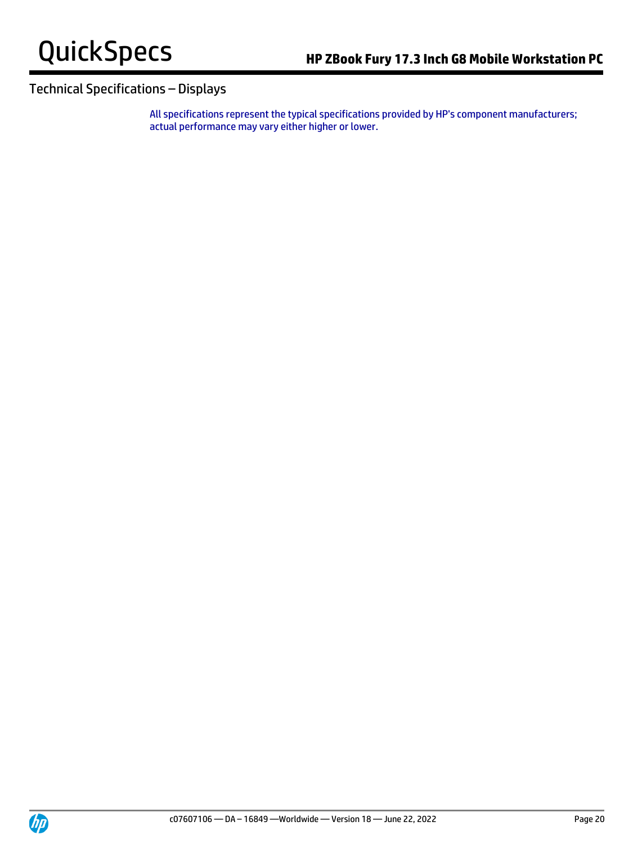

## Technical Specifications – Displays

All specifications represent the typical specifications provided by HP's component manufacturers; actual performance may vary either higher or lower.

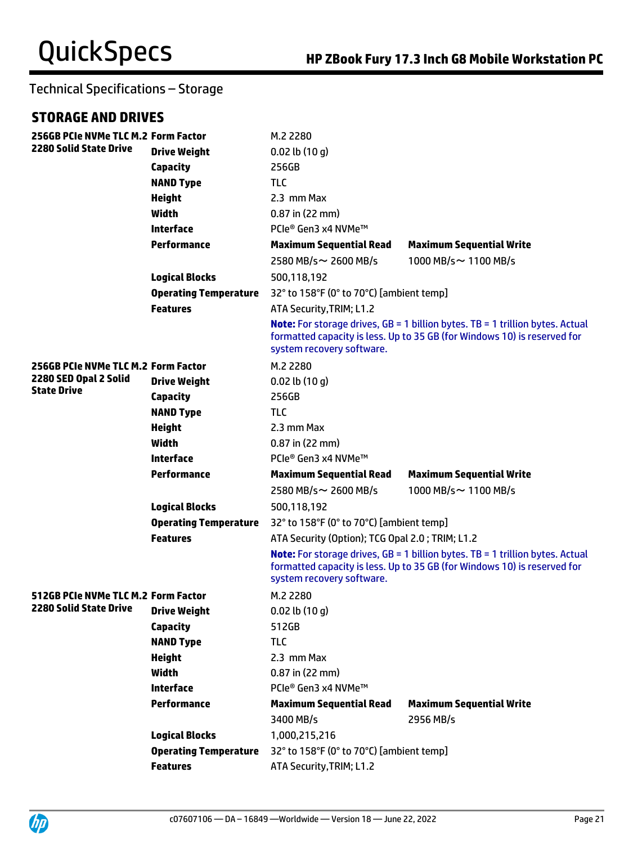## **STORAGE AND DRIVES**

| 256GB PCIe NVMe TLC M.2 Form Factor         |                              | M.2 2280                                                                                                                                                                                      |                                                                                                                                                                  |  |
|---------------------------------------------|------------------------------|-----------------------------------------------------------------------------------------------------------------------------------------------------------------------------------------------|------------------------------------------------------------------------------------------------------------------------------------------------------------------|--|
| <b>2280 Solid State Drive</b>               | <b>Drive Weight</b>          | $0.02$ lb $(10q)$                                                                                                                                                                             |                                                                                                                                                                  |  |
|                                             | <b>Capacity</b>              | 256GB                                                                                                                                                                                         |                                                                                                                                                                  |  |
|                                             | <b>NAND Type</b>             | <b>TLC</b>                                                                                                                                                                                    |                                                                                                                                                                  |  |
|                                             | <b>Height</b>                | 2.3 mm Max                                                                                                                                                                                    |                                                                                                                                                                  |  |
|                                             | <b>Width</b>                 | $0.87$ in (22 mm)                                                                                                                                                                             |                                                                                                                                                                  |  |
|                                             | Interface                    | PCIe® Gen3 x4 NVMe™                                                                                                                                                                           |                                                                                                                                                                  |  |
|                                             | <b>Performance</b>           | <b>Maximum Sequential Read</b>                                                                                                                                                                | <b>Maximum Sequential Write</b>                                                                                                                                  |  |
|                                             |                              | 2580 MB/s~ 2600 MB/s                                                                                                                                                                          | 1000 MB/s~1100 MB/s                                                                                                                                              |  |
|                                             | <b>Logical Blocks</b>        | 500,118,192                                                                                                                                                                                   |                                                                                                                                                                  |  |
|                                             | <b>Operating Temperature</b> | 32° to 158°F (0° to 70°C) [ambient temp]                                                                                                                                                      |                                                                                                                                                                  |  |
|                                             | <b>Features</b>              | ATA Security, TRIM; L1.2                                                                                                                                                                      |                                                                                                                                                                  |  |
|                                             |                              | system recovery software.                                                                                                                                                                     | <b>Note:</b> For storage drives, GB = 1 billion bytes. TB = 1 trillion bytes. Actual<br>formatted capacity is less. Up to 35 GB (for Windows 10) is reserved for |  |
| 256GB PCIe NVMe TLC M.2 Form Factor         |                              | M.2 2280                                                                                                                                                                                      |                                                                                                                                                                  |  |
| 2280 SED Opal 2 Solid<br><b>State Drive</b> | <b>Drive Weight</b>          | $0.02$ lb $(10 g)$                                                                                                                                                                            |                                                                                                                                                                  |  |
|                                             | <b>Capacity</b>              | 256GB                                                                                                                                                                                         |                                                                                                                                                                  |  |
|                                             | <b>NAND Type</b>             | <b>TLC</b>                                                                                                                                                                                    |                                                                                                                                                                  |  |
|                                             | <b>Height</b>                | 2.3 mm Max                                                                                                                                                                                    |                                                                                                                                                                  |  |
|                                             | <b>Width</b>                 | $0.87$ in (22 mm)                                                                                                                                                                             |                                                                                                                                                                  |  |
|                                             | <b>Interface</b>             | PCIe® Gen3 x4 NVMe™                                                                                                                                                                           |                                                                                                                                                                  |  |
|                                             | <b>Performance</b>           | <b>Maximum Sequential Read</b>                                                                                                                                                                | <b>Maximum Sequential Write</b>                                                                                                                                  |  |
|                                             |                              | 2580 MB/s~ 2600 MB/s                                                                                                                                                                          | 1000 MB/s~ 1100 MB/s                                                                                                                                             |  |
|                                             | <b>Logical Blocks</b>        | 500,118,192                                                                                                                                                                                   |                                                                                                                                                                  |  |
|                                             | <b>Operating Temperature</b> | 32° to 158°F (0° to 70°C) [ambient temp]                                                                                                                                                      |                                                                                                                                                                  |  |
|                                             | <b>Features</b>              | ATA Security (Option); TCG Opal 2.0; TRIM; L1.2                                                                                                                                               |                                                                                                                                                                  |  |
|                                             |                              | <b>Note:</b> For storage drives, GB = 1 billion bytes. TB = 1 trillion bytes. Actual<br>formatted capacity is less. Up to 35 GB (for Windows 10) is reserved for<br>system recovery software. |                                                                                                                                                                  |  |
| 512GB PCIe NVMe TLC M.2 Form Factor         |                              | M.2 2280                                                                                                                                                                                      |                                                                                                                                                                  |  |
| 2280 Solid State Drive                      | <b>Drive Weight</b>          | $0.02$ lb $(10 g)$                                                                                                                                                                            |                                                                                                                                                                  |  |
|                                             | <b>Capacity</b>              | 512GB                                                                                                                                                                                         |                                                                                                                                                                  |  |
|                                             | <b>NAND Type</b>             | <b>TLC</b>                                                                                                                                                                                    |                                                                                                                                                                  |  |
|                                             | <b>Height</b>                | 2.3 mm Max                                                                                                                                                                                    |                                                                                                                                                                  |  |
|                                             | <b>Width</b>                 | $0.87$ in (22 mm)                                                                                                                                                                             |                                                                                                                                                                  |  |
|                                             | <b>Interface</b>             | PCIe® Gen3 x4 NVMe™                                                                                                                                                                           |                                                                                                                                                                  |  |
|                                             | <b>Performance</b>           | <b>Maximum Sequential Read</b>                                                                                                                                                                | <b>Maximum Sequential Write</b>                                                                                                                                  |  |
|                                             |                              | 3400 MB/s                                                                                                                                                                                     | 2956 MB/s                                                                                                                                                        |  |
|                                             | <b>Logical Blocks</b>        | 1,000,215,216                                                                                                                                                                                 |                                                                                                                                                                  |  |
|                                             | <b>Operating Temperature</b> | 32° to 158°F (0° to 70°C) [ambient temp]                                                                                                                                                      |                                                                                                                                                                  |  |
|                                             | <b>Features</b>              | ATA Security, TRIM; L1.2                                                                                                                                                                      |                                                                                                                                                                  |  |

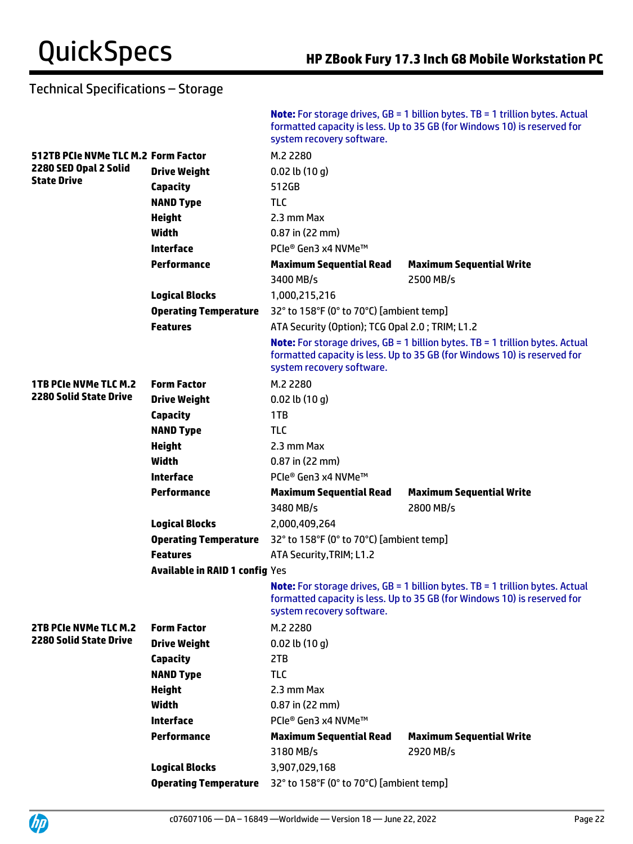|                                     |                                       | system recovery software.                       | <b>Note:</b> For storage drives, $GB = 1$ billion bytes. TB = 1 trillion bytes. Actual<br>formatted capacity is less. Up to 35 GB (for Windows 10) is reserved for |
|-------------------------------------|---------------------------------------|-------------------------------------------------|--------------------------------------------------------------------------------------------------------------------------------------------------------------------|
| 512TB PCIe NVMe TLC M.2 Form Factor |                                       | M.2 2280                                        |                                                                                                                                                                    |
| 2280 SED Opal 2 Solid               | <b>Drive Weight</b>                   | $0.02$ lb $(10 g)$                              |                                                                                                                                                                    |
| <b>State Drive</b>                  | <b>Capacity</b>                       | 512GB                                           |                                                                                                                                                                    |
|                                     | <b>NAND Type</b>                      | <b>TLC</b>                                      |                                                                                                                                                                    |
|                                     | <b>Height</b>                         | 2.3 mm Max                                      |                                                                                                                                                                    |
|                                     | Width                                 | 0.87 in (22 mm)                                 |                                                                                                                                                                    |
|                                     | <b>Interface</b>                      | PCIe® Gen3 x4 NVMe™                             |                                                                                                                                                                    |
|                                     | <b>Performance</b>                    | <b>Maximum Sequential Read</b>                  | <b>Maximum Sequential Write</b>                                                                                                                                    |
|                                     |                                       | 3400 MB/s                                       | 2500 MB/s                                                                                                                                                          |
|                                     | <b>Logical Blocks</b>                 | 1,000,215,216                                   |                                                                                                                                                                    |
|                                     | <b>Operating Temperature</b>          | 32° to 158°F (0° to 70°C) [ambient temp]        |                                                                                                                                                                    |
|                                     | <b>Features</b>                       | ATA Security (Option); TCG Opal 2.0; TRIM; L1.2 |                                                                                                                                                                    |
|                                     |                                       | system recovery software.                       | <b>Note:</b> For storage drives, GB = 1 billion bytes. TB = 1 trillion bytes. Actual<br>formatted capacity is less. Up to 35 GB (for Windows 10) is reserved for   |
| <b>1TB PCIe NVMe TLC M.2</b>        | <b>Form Factor</b>                    | M.2 2280                                        |                                                                                                                                                                    |
| <b>2280 Solid State Drive</b>       | <b>Drive Weight</b>                   | $0.02$ lb $(10 g)$                              |                                                                                                                                                                    |
|                                     | <b>Capacity</b>                       | 1TB                                             |                                                                                                                                                                    |
|                                     | <b>NAND Type</b>                      | <b>TLC</b>                                      |                                                                                                                                                                    |
|                                     | <b>Height</b>                         | 2.3 mm Max                                      |                                                                                                                                                                    |
|                                     | Width                                 | $0.87$ in (22 mm)                               |                                                                                                                                                                    |
|                                     | <b>Interface</b>                      | PCIe® Gen3 x4 NVMe™                             |                                                                                                                                                                    |
|                                     | <b>Performance</b>                    | <b>Maximum Sequential Read</b>                  | <b>Maximum Sequential Write</b>                                                                                                                                    |
|                                     |                                       | 3480 MB/s                                       | 2800 MB/s                                                                                                                                                          |
|                                     | <b>Logical Blocks</b>                 | 2,000,409,264                                   |                                                                                                                                                                    |
|                                     | <b>Operating Temperature</b>          | 32° to 158°F (0° to 70°C) [ambient temp]        |                                                                                                                                                                    |
|                                     | <b>Features</b>                       | ATA Security, TRIM; L1.2                        |                                                                                                                                                                    |
|                                     | <b>Available in RAID 1 config Yes</b> |                                                 |                                                                                                                                                                    |
|                                     |                                       | system recovery software.                       | <b>Note:</b> For storage drives, GB = 1 billion bytes. TB = 1 trillion bytes. Actual<br>formatted capacity is less. Up to 35 GB (for Windows 10) is reserved for   |
| 2TB PCIe NVMe TLC M.2               | <b>Form Factor</b>                    | M.2 2280                                        |                                                                                                                                                                    |
| <b>2280 Solid State Drive</b>       | <b>Drive Weight</b>                   | $0.02$ lb $(10q)$                               |                                                                                                                                                                    |
|                                     | <b>Capacity</b>                       | 2TB                                             |                                                                                                                                                                    |
|                                     | <b>NAND Type</b>                      | <b>TLC</b>                                      |                                                                                                                                                                    |
|                                     | <b>Height</b>                         | 2.3 mm Max                                      |                                                                                                                                                                    |
|                                     | <b>Width</b>                          | $0.87$ in (22 mm)                               |                                                                                                                                                                    |
|                                     | <b>Interface</b>                      | PCIe® Gen3 x4 NVMe™                             |                                                                                                                                                                    |
|                                     | <b>Performance</b>                    | <b>Maximum Sequential Read</b>                  | <b>Maximum Sequential Write</b>                                                                                                                                    |
|                                     |                                       | 3180 MB/s                                       | 2920 MB/s                                                                                                                                                          |
|                                     | <b>Logical Blocks</b>                 | 3,907,029,168                                   |                                                                                                                                                                    |
|                                     | <b>Operating Temperature</b>          | 32° to 158°F (0° to 70°C) [ambient temp]        |                                                                                                                                                                    |

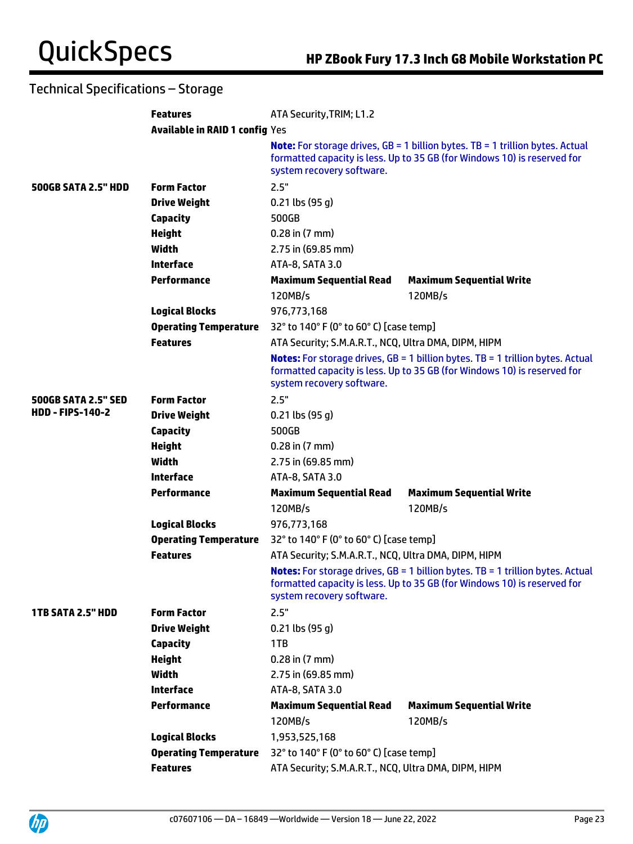|                            | <b>Features</b>                       | ATA Security, TRIM; L1.2                             |                                                                                                                                                                     |  |
|----------------------------|---------------------------------------|------------------------------------------------------|---------------------------------------------------------------------------------------------------------------------------------------------------------------------|--|
|                            | <b>Available in RAID 1 config Yes</b> |                                                      |                                                                                                                                                                     |  |
|                            |                                       | system recovery software.                            | <b>Note:</b> For storage drives, $GB = 1$ billion bytes. TB = 1 trillion bytes. Actual<br>formatted capacity is less. Up to 35 GB (for Windows 10) is reserved for  |  |
| <b>500GB SATA 2.5" HDD</b> | <b>Form Factor</b>                    | 2.5"                                                 |                                                                                                                                                                     |  |
|                            | <b>Drive Weight</b>                   | $0.21$ lbs (95 g)                                    |                                                                                                                                                                     |  |
|                            | <b>Capacity</b>                       | 500GB                                                |                                                                                                                                                                     |  |
|                            | <b>Height</b>                         | $0.28$ in $(7 \text{ mm})$                           |                                                                                                                                                                     |  |
|                            | Width                                 | 2.75 in (69.85 mm)                                   |                                                                                                                                                                     |  |
|                            | <b>Interface</b>                      | ATA-8, SATA 3.0                                      |                                                                                                                                                                     |  |
|                            | <b>Performance</b>                    | <b>Maximum Sequential Read</b>                       | <b>Maximum Sequential Write</b>                                                                                                                                     |  |
|                            |                                       | 120MB/s                                              | 120MB/s                                                                                                                                                             |  |
|                            | <b>Logical Blocks</b>                 | 976,773,168                                          |                                                                                                                                                                     |  |
|                            | <b>Operating Temperature</b>          | 32° to 140° F (0° to 60° C) [case temp]              |                                                                                                                                                                     |  |
|                            | <b>Features</b>                       | ATA Security; S.M.A.R.T., NCQ, Ultra DMA, DIPM, HIPM |                                                                                                                                                                     |  |
|                            |                                       | system recovery software.                            | <b>Notes:</b> For storage drives, GB = 1 billion bytes. TB = 1 trillion bytes. Actual<br>formatted capacity is less. Up to 35 GB (for Windows 10) is reserved for   |  |
| <b>500GB SATA 2.5" SED</b> | <b>Form Factor</b>                    | 2.5"                                                 |                                                                                                                                                                     |  |
| <b>HDD - FIPS-140-2</b>    | <b>Drive Weight</b>                   | $0.21$ lbs (95 g)                                    |                                                                                                                                                                     |  |
|                            | <b>Capacity</b>                       | 500GB                                                |                                                                                                                                                                     |  |
|                            | <b>Height</b>                         | $0.28$ in $(7 \text{ mm})$                           |                                                                                                                                                                     |  |
|                            | Width                                 | 2.75 in (69.85 mm)                                   |                                                                                                                                                                     |  |
|                            | <b>Interface</b>                      | ATA-8, SATA 3.0                                      |                                                                                                                                                                     |  |
|                            | <b>Performance</b>                    | <b>Maximum Sequential Read</b>                       | <b>Maximum Sequential Write</b>                                                                                                                                     |  |
|                            |                                       | 120MB/s                                              | 120MB/s                                                                                                                                                             |  |
|                            | <b>Logical Blocks</b>                 | 976,773,168                                          |                                                                                                                                                                     |  |
|                            | <b>Operating Temperature</b>          | 32° to 140° F (0° to 60° C) [case temp]              |                                                                                                                                                                     |  |
|                            | <b>Features</b>                       | ATA Security; S.M.A.R.T., NCQ, Ultra DMA, DIPM, HIPM |                                                                                                                                                                     |  |
|                            |                                       | system recovery software.                            | <b>Notes:</b> For storage drives, $GB = 1$ billion bytes. TB = 1 trillion bytes. Actual<br>formatted capacity is less. Up to 35 GB (for Windows 10) is reserved for |  |
| <b>1TB SATA 2.5" HDD</b>   | <b>Form Factor</b>                    | 2.5"                                                 |                                                                                                                                                                     |  |
|                            | <b>Drive Weight</b>                   | $0.21$ lbs (95 g)                                    |                                                                                                                                                                     |  |
|                            | <b>Capacity</b>                       | 1TB                                                  |                                                                                                                                                                     |  |
|                            | <b>Height</b>                         | $0.28$ in $(7$ mm $)$                                |                                                                                                                                                                     |  |
|                            | <b>Width</b>                          | 2.75 in (69.85 mm)                                   |                                                                                                                                                                     |  |
|                            | <b>Interface</b>                      | ATA-8, SATA 3.0                                      |                                                                                                                                                                     |  |
|                            | <b>Performance</b>                    | <b>Maximum Sequential Read</b>                       | <b>Maximum Sequential Write</b>                                                                                                                                     |  |
|                            |                                       | 120MB/s                                              | 120MB/s                                                                                                                                                             |  |
|                            | <b>Logical Blocks</b>                 | 1,953,525,168                                        |                                                                                                                                                                     |  |
|                            | <b>Operating Temperature</b>          | 32° to 140° F (0° to 60° C) [case temp]              |                                                                                                                                                                     |  |
|                            | <b>Features</b>                       | ATA Security; S.M.A.R.T., NCQ, Ultra DMA, DIPM, HIPM |                                                                                                                                                                     |  |

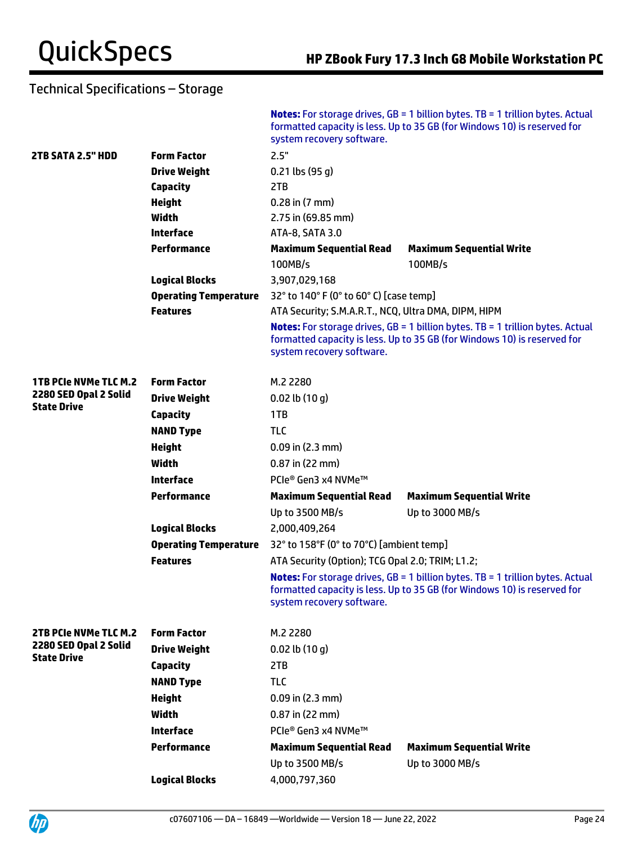|                              |                              | system recovery software.                            | <b>Notes:</b> For storage drives, $GB = 1$ billion bytes. TB = 1 trillion bytes. Actual<br>formatted capacity is less. Up to 35 GB (for Windows 10) is reserved for |
|------------------------------|------------------------------|------------------------------------------------------|---------------------------------------------------------------------------------------------------------------------------------------------------------------------|
| 2TB SATA 2.5" HDD            | <b>Form Factor</b>           | 2.5"                                                 |                                                                                                                                                                     |
|                              | <b>Drive Weight</b>          | $0.21$ lbs (95 g)                                    |                                                                                                                                                                     |
|                              | <b>Capacity</b>              | 2TB                                                  |                                                                                                                                                                     |
|                              | <b>Height</b>                | $0.28$ in $(7 \text{ mm})$                           |                                                                                                                                                                     |
|                              | <b>Width</b>                 | 2.75 in (69.85 mm)                                   |                                                                                                                                                                     |
|                              | <b>Interface</b>             | ATA-8, SATA 3.0                                      |                                                                                                                                                                     |
|                              | <b>Performance</b>           | <b>Maximum Sequential Read</b>                       | <b>Maximum Sequential Write</b>                                                                                                                                     |
|                              |                              | 100MB/s                                              | 100MB/s                                                                                                                                                             |
|                              | <b>Logical Blocks</b>        | 3,907,029,168                                        |                                                                                                                                                                     |
|                              | <b>Operating Temperature</b> | 32° to 140° F (0° to 60° C) [case temp]              |                                                                                                                                                                     |
|                              | <b>Features</b>              | ATA Security; S.M.A.R.T., NCQ, Ultra DMA, DIPM, HIPM |                                                                                                                                                                     |
|                              |                              | system recovery software.                            | <b>Notes:</b> For storage drives, $GB = 1$ billion bytes. TB = 1 trillion bytes. Actual<br>formatted capacity is less. Up to 35 GB (for Windows 10) is reserved for |
| <b>1TB PCIe NVMe TLC M.2</b> | <b>Form Factor</b>           | M.2 2280                                             |                                                                                                                                                                     |
| 2280 SED Opal 2 Solid        | <b>Drive Weight</b>          | $0.02$ lb $(10 g)$                                   |                                                                                                                                                                     |
| <b>State Drive</b>           | <b>Capacity</b>              | 1TB                                                  |                                                                                                                                                                     |
|                              | <b>NAND Type</b>             | <b>TLC</b>                                           |                                                                                                                                                                     |
|                              | <b>Height</b>                | $0.09$ in $(2.3$ mm)                                 |                                                                                                                                                                     |
|                              | Width                        | $0.87$ in (22 mm)                                    |                                                                                                                                                                     |
|                              | <b>Interface</b>             | PCIe® Gen3 x4 NVMe™                                  |                                                                                                                                                                     |
|                              | <b>Performance</b>           | <b>Maximum Sequential Read</b>                       | <b>Maximum Sequential Write</b>                                                                                                                                     |
|                              |                              | Up to 3500 MB/s                                      | Up to 3000 MB/s                                                                                                                                                     |
|                              | <b>Logical Blocks</b>        | 2,000,409,264                                        |                                                                                                                                                                     |
|                              | <b>Operating Temperature</b> | 32° to 158°F (0° to 70°C) [ambient temp]             |                                                                                                                                                                     |
|                              | <b>Features</b>              | ATA Security (Option); TCG Opal 2.0; TRIM; L1.2;     |                                                                                                                                                                     |
|                              |                              | system recovery software.                            | <b>Notes:</b> For storage drives, $GB = 1$ billion bytes. TB = 1 trillion bytes. Actual<br>formatted capacity is less. Up to 35 GB (for Windows 10) is reserved for |
| 2TB PCIe NVMe TLC M.2        | <b>Form Factor</b>           | M.2 2280                                             |                                                                                                                                                                     |
| 2280 SED Opal 2 Solid        | <b>Drive Weight</b>          | $0.02$ lb $(10q)$                                    |                                                                                                                                                                     |
| <b>State Drive</b>           | <b>Capacity</b>              | 2TB                                                  |                                                                                                                                                                     |
|                              | <b>NAND Type</b>             | <b>TLC</b>                                           |                                                                                                                                                                     |
|                              | <b>Height</b>                | $0.09$ in $(2.3$ mm)                                 |                                                                                                                                                                     |
|                              | Width                        | $0.87$ in (22 mm)                                    |                                                                                                                                                                     |
|                              | <b>Interface</b>             | PCIe® Gen3 x4 NVMe™                                  |                                                                                                                                                                     |
|                              | Performance                  | <b>Maximum Sequential Read</b>                       | <b>Maximum Sequential Write</b>                                                                                                                                     |
|                              |                              | Up to 3500 MB/s                                      | Up to 3000 MB/s                                                                                                                                                     |
|                              | <b>Logical Blocks</b>        | 4,000,797,360                                        |                                                                                                                                                                     |
|                              |                              |                                                      |                                                                                                                                                                     |

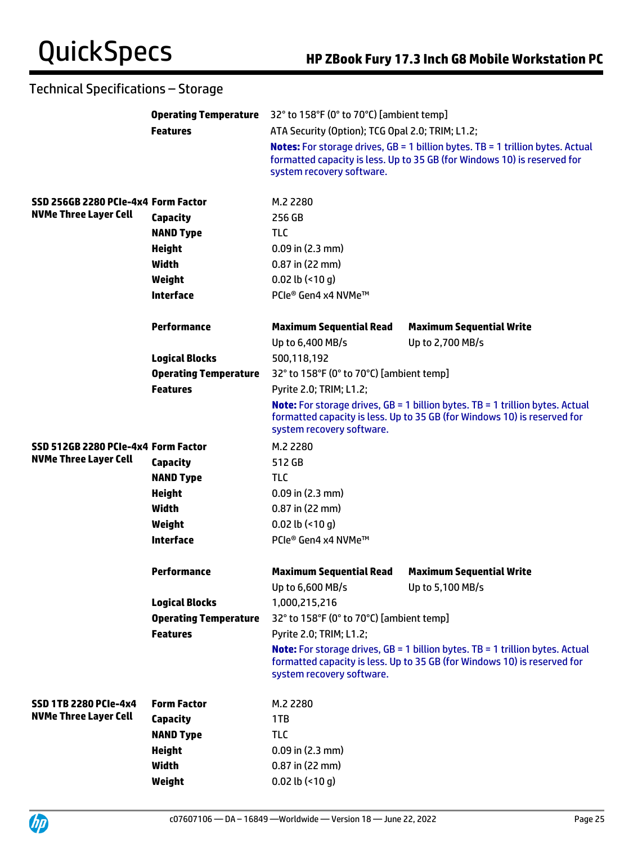|                                     |                              | <b>Operating Temperature</b> 32° to 158°F (0° to 70°C) [ambient temp] |                                                                                                                                                                     |  |
|-------------------------------------|------------------------------|-----------------------------------------------------------------------|---------------------------------------------------------------------------------------------------------------------------------------------------------------------|--|
|                                     | <b>Features</b>              | ATA Security (Option); TCG Opal 2.0; TRIM; L1.2;                      |                                                                                                                                                                     |  |
|                                     |                              | system recovery software.                                             | <b>Notes:</b> For storage drives, $GB = 1$ billion bytes. TB = 1 trillion bytes. Actual<br>formatted capacity is less. Up to 35 GB (for Windows 10) is reserved for |  |
| SSD 256GB 2280 PCIe-4x4 Form Factor |                              | M.2 2280                                                              |                                                                                                                                                                     |  |
| <b>NVMe Three Layer Cell</b>        | <b>Capacity</b>              | 256 GB                                                                |                                                                                                                                                                     |  |
|                                     | <b>NAND Type</b>             | <b>TLC</b>                                                            |                                                                                                                                                                     |  |
|                                     | <b>Height</b>                | $0.09$ in (2.3 mm)                                                    |                                                                                                                                                                     |  |
|                                     | Width                        | $0.87$ in (22 mm)                                                     |                                                                                                                                                                     |  |
|                                     | Weight                       | 0.02 lb $($ <10 g)                                                    |                                                                                                                                                                     |  |
|                                     | <b>Interface</b>             | PCIe® Gen4 x4 NVMe™                                                   |                                                                                                                                                                     |  |
|                                     | <b>Performance</b>           | <b>Maximum Sequential Read</b>                                        | <b>Maximum Sequential Write</b>                                                                                                                                     |  |
|                                     |                              | Up to 6,400 MB/s                                                      | Up to 2,700 MB/s                                                                                                                                                    |  |
|                                     | <b>Logical Blocks</b>        | 500,118,192                                                           |                                                                                                                                                                     |  |
|                                     | <b>Operating Temperature</b> | 32° to 158°F (0° to 70°C) [ambient temp]                              |                                                                                                                                                                     |  |
|                                     | <b>Features</b>              | Pyrite 2.0; TRIM; L1.2;                                               |                                                                                                                                                                     |  |
|                                     |                              | system recovery software.                                             | <b>Note:</b> For storage drives, $GB = 1$ billion bytes. TB = 1 trillion bytes. Actual<br>formatted capacity is less. Up to 35 GB (for Windows 10) is reserved for  |  |
| SSD 512GB 2280 PCIe-4x4 Form Factor |                              | M.2 2280                                                              |                                                                                                                                                                     |  |
| <b>NVMe Three Layer Cell</b>        | <b>Capacity</b>              | 512 GB                                                                |                                                                                                                                                                     |  |
|                                     | <b>NAND Type</b>             | <b>TLC</b>                                                            |                                                                                                                                                                     |  |
|                                     | <b>Height</b>                | $0.09$ in (2.3 mm)                                                    |                                                                                                                                                                     |  |
|                                     | Width                        | 0.87 in (22 mm)                                                       |                                                                                                                                                                     |  |
|                                     | Weight                       | 0.02 lb $($ <10 g)                                                    |                                                                                                                                                                     |  |
|                                     | <b>Interface</b>             | PCIe® Gen4 x4 NVMe™                                                   |                                                                                                                                                                     |  |
|                                     | <b>Performance</b>           | <b>Maximum Sequential Read</b><br>Up to 6,600 MB/s                    | <b>Maximum Sequential Write</b><br>Up to 5,100 MB/s                                                                                                                 |  |
|                                     | <b>Logical Blocks</b>        | 1,000,215,216                                                         |                                                                                                                                                                     |  |
|                                     | <b>Operating Temperature</b> | 32° to 158°F (0° to 70°C) [ambient temp]                              |                                                                                                                                                                     |  |
|                                     | <b>Features</b>              | Pyrite 2.0; TRIM; L1.2;                                               |                                                                                                                                                                     |  |
|                                     |                              | system recovery software.                                             | Note: For storage drives, GB = 1 billion bytes. TB = 1 trillion bytes. Actual<br>formatted capacity is less. Up to 35 GB (for Windows 10) is reserved for           |  |
| <b>SSD 1TB 2280 PCIe-4x4</b>        | <b>Form Factor</b>           | M.2 2280                                                              |                                                                                                                                                                     |  |
| <b>NVMe Three Layer Cell</b>        | <b>Capacity</b>              | 1TB                                                                   |                                                                                                                                                                     |  |
|                                     | <b>NAND Type</b>             | <b>TLC</b>                                                            |                                                                                                                                                                     |  |
|                                     | <b>Height</b>                | $0.09$ in (2.3 mm)                                                    |                                                                                                                                                                     |  |
|                                     | <b>Width</b>                 | 0.87 in (22 mm)                                                       |                                                                                                                                                                     |  |
|                                     | Weight                       | $0.02$ lb (<10 g)                                                     |                                                                                                                                                                     |  |

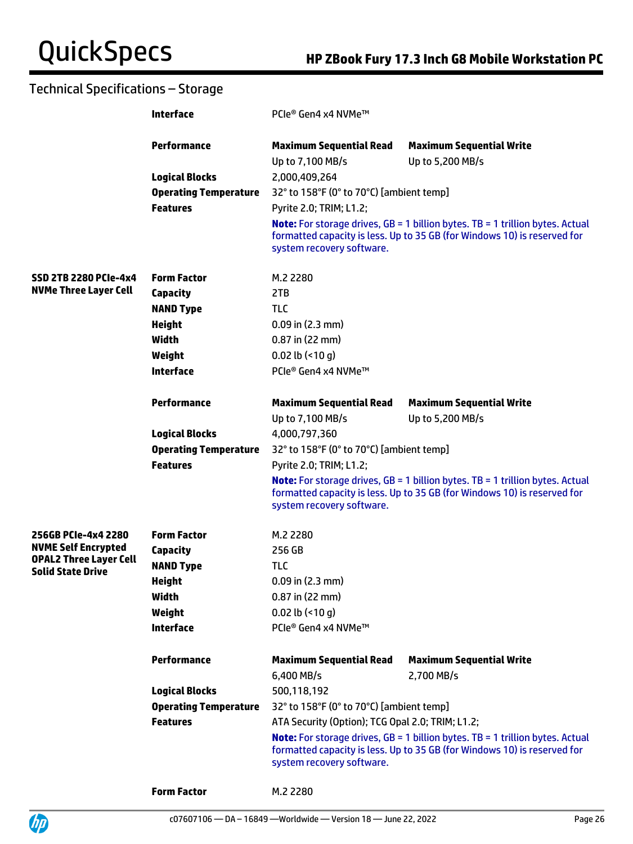|                                                              | <b>Interface</b>             | PCIe® Gen4 x4 NVMe™                                |                                                                                                                                                                    |
|--------------------------------------------------------------|------------------------------|----------------------------------------------------|--------------------------------------------------------------------------------------------------------------------------------------------------------------------|
|                                                              | <b>Performance</b>           | <b>Maximum Sequential Read</b><br>Up to 7,100 MB/s | <b>Maximum Sequential Write</b><br>Up to 5,200 MB/s                                                                                                                |
|                                                              | <b>Logical Blocks</b>        | 2,000,409,264                                      |                                                                                                                                                                    |
|                                                              | <b>Operating Temperature</b> | 32° to 158°F (0° to 70°C) [ambient temp]           |                                                                                                                                                                    |
|                                                              | <b>Features</b>              | Pyrite 2.0; TRIM; L1.2;                            |                                                                                                                                                                    |
|                                                              |                              | system recovery software.                          | <b>Note:</b> For storage drives, GB = 1 billion bytes. TB = 1 trillion bytes. Actual<br>formatted capacity is less. Up to 35 GB (for Windows 10) is reserved for   |
| <b>SSD 2TB 2280 PCIe-4x4</b><br><b>NVMe Three Layer Cell</b> | <b>Form Factor</b>           | M.2 2280                                           |                                                                                                                                                                    |
|                                                              | Capacity                     | 2TB                                                |                                                                                                                                                                    |
|                                                              | <b>NAND Type</b>             | <b>TLC</b>                                         |                                                                                                                                                                    |
|                                                              | <b>Height</b>                | $0.09$ in $(2.3$ mm)                               |                                                                                                                                                                    |
|                                                              | Width                        | $0.87$ in (22 mm)                                  |                                                                                                                                                                    |
|                                                              | Weight                       | 0.02 lb $($ <10 g)                                 |                                                                                                                                                                    |
|                                                              | <b>Interface</b>             | PCIe® Gen4 x4 NVMe™                                |                                                                                                                                                                    |
|                                                              | <b>Performance</b>           | <b>Maximum Sequential Read</b>                     | <b>Maximum Sequential Write</b>                                                                                                                                    |
|                                                              |                              | Up to 7,100 MB/s                                   | Up to 5,200 MB/s                                                                                                                                                   |
|                                                              | <b>Logical Blocks</b>        | 4,000,797,360                                      |                                                                                                                                                                    |
|                                                              | <b>Operating Temperature</b> | 32° to 158°F (0° to 70°C) [ambient temp]           |                                                                                                                                                                    |
|                                                              | <b>Features</b>              | Pyrite 2.0; TRIM; L1.2;                            |                                                                                                                                                                    |
|                                                              |                              | system recovery software.                          | <b>Note:</b> For storage drives, $GB = 1$ billion bytes. TB = 1 trillion bytes. Actual<br>formatted capacity is less. Up to 35 GB (for Windows 10) is reserved for |
| 256GB PCIe-4x4 2280                                          | <b>Form Factor</b>           | M.2 2280                                           |                                                                                                                                                                    |
| <b>NVME Self Encrypted</b>                                   | Capacity                     | 256 GB                                             |                                                                                                                                                                    |
| <b>OPAL2 Three Layer Cell</b><br><b>Solid State Drive</b>    | <b>NAND Type</b>             | <b>TLC</b>                                         |                                                                                                                                                                    |
|                                                              | <b>Height</b>                | 0.09 in (2.3 mm)                                   |                                                                                                                                                                    |
|                                                              | Width                        | $0.87$ in (22 mm)                                  |                                                                                                                                                                    |
|                                                              | Weight                       | $0.02$ lb (<10 g)                                  |                                                                                                                                                                    |
|                                                              | <b>Interface</b>             | PCIe® Gen4 x4 NVMe™                                |                                                                                                                                                                    |
|                                                              | <b>Performance</b>           | <b>Maximum Sequential Read</b>                     | <b>Maximum Sequential Write</b>                                                                                                                                    |
|                                                              |                              | 6,400 MB/s                                         | 2,700 MB/s                                                                                                                                                         |
|                                                              | <b>Logical Blocks</b>        | 500,118,192                                        |                                                                                                                                                                    |
|                                                              | <b>Operating Temperature</b> | 32° to 158°F (0° to 70°C) [ambient temp]           |                                                                                                                                                                    |
|                                                              | <b>Features</b>              | ATA Security (Option); TCG Opal 2.0; TRIM; L1.2;   |                                                                                                                                                                    |
|                                                              |                              | system recovery software.                          | <b>Note:</b> For storage drives, $GB = 1$ billion bytes. TB = 1 trillion bytes. Actual<br>formatted capacity is less. Up to 35 GB (for Windows 10) is reserved for |
|                                                              | <b>Form Factor</b>           | M.2 2280                                           |                                                                                                                                                                    |

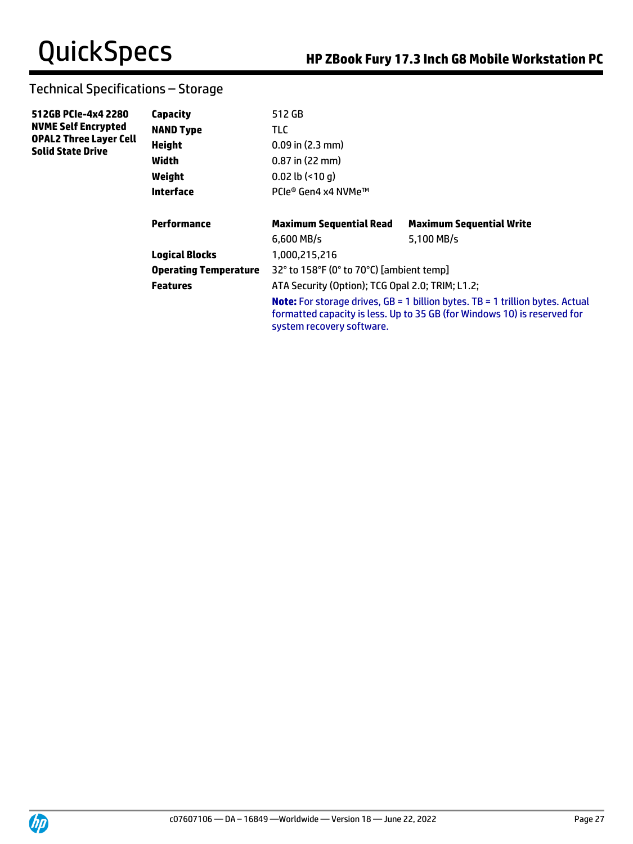| 512GB PCIe-4x4 2280<br><b>NVME Self Encrypted</b>         | Capacity                     | 512 GB                                           |                                                                                                                                                                    |  |
|-----------------------------------------------------------|------------------------------|--------------------------------------------------|--------------------------------------------------------------------------------------------------------------------------------------------------------------------|--|
|                                                           | <b>NAND Type</b>             | TLC.                                             |                                                                                                                                                                    |  |
| <b>OPAL2 Three Layer Cell</b><br><b>Solid State Drive</b> | <b>Height</b>                | $0.09$ in $(2.3$ mm)                             |                                                                                                                                                                    |  |
|                                                           | Width                        | $0.87$ in (22 mm)                                |                                                                                                                                                                    |  |
|                                                           | Weight                       | $0.02$ lb $($ <10 q)                             |                                                                                                                                                                    |  |
|                                                           | Interface                    | PCle® Gen4 x4 NVMe™                              |                                                                                                                                                                    |  |
|                                                           | Performance                  | <b>Maximum Sequential Read</b>                   | <b>Maximum Sequential Write</b>                                                                                                                                    |  |
|                                                           |                              | $6,600$ MB/s                                     | 5,100 MB/s                                                                                                                                                         |  |
|                                                           | <b>Logical Blocks</b>        | 1,000,215,216                                    |                                                                                                                                                                    |  |
|                                                           | <b>Operating Temperature</b> | 32° to 158°F (0° to 70°C) [ambient temp]         |                                                                                                                                                                    |  |
|                                                           | <b>Features</b>              | ATA Security (Option); TCG Opal 2.0; TRIM; L1.2; |                                                                                                                                                                    |  |
|                                                           |                              | system recovery software.                        | <b>Note:</b> For storage drives, $GB = 1$ billion bytes. TB = 1 trillion bytes. Actual<br>formatted capacity is less. Up to 35 GB (for Windows 10) is reserved for |  |

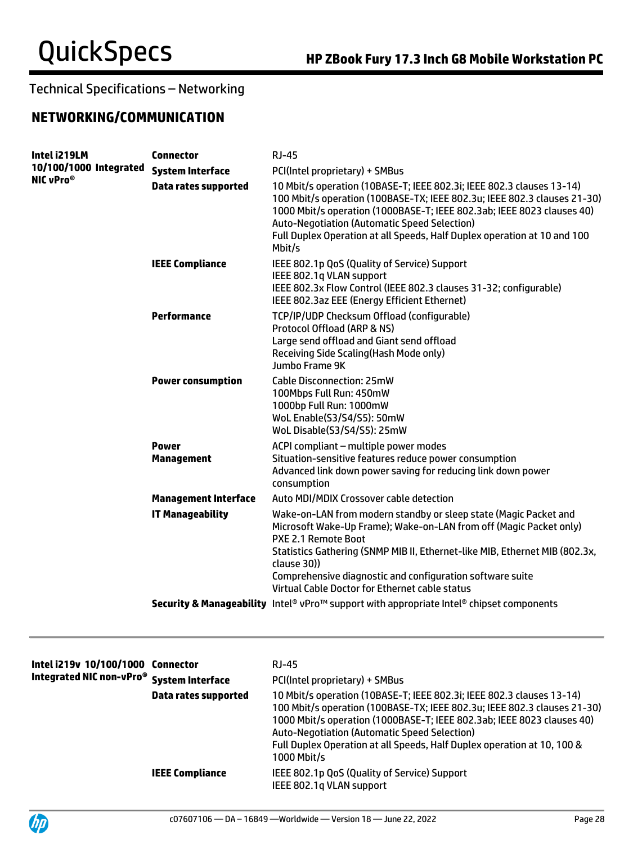## **NETWORKING/COMMUNICATION**

| Intel i219LM                                    | <b>Connector</b>                  | <b>RJ-45</b>                                                                                                                                                                                                                                                                                                                                                                      |
|-------------------------------------------------|-----------------------------------|-----------------------------------------------------------------------------------------------------------------------------------------------------------------------------------------------------------------------------------------------------------------------------------------------------------------------------------------------------------------------------------|
| 10/100/1000 Integrated<br>NIC vPro <sup>®</sup> | <b>System Interface</b>           | PCI(Intel proprietary) + SMBus                                                                                                                                                                                                                                                                                                                                                    |
|                                                 | <b>Data rates supported</b>       | 10 Mbit/s operation (10BASE-T; IEEE 802.3i; IEEE 802.3 clauses 13-14)<br>100 Mbit/s operation (100BASE-TX; IEEE 802.3u; IEEE 802.3 clauses 21-30)<br>1000 Mbit/s operation (1000BASE-T; IEEE 802.3ab; IEEE 8023 clauses 40)<br><b>Auto-Negotiation (Automatic Speed Selection)</b><br>Full Duplex Operation at all Speeds, Half Duplex operation at 10 and 100<br>Mbit/s          |
|                                                 | <b>IEEE Compliance</b>            | IEEE 802.1p QoS (Quality of Service) Support<br>IEEE 802.1q VLAN support<br>IEEE 802.3x Flow Control (IEEE 802.3 clauses 31-32; configurable)<br>IEEE 802.3az EEE (Energy Efficient Ethernet)                                                                                                                                                                                     |
|                                                 | Performance                       | TCP/IP/UDP Checksum Offload (configurable)<br>Protocol Offload (ARP & NS)<br>Large send offload and Giant send offload<br>Receiving Side Scaling (Hash Mode only)<br>Jumbo Frame 9K                                                                                                                                                                                               |
|                                                 | <b>Power consumption</b>          | <b>Cable Disconnection: 25mW</b><br>100Mbps Full Run: 450mW<br>1000bp Full Run: 1000mW<br>WoL Enable(S3/S4/S5): 50mW<br>WoL Disable(S3/S4/S5): 25mW                                                                                                                                                                                                                               |
|                                                 | <b>Power</b><br><b>Management</b> | ACPI compliant - multiple power modes<br>Situation-sensitive features reduce power consumption<br>Advanced link down power saving for reducing link down power<br>consumption                                                                                                                                                                                                     |
|                                                 | <b>Management Interface</b>       | Auto MDI/MDIX Crossover cable detection                                                                                                                                                                                                                                                                                                                                           |
|                                                 | <b>IT Manageability</b>           | Wake-on-LAN from modern standby or sleep state (Magic Packet and<br>Microsoft Wake-Up Frame); Wake-on-LAN from off (Magic Packet only)<br><b>PXE 2.1 Remote Boot</b><br>Statistics Gathering (SNMP MIB II, Ethernet-like MIB, Ethernet MIB (802.3x,<br>clause 30))<br>Comprehensive diagnostic and configuration software suite<br>Virtual Cable Doctor for Ethernet cable status |
|                                                 |                                   | Security & Manageability Intel® vPro™ support with appropriate Intel® chipset components                                                                                                                                                                                                                                                                                          |
|                                                 |                                   |                                                                                                                                                                                                                                                                                                                                                                                   |

| Intel i219v 10/100/1000 Connector<br>Integrated NIC non-vPro <sup>®</sup> System Interface | Data rates supported   | RJ-45<br>PCI(Intel proprietary) + SMBus<br>10 Mbit/s operation (10BASE-T; IEEE 802.3i; IEEE 802.3 clauses 13-14)<br>100 Mbit/s operation (100BASE-TX; IEEE 802.3u; IEEE 802.3 clauses 21-30)<br>1000 Mbit/s operation (1000BASE-T; IEEE 802.3ab; IEEE 8023 clauses 40)<br><b>Auto-Negotiation (Automatic Speed Selection)</b><br>Full Duplex Operation at all Speeds, Half Duplex operation at 10, 100 &<br>1000 Mbit/s |
|--------------------------------------------------------------------------------------------|------------------------|-------------------------------------------------------------------------------------------------------------------------------------------------------------------------------------------------------------------------------------------------------------------------------------------------------------------------------------------------------------------------------------------------------------------------|
|                                                                                            | <b>IEEE Compliance</b> | IEEE 802.1p QoS (Quality of Service) Support<br>IEEE 802.1g VLAN support                                                                                                                                                                                                                                                                                                                                                |

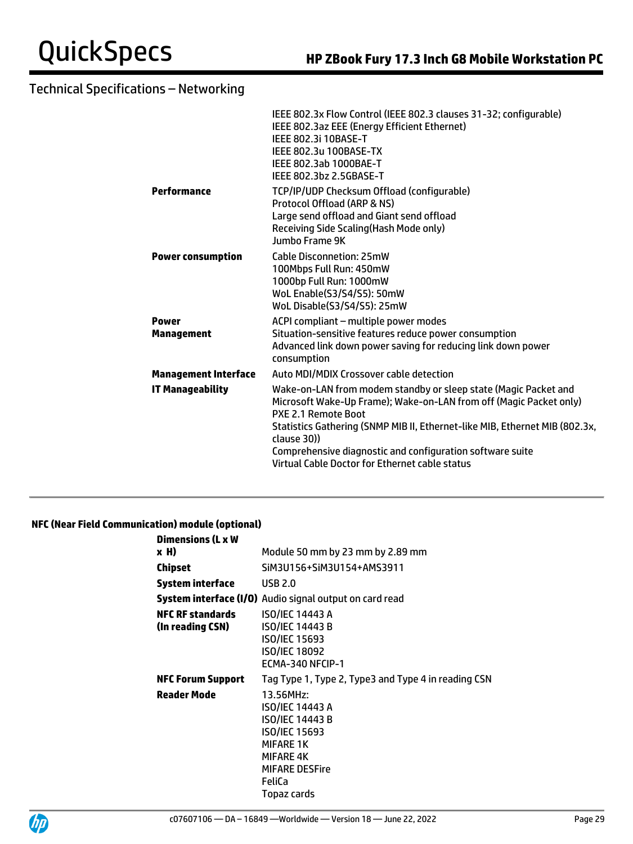| IEEE 802.3x Flow Control (IEEE 802.3 clauses 31-32; configurable)<br>IEEE 802.3az EEE (Energy Efficient Ethernet)<br><b>IEEE 802.3i 10BASE-T</b><br>IEEE 802.3u 100BASE-TX<br>IEEE 802.3ab 1000BAE-T<br>IEEE 802.3bz 2.5GBASE-T                                                                                                                                           |
|---------------------------------------------------------------------------------------------------------------------------------------------------------------------------------------------------------------------------------------------------------------------------------------------------------------------------------------------------------------------------|
| TCP/IP/UDP Checksum Offload (configurable)<br>Protocol Offload (ARP & NS)<br>Large send offload and Giant send offload<br>Receiving Side Scaling (Hash Mode only)<br>Jumbo Frame 9K                                                                                                                                                                                       |
| Cable Disconnetion: 25mW<br>100Mbps Full Run: 450mW<br>1000bp Full Run: 1000mW<br>WoL Enable(S3/S4/S5): 50mW<br>WoL Disable(S3/S4/S5): 25mW                                                                                                                                                                                                                               |
| ACPI compliant - multiple power modes<br>Situation-sensitive features reduce power consumption<br>Advanced link down power saving for reducing link down power<br>consumption                                                                                                                                                                                             |
| Auto MDI/MDIX Crossover cable detection                                                                                                                                                                                                                                                                                                                                   |
| Wake-on-LAN from modem standby or sleep state (Magic Packet and<br>Microsoft Wake-Up Frame); Wake-on-LAN from off (Magic Packet only)<br>PXE 2.1 Remote Boot<br>Statistics Gathering (SNMP MIB II, Ethernet-like MIB, Ethernet MIB (802.3x,<br>clause 30))<br>Comprehensive diagnostic and configuration software suite<br>Virtual Cable Doctor for Ethernet cable status |
|                                                                                                                                                                                                                                                                                                                                                                           |

### **NFC (Near Field Communication) module (optional)**

| <b>Dimensions (L x W</b>                    |                                                                                                                                                            |  |  |
|---------------------------------------------|------------------------------------------------------------------------------------------------------------------------------------------------------------|--|--|
| x H)                                        | Module 50 mm by 23 mm by 2.89 mm                                                                                                                           |  |  |
| Chipset                                     | SiM3U156+SiM3U154+AMS3911                                                                                                                                  |  |  |
| System interface                            | <b>USB 2.0</b>                                                                                                                                             |  |  |
|                                             | <b>System interface (I/O)</b> Audio signal output on card read                                                                                             |  |  |
| <b>NFC RF standards</b><br>(In reading CSN) | <b>ISO/IEC 14443 A</b><br><b>ISO/IEC 14443 B</b><br>ISO/IEC 15693<br><b>ISO/IEC 18092</b><br>ECMA-340 NFCIP-1                                              |  |  |
| <b>NFC Forum Support</b>                    | Tag Type 1, Type 2, Type3 and Type 4 in reading CSN                                                                                                        |  |  |
| <b>Reader Mode</b>                          | 13.56MHz:<br>ISO/IEC 14443 A<br>ISO/IEC 14443 B<br>ISO/IEC 15693<br><b>MIFARE 1K</b><br><b>MIFARE 4K</b><br><b>MIFARE DESFire</b><br>FeliCa<br>Topaz cards |  |  |

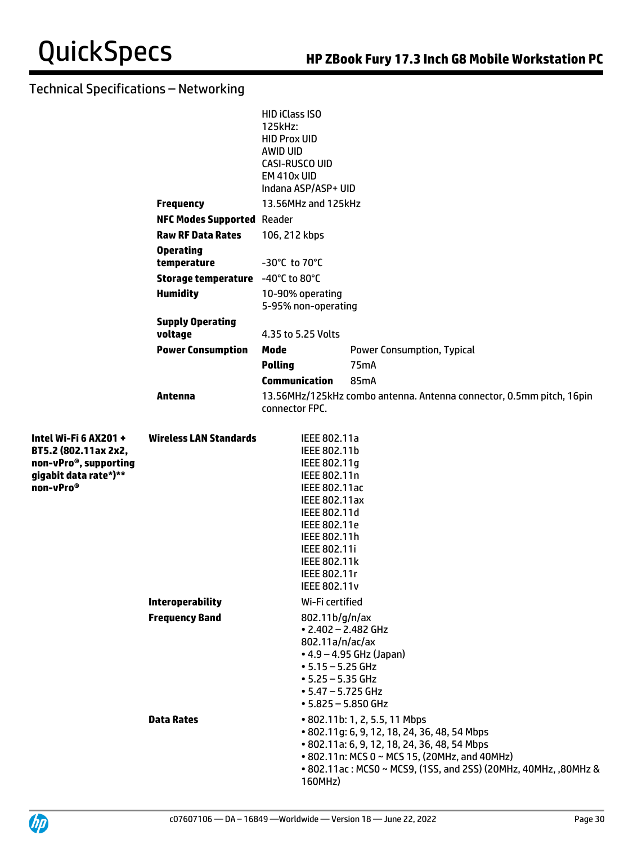|                                                                                                                          |                                            | HID iClass ISO<br>125kHz:<br><b>HID Prox UID</b><br>AWID UID<br><b>CASI-RUSCO UID</b><br>EM 410x UID<br>Indana ASP/ASP+ UID                                                                                                  |                                                                                                                                                            |
|--------------------------------------------------------------------------------------------------------------------------|--------------------------------------------|------------------------------------------------------------------------------------------------------------------------------------------------------------------------------------------------------------------------------|------------------------------------------------------------------------------------------------------------------------------------------------------------|
|                                                                                                                          | <b>Frequency</b>                           | 13.56MHz and 125kHz                                                                                                                                                                                                          |                                                                                                                                                            |
|                                                                                                                          | <b>NFC Modes Supported Reader</b>          |                                                                                                                                                                                                                              |                                                                                                                                                            |
|                                                                                                                          | <b>Raw RF Data Rates</b>                   | 106, 212 kbps                                                                                                                                                                                                                |                                                                                                                                                            |
|                                                                                                                          | <b>Operating</b><br>temperature            | $-30^{\circ}$ C to 70 $^{\circ}$ C                                                                                                                                                                                           |                                                                                                                                                            |
|                                                                                                                          | Storage temperature -40°C to 80°C          |                                                                                                                                                                                                                              |                                                                                                                                                            |
|                                                                                                                          | <b>Humidity</b>                            | 10-90% operating<br>5-95% non-operating                                                                                                                                                                                      |                                                                                                                                                            |
|                                                                                                                          | <b>Supply Operating</b><br>voltage         | 4.35 to 5.25 Volts                                                                                                                                                                                                           |                                                                                                                                                            |
|                                                                                                                          | <b>Power Consumption</b>                   | Mode                                                                                                                                                                                                                         | <b>Power Consumption, Typical</b>                                                                                                                          |
|                                                                                                                          |                                            | <b>Polling</b>                                                                                                                                                                                                               | 75 <sub>m</sub> A                                                                                                                                          |
|                                                                                                                          |                                            | <b>Communication</b>                                                                                                                                                                                                         | 85mA                                                                                                                                                       |
|                                                                                                                          | Antenna                                    | connector FPC.                                                                                                                                                                                                               | 13.56MHz/125kHz combo antenna. Antenna connector, 0.5mm pitch, 16pin                                                                                       |
| Intel Wi-Fi 6 AX201 +<br>BT5.2 (802.11ax 2x2,<br>non-vPro®, supporting<br>gigabit data rate*)**<br>non-vPro <sup>®</sup> | <b>Wireless LAN Standards</b>              | IEEE 802.11a<br>IEEE 802.11b<br>IEEE 802.11g<br>IEEE 802.11n<br>IEEE 802.11ac<br><b>IEEE 802.11ax</b><br>IEEE 802.11d<br>IEEE 802.11e<br>IEEE 802.11h<br><b>IEEE 802.11i</b><br>IEEE 802.11k<br>IEEE 802.11r<br>IEEE 802.11v |                                                                                                                                                            |
|                                                                                                                          | <b>Interoperability</b>                    | Wi-Fi certified                                                                                                                                                                                                              |                                                                                                                                                            |
|                                                                                                                          | <b>Frequency Band</b><br><b>Data Rates</b> | 802.11b/g/n/ax<br>• 2.402 - 2.482 GHz<br>802.11a/n/ac/ax<br>$• 5.15 - 5.25$ GHz<br>$• 5.25 - 5.35$ GHz<br>$• 5.47 - 5.725$ GHz<br>$• 5.825 - 5.850$ GHz                                                                      | $-4.9 - 4.95$ GHz (Japan)<br>• 802.11b: 1, 2, 5.5, 11 Mbps<br>• 802.11g: 6, 9, 12, 18, 24, 36, 48, 54 Mbps<br>• 802.11a: 6, 9, 12, 18, 24, 36, 48, 54 Mbps |
|                                                                                                                          |                                            | 160MHz)                                                                                                                                                                                                                      | • 802.11n: MCS 0 ~ MCS 15, (20MHz, and 40MHz)<br>• 802.11ac: MCS0 ~ MCS9, (1SS, and 2SS) (20MHz, 40MHz, ,80MHz &                                           |

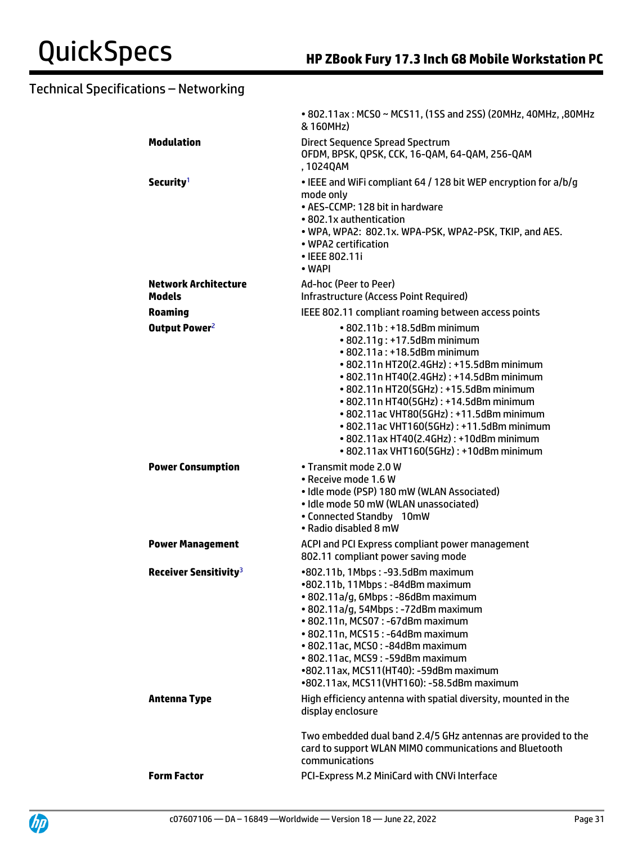|                                   | • 802.11ax: MCS0 ~ MCS11, (1SS and 2SS) (20MHz, 40MHz, ,80MHz<br>& 160MHz)                                                                                                                                                                                                                                                                                                                                                                                  |
|-----------------------------------|-------------------------------------------------------------------------------------------------------------------------------------------------------------------------------------------------------------------------------------------------------------------------------------------------------------------------------------------------------------------------------------------------------------------------------------------------------------|
| <b>Modulation</b>                 | <b>Direct Sequence Spread Spectrum</b><br>OFDM, BPSK, QPSK, CCK, 16-QAM, 64-QAM, 256-QAM<br>, 1024QAM                                                                                                                                                                                                                                                                                                                                                       |
| Security <sup>1</sup>             | . IEEE and WiFi compliant 64 / 128 bit WEP encryption for a/b/g<br>mode only<br>• AES-CCMP: 128 bit in hardware<br>• 802.1x authentication<br>. WPA, WPA2: 802.1x. WPA-PSK, WPA2-PSK, TKIP, and AES.<br>• WPA2 certification<br>• IEEE 802.11i<br>• WAPI                                                                                                                                                                                                    |
| <b>Network Architecture</b>       | Ad-hoc (Peer to Peer)                                                                                                                                                                                                                                                                                                                                                                                                                                       |
| <b>Models</b>                     | Infrastructure (Access Point Required)                                                                                                                                                                                                                                                                                                                                                                                                                      |
| <b>Roaming</b>                    | IEEE 802.11 compliant roaming between access points                                                                                                                                                                                                                                                                                                                                                                                                         |
| Output Power <sup>2</sup>         | $\cdot$ 802.11b : +18.5dBm minimum<br>• 802.11g: +17.5dBm minimum<br>• 802.11a: +18.5dBm minimum<br>• 802.11n HT20(2.4GHz): +15.5dBm minimum<br>• 802.11n HT40(2.4GHz): +14.5dBm minimum<br>• 802.11n HT20(5GHz): +15.5dBm minimum<br>• 802.11n HT40(5GHz): +14.5dBm minimum<br>• 802.11ac VHT80(5GHz): +11.5dBm minimum<br>• 802.11ac VHT160(5GHz): +11.5dBm minimum<br>• 802.11ax HT40(2.4GHz): +10dBm minimum<br>• 802.11ax VHT160(5GHz): +10dBm minimum |
| <b>Power Consumption</b>          | • Transmit mode 2.0 W<br>• Receive mode 1.6 W<br>· Idle mode (PSP) 180 mW (WLAN Associated)<br>• Idle mode 50 mW (WLAN unassociated)<br>• Connected Standby 10mW<br>• Radio disabled 8 mW                                                                                                                                                                                                                                                                   |
| <b>Power Management</b>           | ACPI and PCI Express compliant power management<br>802.11 compliant power saving mode                                                                                                                                                                                                                                                                                                                                                                       |
| Receiver Sensitivity <sup>3</sup> | •802.11b, 1Mbps: -93.5dBm maximum<br>•802.11b, 11Mbps: -84dBm maximum<br>· 802.11a/g, 6Mbps: -86dBm maximum<br>• 802.11a/g, 54Mbps: -72dBm maximum<br>• 802.11n, MCS07: -67dBm maximum<br>• 802.11n, MCS15: -64dBm maximum<br>• 802.11ac, MCS0: -84dBm maximum<br>• 802.11ac, MCS9: -59dBm maximum<br>•802.11ax, MCS11(HT40): -59dBm maximum<br>•802.11ax, MCS11(VHT160): -58.5dBm maximum                                                                  |
| <b>Antenna Type</b>               | High efficiency antenna with spatial diversity, mounted in the<br>display enclosure                                                                                                                                                                                                                                                                                                                                                                         |
|                                   | Two embedded dual band 2.4/5 GHz antennas are provided to the<br>card to support WLAN MIMO communications and Bluetooth<br>communications                                                                                                                                                                                                                                                                                                                   |
| <b>Form Factor</b>                | PCI-Express M.2 MiniCard with CNVi Interface                                                                                                                                                                                                                                                                                                                                                                                                                |

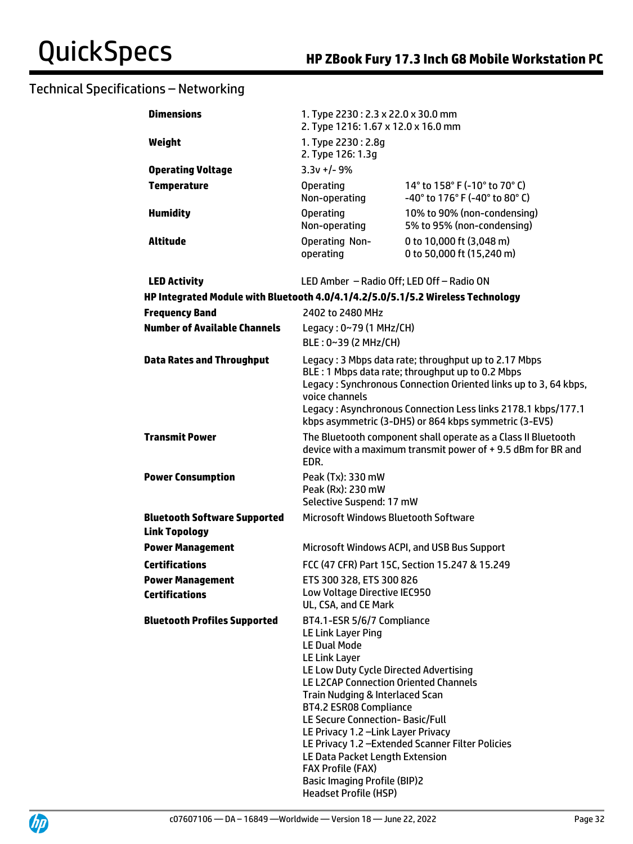| <b>Dimensions</b>                                                               | 1. Type 2230: 2.3 x 22.0 x 30.0 mm<br>2. Type 1216: 1.67 x 12.0 x 16.0 mm                                                                                                                                                                                                                                                                                                                                                                                                                                                    |                                                                 |  |
|---------------------------------------------------------------------------------|------------------------------------------------------------------------------------------------------------------------------------------------------------------------------------------------------------------------------------------------------------------------------------------------------------------------------------------------------------------------------------------------------------------------------------------------------------------------------------------------------------------------------|-----------------------------------------------------------------|--|
| Weight                                                                          | 1. Type 2230: 2.8g<br>2. Type 126: 1.3g                                                                                                                                                                                                                                                                                                                                                                                                                                                                                      |                                                                 |  |
| <b>Operating Voltage</b>                                                        | $3.3v + 1 - 9%$                                                                                                                                                                                                                                                                                                                                                                                                                                                                                                              |                                                                 |  |
| <b>Temperature</b>                                                              | <b>Operating</b><br>Non-operating                                                                                                                                                                                                                                                                                                                                                                                                                                                                                            | 14° to 158° F (-10° to 70° C)<br>-40° to 176° F (-40° to 80° C) |  |
| <b>Humidity</b>                                                                 | <b>Operating</b><br>Non-operating                                                                                                                                                                                                                                                                                                                                                                                                                                                                                            | 10% to 90% (non-condensing)<br>5% to 95% (non-condensing)       |  |
| <b>Altitude</b>                                                                 | <b>Operating Non-</b><br>operating                                                                                                                                                                                                                                                                                                                                                                                                                                                                                           | 0 to 10,000 ft (3,048 m)<br>0 to 50,000 ft (15,240 m)           |  |
| <b>LED Activity</b>                                                             | LED Amber - Radio Off; LED Off - Radio ON                                                                                                                                                                                                                                                                                                                                                                                                                                                                                    |                                                                 |  |
| HP Integrated Module with Bluetooth 4.0/4.1/4.2/5.0/5.1/5.2 Wireless Technology |                                                                                                                                                                                                                                                                                                                                                                                                                                                                                                                              |                                                                 |  |
| <b>Frequency Band</b>                                                           | 2402 to 2480 MHz                                                                                                                                                                                                                                                                                                                                                                                                                                                                                                             |                                                                 |  |
| <b>Number of Available Channels</b>                                             | Legacy: 0~79 (1 MHz/CH)<br>BLE: 0~39 (2 MHz/CH)                                                                                                                                                                                                                                                                                                                                                                                                                                                                              |                                                                 |  |
| <b>Data Rates and Throughput</b>                                                | Legacy: 3 Mbps data rate; throughput up to 2.17 Mbps<br>BLE: 1 Mbps data rate; throughput up to 0.2 Mbps<br>Legacy: Synchronous Connection Oriented links up to 3, 64 kbps,<br>voice channels<br>Legacy: Asynchronous Connection Less links 2178.1 kbps/177.1<br>kbps asymmetric (3-DH5) or 864 kbps symmetric (3-EV5)                                                                                                                                                                                                       |                                                                 |  |
| <b>Transmit Power</b>                                                           | The Bluetooth component shall operate as a Class II Bluetooth<br>device with a maximum transmit power of +9.5 dBm for BR and<br>EDR.                                                                                                                                                                                                                                                                                                                                                                                         |                                                                 |  |
| <b>Power Consumption</b>                                                        | Peak (Tx): 330 mW<br>Peak (Rx): 230 mW<br>Selective Suspend: 17 mW                                                                                                                                                                                                                                                                                                                                                                                                                                                           |                                                                 |  |
| <b>Bluetooth Software Supported</b><br><b>Link Topology</b>                     | Microsoft Windows Bluetooth Software                                                                                                                                                                                                                                                                                                                                                                                                                                                                                         |                                                                 |  |
| <b>Power Management</b>                                                         | Microsoft Windows ACPI, and USB Bus Support                                                                                                                                                                                                                                                                                                                                                                                                                                                                                  |                                                                 |  |
| <b>Certifications</b>                                                           | FCC (47 CFR) Part 15C, Section 15.247 & 15.249                                                                                                                                                                                                                                                                                                                                                                                                                                                                               |                                                                 |  |
| <b>Power Management</b><br><b>Certifications</b>                                | ETS 300 328, ETS 300 826<br>Low Voltage Directive IEC950<br>UL, CSA, and CE Mark                                                                                                                                                                                                                                                                                                                                                                                                                                             |                                                                 |  |
| <b>Bluetooth Profiles Supported</b>                                             | BT4.1-ESR 5/6/7 Compliance<br><b>LE Link Layer Ping</b><br><b>LE Dual Mode</b><br>LE Link Layer<br>LE Low Duty Cycle Directed Advertising<br>LE L2CAP Connection Oriented Channels<br>Train Nudging & Interlaced Scan<br><b>BT4.2 ESR08 Compliance</b><br>LE Secure Connection- Basic/Full<br>LE Privacy 1.2 - Link Layer Privacy<br>LE Privacy 1.2 - Extended Scanner Filter Policies<br>LE Data Packet Length Extension<br><b>FAX Profile (FAX)</b><br><b>Basic Imaging Profile (BIP)2</b><br><b>Headset Profile (HSP)</b> |                                                                 |  |

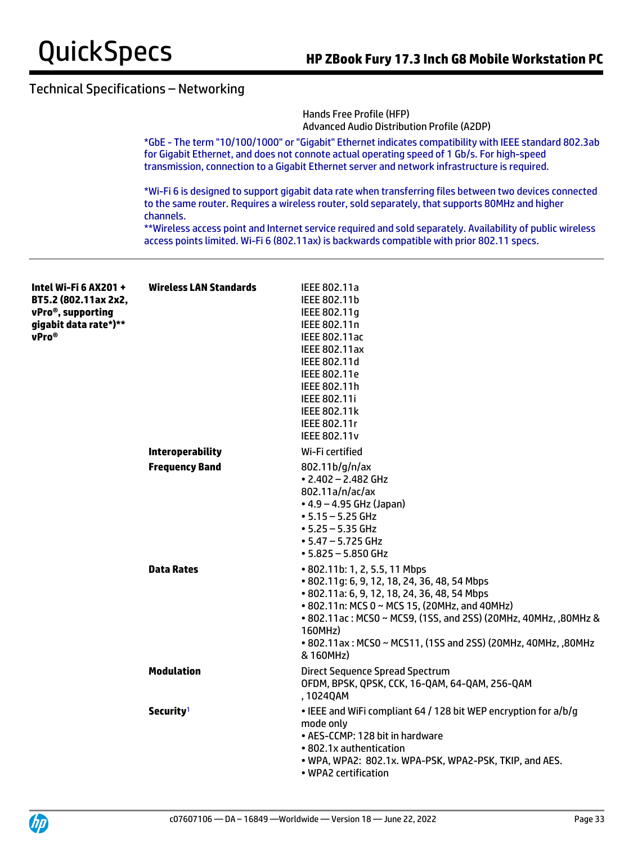

|                       |                                                                                                                                                                                                                                                                                                        | Hands Free Profile (HFP)<br><b>Advanced Audio Distribution Profile (A2DP)</b>                                                                                                                              |  |  |
|-----------------------|--------------------------------------------------------------------------------------------------------------------------------------------------------------------------------------------------------------------------------------------------------------------------------------------------------|------------------------------------------------------------------------------------------------------------------------------------------------------------------------------------------------------------|--|--|
|                       | *GbE - The term "10/100/1000" or "Gigabit" Ethernet indicates compatibility with IEEE standard 802.3ab<br>for Gigabit Ethernet, and does not connote actual operating speed of 1 Gb/s. For high-speed<br>transmission, connection to a Gigabit Ethernet server and network infrastructure is required. |                                                                                                                                                                                                            |  |  |
|                       | channels.                                                                                                                                                                                                                                                                                              | *Wi-Fi 6 is designed to support gigabit data rate when transferring files between two devices connected<br>to the same router. Requires a wireless router, sold separately, that supports 80MHz and higher |  |  |
|                       |                                                                                                                                                                                                                                                                                                        | **Wireless access point and Internet service required and sold separately. Availability of public wireless<br>access points limited. Wi-Fi 6 (802.11ax) is backwards compatible with prior 802.11 specs.   |  |  |
| Intel Wi-Fi 6 AX201 + | <b>Wireless LAN Standards</b>                                                                                                                                                                                                                                                                          | IEEE 802.11a                                                                                                                                                                                               |  |  |
| BT5.2 (802.11ax 2x2,  |                                                                                                                                                                                                                                                                                                        | IEEE 802.11b                                                                                                                                                                                               |  |  |
| vPro®, supporting     |                                                                                                                                                                                                                                                                                                        | IEEE 802.11g                                                                                                                                                                                               |  |  |
| gigabit data rate*)** |                                                                                                                                                                                                                                                                                                        | IEEE 802.11n                                                                                                                                                                                               |  |  |
| vPro <sup>®</sup>     |                                                                                                                                                                                                                                                                                                        | IEEE 802.11ac                                                                                                                                                                                              |  |  |
|                       |                                                                                                                                                                                                                                                                                                        | <b>IEEE 802.11ax</b><br>IEEE 802.11d                                                                                                                                                                       |  |  |
|                       |                                                                                                                                                                                                                                                                                                        | IEEE 802.11e                                                                                                                                                                                               |  |  |
|                       |                                                                                                                                                                                                                                                                                                        | IEEE 802.11h                                                                                                                                                                                               |  |  |
|                       |                                                                                                                                                                                                                                                                                                        | IEEE 802.11i                                                                                                                                                                                               |  |  |
|                       |                                                                                                                                                                                                                                                                                                        | <b>IEEE 802.11k</b>                                                                                                                                                                                        |  |  |
|                       |                                                                                                                                                                                                                                                                                                        | IEEE 802.11r                                                                                                                                                                                               |  |  |
|                       |                                                                                                                                                                                                                                                                                                        | <b>IEEE 802.11v</b>                                                                                                                                                                                        |  |  |
|                       | <b>Interoperability</b>                                                                                                                                                                                                                                                                                | Wi-Fi certified                                                                                                                                                                                            |  |  |
|                       | <b>Frequency Band</b>                                                                                                                                                                                                                                                                                  | 802.11b/g/n/ax                                                                                                                                                                                             |  |  |
|                       |                                                                                                                                                                                                                                                                                                        | $\cdot$ 2.402 - 2.482 GHz<br>802.11a/n/ac/ax                                                                                                                                                               |  |  |
|                       |                                                                                                                                                                                                                                                                                                        | $\bullet$ 4.9 – 4.95 GHz (Japan)                                                                                                                                                                           |  |  |
|                       |                                                                                                                                                                                                                                                                                                        | $• 5.15 - 5.25$ GHz                                                                                                                                                                                        |  |  |
|                       |                                                                                                                                                                                                                                                                                                        | $• 5.25 - 5.35$ GHz                                                                                                                                                                                        |  |  |
|                       |                                                                                                                                                                                                                                                                                                        | $\cdot$ 5.47 - 5.725 GHz                                                                                                                                                                                   |  |  |
|                       |                                                                                                                                                                                                                                                                                                        | $-5.825 - 5.850$ GHz                                                                                                                                                                                       |  |  |
|                       | <b>Data Rates</b>                                                                                                                                                                                                                                                                                      | • 802.11b: 1, 2, 5.5, 11 Mbps                                                                                                                                                                              |  |  |
|                       |                                                                                                                                                                                                                                                                                                        | • 802.11g: 6, 9, 12, 18, 24, 36, 48, 54 Mbps                                                                                                                                                               |  |  |
|                       |                                                                                                                                                                                                                                                                                                        | • 802.11a: 6, 9, 12, 18, 24, 36, 48, 54 Mbps<br>• 802.11n: MCS 0 ~ MCS 15, (20MHz, and 40MHz)                                                                                                              |  |  |
|                       |                                                                                                                                                                                                                                                                                                        | • 802.11ac: MCS0 ~ MCS9, (1SS, and 2SS) (20MHz, 40MHz, ,80MHz &                                                                                                                                            |  |  |
|                       |                                                                                                                                                                                                                                                                                                        | 160MHz)                                                                                                                                                                                                    |  |  |
|                       |                                                                                                                                                                                                                                                                                                        | • 802.11ax: MCS0 ~ MCS11, (1SS and 2SS) (20MHz, 40MHz, ,80MHz                                                                                                                                              |  |  |
|                       |                                                                                                                                                                                                                                                                                                        | & 160MHz)                                                                                                                                                                                                  |  |  |
|                       | <b>Modulation</b>                                                                                                                                                                                                                                                                                      | Direct Sequence Spread Spectrum                                                                                                                                                                            |  |  |
|                       |                                                                                                                                                                                                                                                                                                        | OFDM, BPSK, QPSK, CCK, 16-QAM, 64-QAM, 256-QAM                                                                                                                                                             |  |  |
|                       |                                                                                                                                                                                                                                                                                                        | , 1024QAM                                                                                                                                                                                                  |  |  |
|                       | Security <sup>1</sup>                                                                                                                                                                                                                                                                                  | • IEEE and WiFi compliant 64 / 128 bit WEP encryption for a/b/g                                                                                                                                            |  |  |
|                       |                                                                                                                                                                                                                                                                                                        | mode only                                                                                                                                                                                                  |  |  |
|                       |                                                                                                                                                                                                                                                                                                        | • AES-CCMP: 128 bit in hardware<br>• 802.1x authentication                                                                                                                                                 |  |  |
|                       |                                                                                                                                                                                                                                                                                                        | • WPA, WPA2: 802.1x. WPA-PSK, WPA2-PSK, TKIP, and AES.                                                                                                                                                     |  |  |
|                       |                                                                                                                                                                                                                                                                                                        | • WPA2 certification                                                                                                                                                                                       |  |  |

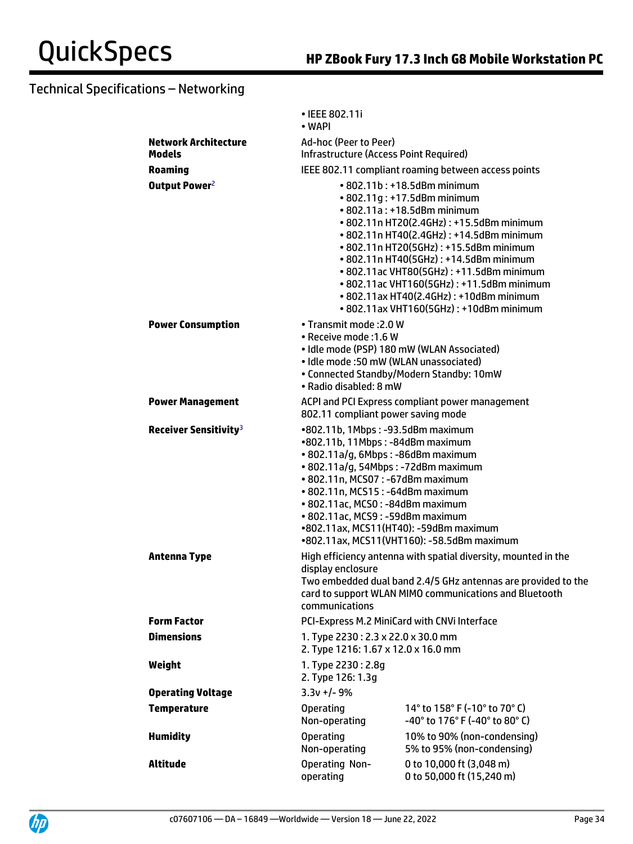|                                   | • IEEE 802.11i<br>• WAPI                                                                                                                                                                                                                                                                                                                                                                                                                                                                                    |                                                                 |  |
|-----------------------------------|-------------------------------------------------------------------------------------------------------------------------------------------------------------------------------------------------------------------------------------------------------------------------------------------------------------------------------------------------------------------------------------------------------------------------------------------------------------------------------------------------------------|-----------------------------------------------------------------|--|
| <b>Network Architecture</b>       | Ad-hoc (Peer to Peer)                                                                                                                                                                                                                                                                                                                                                                                                                                                                                       |                                                                 |  |
| Models                            | Infrastructure (Access Point Required)                                                                                                                                                                                                                                                                                                                                                                                                                                                                      |                                                                 |  |
| <b>Roaming</b>                    |                                                                                                                                                                                                                                                                                                                                                                                                                                                                                                             |                                                                 |  |
| Output Power <sup>2</sup>         | IEEE 802.11 compliant roaming between access points<br>• 802.11b: +18.5dBm minimum<br>• 802.11g: +17.5dBm minimum<br>• 802.11a: +18.5dBm minimum<br>• 802.11n HT20(2.4GHz): +15.5dBm minimum<br>• 802.11n HT40(2.4GHz): +14.5dBm minimum<br>• 802.11n HT20(5GHz): +15.5dBm minimum<br>• 802.11n HT40(5GHz): +14.5dBm minimum<br>• 802.11ac VHT80(5GHz): +11.5dBm minimum<br>• 802.11ac VHT160(5GHz): +11.5dBm minimum<br>• 802.11ax HT40(2.4GHz): +10dBm minimum<br>• 802.11ax VHT160(5GHz): +10dBm minimum |                                                                 |  |
| <b>Power Consumption</b>          | • Transmit mode : 2.0 W<br>• Receive mode : 1.6 W<br>• Idle mode (PSP) 180 mW (WLAN Associated)<br>• Idle mode :50 mW (WLAN unassociated)<br>• Connected Standby/Modern Standby: 10mW<br>• Radio disabled: 8 mW                                                                                                                                                                                                                                                                                             |                                                                 |  |
| <b>Power Management</b>           | ACPI and PCI Express compliant power management<br>802.11 compliant power saving mode                                                                                                                                                                                                                                                                                                                                                                                                                       |                                                                 |  |
| Receiver Sensitivity <sup>3</sup> | •802.11b, 1Mbps: -93.5dBm maximum<br>•802.11b, 11Mbps: -84dBm maximum<br>• 802.11a/g, 6Mbps: -86dBm maximum<br>· 802.11a/g, 54Mbps: -72dBm maximum<br>• 802.11n, MCS07: -67dBm maximum<br>• 802.11n, MCS15: -64dBm maximum<br>• 802.11ac, MCS0: -84dBm maximum<br>• 802.11ac, MCS9: -59dBm maximum<br>•802.11ax, MCS11(HT40): -59dBm maximum<br>•802.11ax, MCS11(VHT160): -58.5dBm maximum                                                                                                                  |                                                                 |  |
| <b>Antenna Type</b>               | High efficiency antenna with spatial diversity, mounted in the<br>display enclosure<br>Two embedded dual band 2.4/5 GHz antennas are provided to the<br>card to support WLAN MIMO communications and Bluetooth<br>communications                                                                                                                                                                                                                                                                            |                                                                 |  |
| <b>Form Factor</b>                | PCI-Express M.2 MiniCard with CNVi Interface                                                                                                                                                                                                                                                                                                                                                                                                                                                                |                                                                 |  |
| <b>Dimensions</b>                 | 1. Type 2230: 2.3 x 22.0 x 30.0 mm<br>2. Type 1216: 1.67 x 12.0 x 16.0 mm                                                                                                                                                                                                                                                                                                                                                                                                                                   |                                                                 |  |
| Weight                            | 1. Type 2230: 2.8g<br>2. Type 126: 1.3q                                                                                                                                                                                                                                                                                                                                                                                                                                                                     |                                                                 |  |
| <b>Operating Voltage</b>          | $3.3v + 1 - 9%$                                                                                                                                                                                                                                                                                                                                                                                                                                                                                             |                                                                 |  |
| <b>Temperature</b>                | <b>Operating</b><br>Non-operating                                                                                                                                                                                                                                                                                                                                                                                                                                                                           | 14° to 158° F (-10° to 70° C)<br>-40° to 176° F (-40° to 80° C) |  |
| <b>Humidity</b>                   | <b>Operating</b><br>Non-operating                                                                                                                                                                                                                                                                                                                                                                                                                                                                           | 10% to 90% (non-condensing)<br>5% to 95% (non-condensing)       |  |
| <b>Altitude</b>                   | <b>Operating Non-</b><br>operating                                                                                                                                                                                                                                                                                                                                                                                                                                                                          | 0 to 10,000 ft (3,048 m)<br>0 to 50,000 ft (15,240 m)           |  |

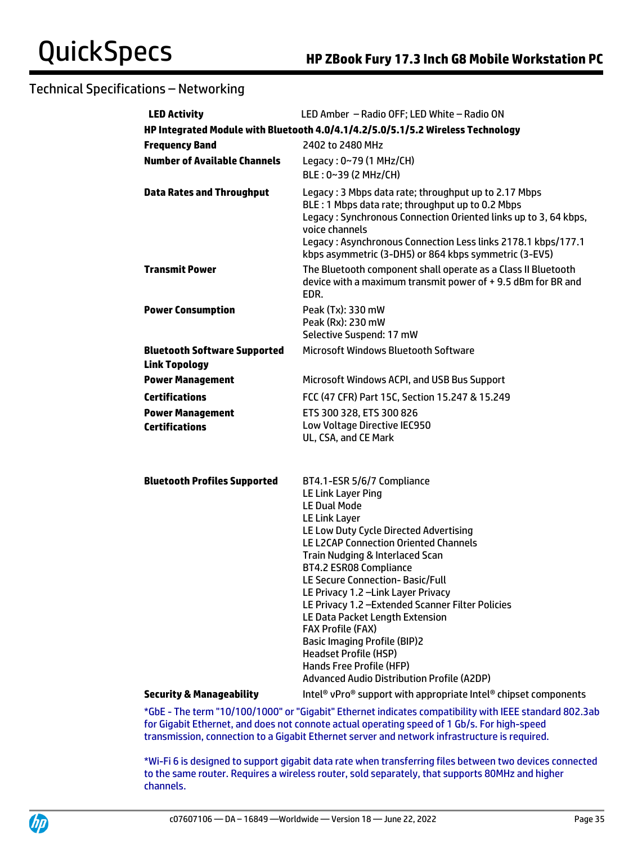| <b>LED Activity</b>                                         | LED Amber - Radio OFF; LED White - Radio ON                                                                                                                                                                                                                                                                                                                                                                                                                                                                                                                                                                  |  |  |
|-------------------------------------------------------------|--------------------------------------------------------------------------------------------------------------------------------------------------------------------------------------------------------------------------------------------------------------------------------------------------------------------------------------------------------------------------------------------------------------------------------------------------------------------------------------------------------------------------------------------------------------------------------------------------------------|--|--|
|                                                             | HP Integrated Module with Bluetooth 4.0/4.1/4.2/5.0/5.1/5.2 Wireless Technology                                                                                                                                                                                                                                                                                                                                                                                                                                                                                                                              |  |  |
| <b>Frequency Band</b>                                       | 2402 to 2480 MHz                                                                                                                                                                                                                                                                                                                                                                                                                                                                                                                                                                                             |  |  |
| <b>Number of Available Channels</b>                         | Legacy: 0~79 (1 MHz/CH)<br>BLE: 0~39 (2 MHz/CH)                                                                                                                                                                                                                                                                                                                                                                                                                                                                                                                                                              |  |  |
| <b>Data Rates and Throughput</b>                            | Legacy: 3 Mbps data rate; throughput up to 2.17 Mbps<br>BLE : 1 Mbps data rate; throughput up to 0.2 Mbps<br>Legacy: Synchronous Connection Oriented links up to 3, 64 kbps,<br>voice channels<br>Legacy: Asynchronous Connection Less links 2178.1 kbps/177.1<br>kbps asymmetric (3-DH5) or 864 kbps symmetric (3-EV5)                                                                                                                                                                                                                                                                                      |  |  |
| <b>Transmit Power</b>                                       | The Bluetooth component shall operate as a Class II Bluetooth<br>device with a maximum transmit power of +9.5 dBm for BR and<br>EDR.                                                                                                                                                                                                                                                                                                                                                                                                                                                                         |  |  |
| <b>Power Consumption</b>                                    | Peak (Tx): 330 mW<br>Peak (Rx): 230 mW<br>Selective Suspend: 17 mW                                                                                                                                                                                                                                                                                                                                                                                                                                                                                                                                           |  |  |
| <b>Bluetooth Software Supported</b><br><b>Link Topology</b> | Microsoft Windows Bluetooth Software                                                                                                                                                                                                                                                                                                                                                                                                                                                                                                                                                                         |  |  |
| <b>Power Management</b>                                     | Microsoft Windows ACPI, and USB Bus Support                                                                                                                                                                                                                                                                                                                                                                                                                                                                                                                                                                  |  |  |
| <b>Certifications</b>                                       | FCC (47 CFR) Part 15C, Section 15.247 & 15.249                                                                                                                                                                                                                                                                                                                                                                                                                                                                                                                                                               |  |  |
| <b>Power Management</b><br><b>Certifications</b>            | ETS 300 328, ETS 300 826<br>Low Voltage Directive IEC950<br>UL, CSA, and CE Mark                                                                                                                                                                                                                                                                                                                                                                                                                                                                                                                             |  |  |
| <b>Bluetooth Profiles Supported</b>                         | BT4.1-ESR 5/6/7 Compliance<br>LE Link Layer Ping<br><b>LE Dual Mode</b><br><b>LE Link Layer</b><br>LE Low Duty Cycle Directed Advertising<br>LE L2CAP Connection Oriented Channels<br>Train Nudging & Interlaced Scan<br><b>BT4.2 ESR08 Compliance</b><br>LE Secure Connection-Basic/Full<br>LE Privacy 1.2 - Link Layer Privacy<br>LE Privacy 1.2 - Extended Scanner Filter Policies<br>LE Data Packet Length Extension<br><b>FAX Profile (FAX)</b><br><b>Basic Imaging Profile (BIP)2</b><br><b>Headset Profile (HSP)</b><br>Hands Free Profile (HFP)<br><b>Advanced Audio Distribution Profile (A2DP)</b> |  |  |
| <b>Security &amp; Manageability</b>                         | Intel <sup>®</sup> vPro <sup>®</sup> support with appropriate Intel <sup>®</sup> chipset components                                                                                                                                                                                                                                                                                                                                                                                                                                                                                                          |  |  |
|                                                             | *ChE The term "10/100/1000" ex "Cigabit" Ethernet indicates compatibility with IEEE standard 002.3                                                                                                                                                                                                                                                                                                                                                                                                                                                                                                           |  |  |

\*GbE - The term "10/100/1000" or "Gigabit" Ethernet indicates compatibility with IEEE standard 802.3ab for Gigabit Ethernet, and does not connote actual operating speed of 1 Gb/s. For high-speed transmission, connection to a Gigabit Ethernet server and network infrastructure is required.

\*Wi-Fi 6 is designed to support gigabit data rate when transferring files between two devices connected to the same router. Requires a wireless router, sold separately, that supports 80MHz and higher channels.

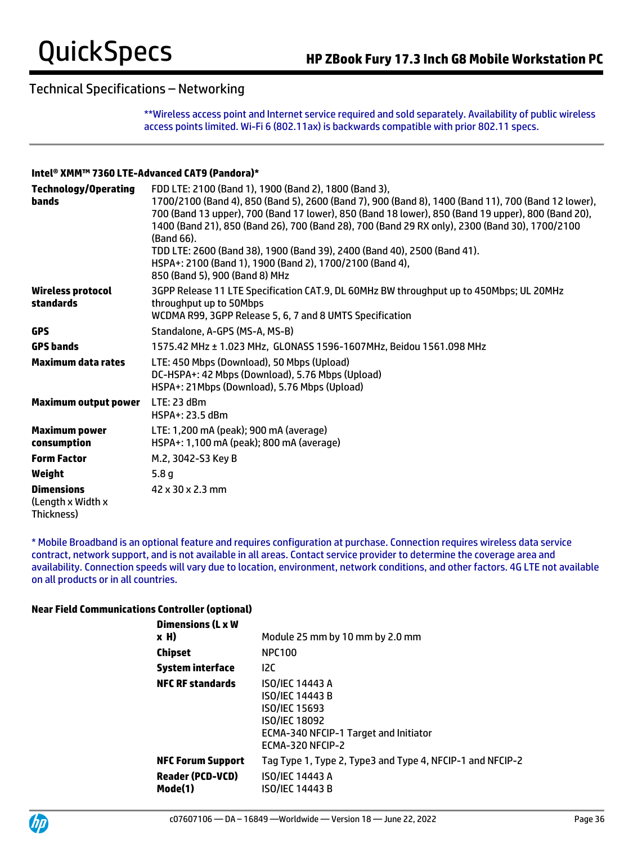\*\*Wireless access point and Internet service required and sold separately. Availability of public wireless access points limited. Wi-Fi 6 (802.11ax) is backwards compatible with prior 802.11 specs.

#### **Intel® XMM™ 7360 LTE-Advanced CAT9 (Pandora)\***

| <b>Technology/Operating</b><br>bands                 | FDD LTE: 2100 (Band 1), 1900 (Band 2), 1800 (Band 3),                                                                                                                                                                                                                                                                                                                                                                                                             |
|------------------------------------------------------|-------------------------------------------------------------------------------------------------------------------------------------------------------------------------------------------------------------------------------------------------------------------------------------------------------------------------------------------------------------------------------------------------------------------------------------------------------------------|
|                                                      | 1700/2100 (Band 4), 850 (Band 5), 2600 (Band 7), 900 (Band 8), 1400 (Band 11), 700 (Band 12 lower),<br>700 (Band 13 upper), 700 (Band 17 lower), 850 (Band 18 lower), 850 (Band 19 upper), 800 (Band 20),<br>1400 (Band 21), 850 (Band 26), 700 (Band 28), 700 (Band 29 RX only), 2300 (Band 30), 1700/2100<br>(Band 66).<br>TDD LTE: 2600 (Band 38), 1900 (Band 39), 2400 (Band 40), 2500 (Band 41).<br>HSPA+: 2100 (Band 1), 1900 (Band 2), 1700/2100 (Band 4), |
|                                                      | 850 (Band 5), 900 (Band 8) MHz                                                                                                                                                                                                                                                                                                                                                                                                                                    |
| Wireless protocol<br>standards                       | 3GPP Release 11 LTE Specification CAT.9, DL 60MHz BW throughput up to 450Mbps; UL 20MHz<br>throughput up to 50Mbps<br>WCDMA R99, 3GPP Release 5, 6, 7 and 8 UMTS Specification                                                                                                                                                                                                                                                                                    |
| <b>GPS</b>                                           | Standalone, A-GPS (MS-A, MS-B)                                                                                                                                                                                                                                                                                                                                                                                                                                    |
| <b>GPS bands</b>                                     | 1575.42 MHz ± 1.023 MHz, GLONASS 1596-1607MHz, Beidou 1561.098 MHz                                                                                                                                                                                                                                                                                                                                                                                                |
| <b>Maximum data rates</b>                            | LTE: 450 Mbps (Download), 50 Mbps (Upload)<br>DC-HSPA+: 42 Mbps (Download), 5.76 Mbps (Upload)<br>HSPA+: 21 Mbps (Download), 5.76 Mbps (Upload)                                                                                                                                                                                                                                                                                                                   |
| <b>Maximum output power</b>                          | LTE: 23 dBm<br>HSPA+: 23.5 dBm                                                                                                                                                                                                                                                                                                                                                                                                                                    |
| <b>Maximum power</b><br>consumption                  | LTE: 1,200 mA (peak); 900 mA (average)<br>HSPA+: 1,100 mA (peak); 800 mA (average)                                                                                                                                                                                                                                                                                                                                                                                |
| <b>Form Factor</b>                                   | M.2, 3042-S3 Key B                                                                                                                                                                                                                                                                                                                                                                                                                                                |
| Weight                                               | 5.8 <sub>g</sub>                                                                                                                                                                                                                                                                                                                                                                                                                                                  |
| <b>Dimensions</b><br>(Length x Width x<br>Thickness) | 42 x 30 x 2.3 mm                                                                                                                                                                                                                                                                                                                                                                                                                                                  |

\* Mobile Broadband is an optional feature and requires configuration at purchase. Connection requires wireless data service contract, network support, and is not available in all areas. Contact service provider to determine the coverage area and availability. Connection speeds will vary due to location, environment, network conditions, and other factors. 4G LTE not available on all products or in all countries.

### **Near Field Communications Controller (optional)**

| <b>Dimensions (L x W</b>                                       |                                                                                                                                                 |
|----------------------------------------------------------------|-------------------------------------------------------------------------------------------------------------------------------------------------|
| x H)                                                           | Module 25 mm by 10 mm by 2.0 mm                                                                                                                 |
| <b>Chipset</b>                                                 | <b>NPC100</b>                                                                                                                                   |
| <b>System interface</b>                                        | <b>12C</b>                                                                                                                                      |
| <b>NFC RF standards</b>                                        | <b>ISO/IEC 14443 A</b><br><b>ISO/IEC 14443 B</b><br>ISO/IEC 15693<br>ISO/IEC 18092<br>ECMA-340 NFCIP-1 Target and Initiator<br>ECMA-320 NFCIP-2 |
| <b>NFC Forum Support</b><br><b>Reader (PCD-VCD)</b><br>Mode(1) | Tag Type 1, Type 2, Type3 and Type 4, NFCIP-1 and NFCIP-2<br><b>ISO/IEC 14443 A</b><br>ISO/IEC 14443 B                                          |

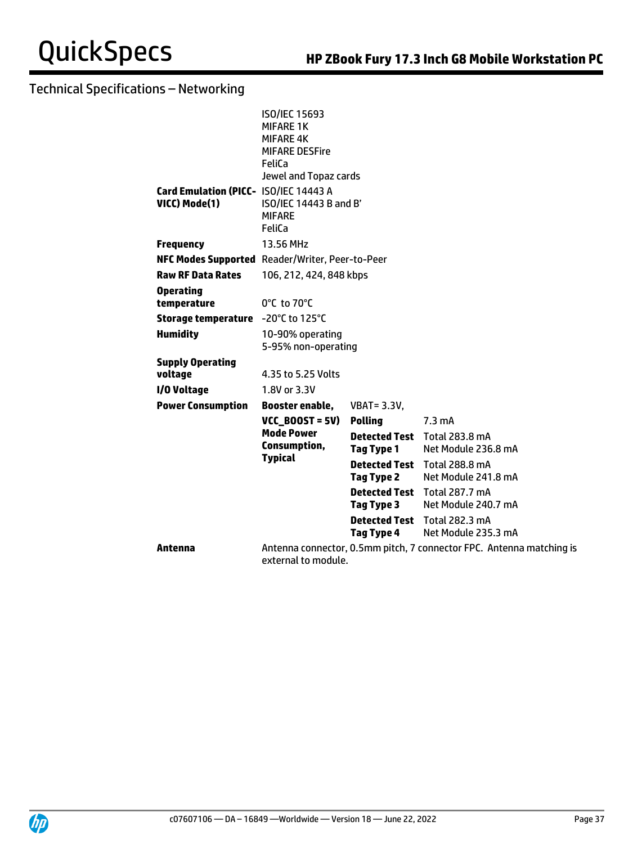|                                                        | <b>ISO/IEC 15693</b><br><b>MIFARE 1K</b><br><b>MIFARE 4K</b><br><b>MIFARE DESFire</b><br>FeliCa<br>Jewel and Topaz cards |                                           |                                                                      |
|--------------------------------------------------------|--------------------------------------------------------------------------------------------------------------------------|-------------------------------------------|----------------------------------------------------------------------|
| Card Emulation (PICC- ISO/IEC 14443 A<br>VICC) Mode(1) | ISO/IEC 14443 B and B'<br><b>MIFARE</b><br>FeliCa                                                                        |                                           |                                                                      |
| <b>Frequency</b>                                       | 13.56 MHz                                                                                                                |                                           |                                                                      |
| NFC Modes Supported Reader/Writer, Peer-to-Peer        |                                                                                                                          |                                           |                                                                      |
| <b>Raw RF Data Rates</b>                               | 106, 212, 424, 848 kbps                                                                                                  |                                           |                                                                      |
| <b>Operating</b><br>temperature                        | 0°C to 70°C                                                                                                              |                                           |                                                                      |
| Storage temperature -20°C to 125°C                     |                                                                                                                          |                                           |                                                                      |
| <b>Humidity</b>                                        | 10-90% operating<br>5-95% non-operating                                                                                  |                                           |                                                                      |
| <b>Supply Operating</b>                                |                                                                                                                          |                                           |                                                                      |
| voltage                                                | 4.35 to 5.25 Volts                                                                                                       |                                           |                                                                      |
| I/O Voltage                                            | 1.8V or 3.3V                                                                                                             |                                           |                                                                      |
| <b>Power Consumption</b>                               | Booster enable,                                                                                                          | <b>VBAT = 3.3V,</b>                       |                                                                      |
|                                                        | $VCC$ BOOST = 5V)                                                                                                        | <b>Polling</b>                            | $7.3 \text{ mA}$                                                     |
|                                                        | <b>Mode Power</b><br>Consumption,                                                                                        | <b>Detected Test</b><br><b>Tag Type 1</b> | Total 283.8 mA<br>Net Module 236.8 mA                                |
|                                                        | <b>Typical</b>                                                                                                           | <b>Detected Test</b><br><b>Tag Type 2</b> | <b>Total 288.8 mA</b><br>Net Module 241.8 mA                         |
|                                                        |                                                                                                                          | <b>Detected Test</b><br>Tag Type 3        | Total 287.7 mA<br>Net Module 240.7 mA                                |
|                                                        |                                                                                                                          | <b>Detected Test</b><br><b>Tag Type 4</b> | <b>Total 282.3 mA</b><br>Net Module 235.3 mA                         |
| Antenna                                                | external to module.                                                                                                      |                                           | Antenna connector, 0.5mm pitch, 7 connector FPC. Antenna matching is |

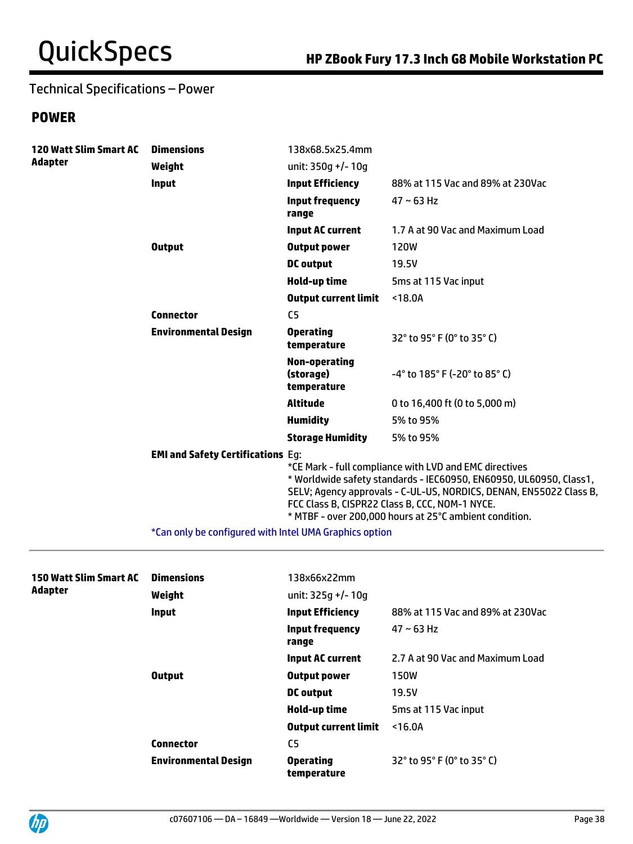## Technical Specifications – Power

## **POWER**

| <b>120 Watt Slim Smart AC</b><br><b>Adapter</b> | <b>Dimensions</b>                        | 138x68.5x25.4mm                           |                                                                                                                                                                                                                                                                                                                |
|-------------------------------------------------|------------------------------------------|-------------------------------------------|----------------------------------------------------------------------------------------------------------------------------------------------------------------------------------------------------------------------------------------------------------------------------------------------------------------|
|                                                 | Weight                                   | unit: $350q$ +/- 10q                      |                                                                                                                                                                                                                                                                                                                |
|                                                 | Input                                    | <b>Input Efficiency</b>                   | 88% at 115 Vac and 89% at 230Vac                                                                                                                                                                                                                                                                               |
|                                                 |                                          | <b>Input frequency</b><br>range           | $47 \sim 63$ Hz                                                                                                                                                                                                                                                                                                |
|                                                 |                                          | <b>Input AC current</b>                   | 1.7 A at 90 Vac and Maximum Load                                                                                                                                                                                                                                                                               |
|                                                 | <b>Output</b>                            | <b>Output power</b>                       | <b>120W</b>                                                                                                                                                                                                                                                                                                    |
|                                                 |                                          | <b>DC</b> output                          | 19.5V                                                                                                                                                                                                                                                                                                          |
|                                                 |                                          | Hold-up time                              | 5ms at 115 Vac input                                                                                                                                                                                                                                                                                           |
|                                                 |                                          | <b>Output current limit</b>               | < 18.0A                                                                                                                                                                                                                                                                                                        |
|                                                 | <b>Connector</b>                         | C <sub>5</sub>                            |                                                                                                                                                                                                                                                                                                                |
|                                                 | <b>Environmental Design</b>              | <b>Operating</b><br>temperature           | 32° to 95° F (0° to 35° C)                                                                                                                                                                                                                                                                                     |
|                                                 |                                          | Non-operating<br>(storage)<br>temperature | $-4^{\circ}$ to 185 $^{\circ}$ F (-20 $^{\circ}$ to 85 $^{\circ}$ C)                                                                                                                                                                                                                                           |
|                                                 |                                          | <b>Altitude</b>                           | 0 to 16,400 ft (0 to 5,000 m)                                                                                                                                                                                                                                                                                  |
|                                                 |                                          | <b>Humidity</b>                           | 5% to 95%                                                                                                                                                                                                                                                                                                      |
|                                                 |                                          | <b>Storage Humidity</b>                   | 5% to 95%                                                                                                                                                                                                                                                                                                      |
|                                                 | <b>EMI and Safety Certifications Eq:</b> |                                           | *CE Mark - full compliance with LVD and EMC directives<br>* Worldwide safety standards - IEC60950, EN60950, UL60950, Class1,<br>SELV; Agency approvals - C-UL-US, NORDICS, DENAN, EN55022 Class B,<br>FCC Class B, CISPR22 Class B, CCC, NOM-1 NYCE.<br>* MTBF - over 200,000 hours at 25°C ambient condition. |

\*Can only be configured with Intel UMA Graphics option

| 150 Watt Slim Smart AC<br><b>Adapter</b> | <b>Dimensions</b><br>Weight | 138x66x22mm<br>unit: $325q$ +/- 10q |                                  |
|------------------------------------------|-----------------------------|-------------------------------------|----------------------------------|
|                                          | Input                       | <b>Input Efficiency</b>             | 88% at 115 Vac and 89% at 230Vac |
|                                          |                             | <b>Input frequency</b><br>range     | $47 - 63$ Hz                     |
|                                          |                             | <b>Input AC current</b>             | 2.7 A at 90 Vac and Maximum Load |
|                                          | <b>Output</b>               | <b>Output power</b>                 | <b>150W</b>                      |
|                                          |                             | <b>DC</b> output                    | 19.5V                            |
|                                          |                             | Hold-up time                        | 5ms at 115 Vac input             |
|                                          |                             | <b>Output current limit</b>         | < 16.0A                          |
|                                          | <b>Connector</b>            | C5                                  |                                  |
|                                          | <b>Environmental Design</b> | <b>Operating</b><br>temperature     | 32° to 95° F (0° to 35° C)       |

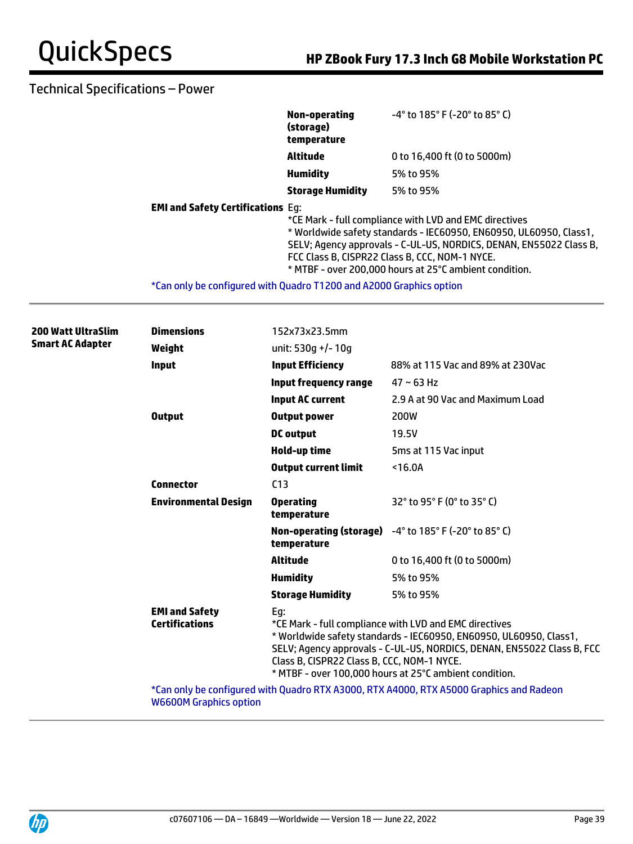## Technical Specifications – Power

|                                                                     | Non-operating<br>(storage)<br>temperature                                                                                                                                                                                                                                                                      | $-4^{\circ}$ to 185 $^{\circ}$ F (-20 $^{\circ}$ to 85 $^{\circ}$ C) |  |
|---------------------------------------------------------------------|----------------------------------------------------------------------------------------------------------------------------------------------------------------------------------------------------------------------------------------------------------------------------------------------------------------|----------------------------------------------------------------------|--|
|                                                                     | Altitude                                                                                                                                                                                                                                                                                                       | 0 to 16,400 ft (0 to 5000m)                                          |  |
|                                                                     | <b>Humidity</b>                                                                                                                                                                                                                                                                                                | 5% to 95%                                                            |  |
|                                                                     | <b>Storage Humidity</b>                                                                                                                                                                                                                                                                                        | 5% to 95%                                                            |  |
| <b>EMI and Safety Certifications Eq:</b>                            | *CE Mark - full compliance with LVD and EMC directives<br>* Worldwide safety standards - IEC60950, EN60950, UL60950, Class1,<br>SELV; Agency approvals - C-UL-US, NORDICS, DENAN, EN55022 Class B,<br>FCC Class B, CISPR22 Class B, CCC, NOM-1 NYCE.<br>* MTBF - over 200,000 hours at 25°C ambient condition. |                                                                      |  |
| *Can only be configured with Quadro T1200 and A2000 Graphics option |                                                                                                                                                                                                                                                                                                                |                                                                      |  |

| <b>200 Watt UltraSlim</b><br><b>Smart AC Adapter</b> | <b>Dimensions</b>                                                                       | 152x73x23.5mm                                     |                                                                                                                                                                                                                                                                  |
|------------------------------------------------------|-----------------------------------------------------------------------------------------|---------------------------------------------------|------------------------------------------------------------------------------------------------------------------------------------------------------------------------------------------------------------------------------------------------------------------|
|                                                      | Weight                                                                                  | unit: 530q +/- 10q                                |                                                                                                                                                                                                                                                                  |
|                                                      | <b>Input</b>                                                                            | <b>Input Efficiency</b>                           | 88% at 115 Vac and 89% at 230Vac                                                                                                                                                                                                                                 |
|                                                      |                                                                                         | <b>Input frequency range</b>                      | $47 - 63$ Hz                                                                                                                                                                                                                                                     |
|                                                      |                                                                                         | <b>Input AC current</b>                           | 2.9 A at 90 Vac and Maximum Load                                                                                                                                                                                                                                 |
|                                                      | <b>Output</b>                                                                           | <b>Output power</b>                               | 200W                                                                                                                                                                                                                                                             |
|                                                      |                                                                                         | <b>DC</b> output                                  | 19.5V                                                                                                                                                                                                                                                            |
|                                                      |                                                                                         | Hold-up time                                      | 5ms at 115 Vac input                                                                                                                                                                                                                                             |
|                                                      |                                                                                         | <b>Output current limit</b>                       | $16.0A$                                                                                                                                                                                                                                                          |
|                                                      | <b>Connector</b>                                                                        | C <sub>13</sub>                                   |                                                                                                                                                                                                                                                                  |
|                                                      | <b>Environmental Design</b>                                                             | <b>Operating</b><br>temperature                   | 32° to 95° F (0° to 35° C)                                                                                                                                                                                                                                       |
|                                                      |                                                                                         | temperature                                       | Non-operating (storage) -4° to 185° F (-20° to 85° C)                                                                                                                                                                                                            |
|                                                      |                                                                                         | <b>Altitude</b>                                   | 0 to 16,400 ft (0 to 5000m)                                                                                                                                                                                                                                      |
|                                                      |                                                                                         | <b>Humidity</b>                                   | 5% to 95%                                                                                                                                                                                                                                                        |
|                                                      |                                                                                         | <b>Storage Humidity</b>                           | 5% to 95%                                                                                                                                                                                                                                                        |
|                                                      | <b>EMI and Safety</b><br><b>Certifications</b>                                          | Eg:<br>Class B, CISPR22 Class B, CCC, NOM-1 NYCE. | *CE Mark - full compliance with LVD and EMC directives<br>* Worldwide safety standards - IEC60950, EN60950, UL60950, Class1,<br>SELV; Agency approvals - C-UL-US, NORDICS, DENAN, EN55022 Class B, FCC<br>* MTBF - over 100,000 hours at 25°C ambient condition. |
|                                                      | *Can only be configured with Quadro RTX A3000, RTX A4000, RTX A5000 Graphics and Radeon |                                                   |                                                                                                                                                                                                                                                                  |

Can only be configured with Quadro RTX A3000, RTX A4000, RTX A5000 Graphics and Radeon W6600M Graphics option

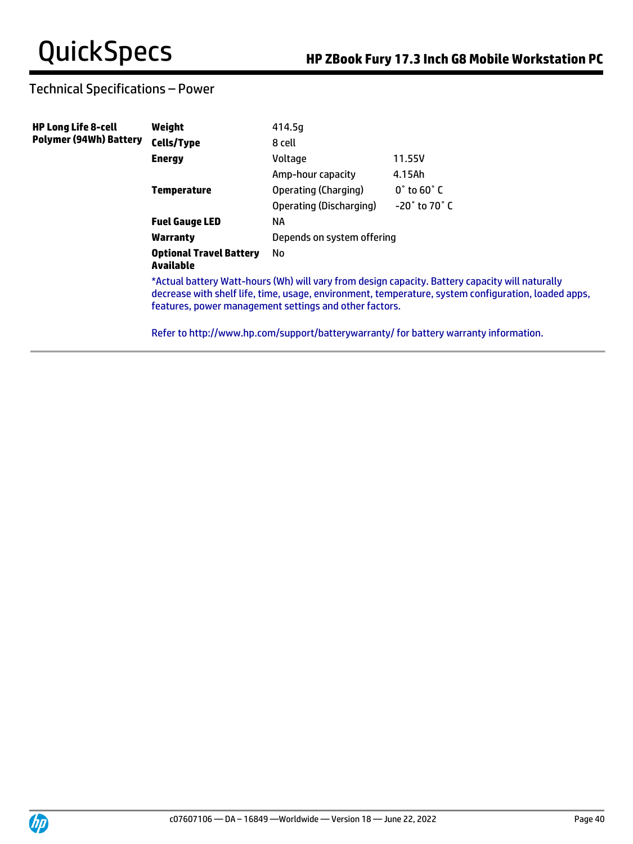## Technical Specifications – Power

| <b>HP Long Life 8-cell</b>    | Weight                                      | 414.5q                                                 |                                                                                                                                                                                                        |  |
|-------------------------------|---------------------------------------------|--------------------------------------------------------|--------------------------------------------------------------------------------------------------------------------------------------------------------------------------------------------------------|--|
| <b>Polymer (94Wh) Battery</b> | Cells/Type                                  | 8 cell                                                 |                                                                                                                                                                                                        |  |
|                               | <b>Energy</b>                               | Voltage                                                | 11.55V                                                                                                                                                                                                 |  |
|                               |                                             | Amp-hour capacity                                      | 4.15Ah                                                                                                                                                                                                 |  |
|                               | <b>Temperature</b>                          | Operating (Charging)                                   | $0^\circ$ to 60 $^\circ$ C                                                                                                                                                                             |  |
|                               |                                             | Operating (Discharging)                                | $-20^\circ$ to 70 $^\circ$ C                                                                                                                                                                           |  |
|                               | <b>Fuel Gauge LED</b>                       | ΝA                                                     |                                                                                                                                                                                                        |  |
|                               | Warranty                                    | Depends on system offering                             |                                                                                                                                                                                                        |  |
|                               | <b>Optional Travel Battery</b><br>Available | No.                                                    |                                                                                                                                                                                                        |  |
|                               |                                             | features, power management settings and other factors. | *Actual battery Watt-hours (Wh) will vary from design capacity. Battery capacity will naturally<br>decrease with shelf life, time, usage, environment, temperature, system configuration, loaded apps, |  |

Refer to http://www.hp.com/support/batterywarranty/ for battery warranty information.

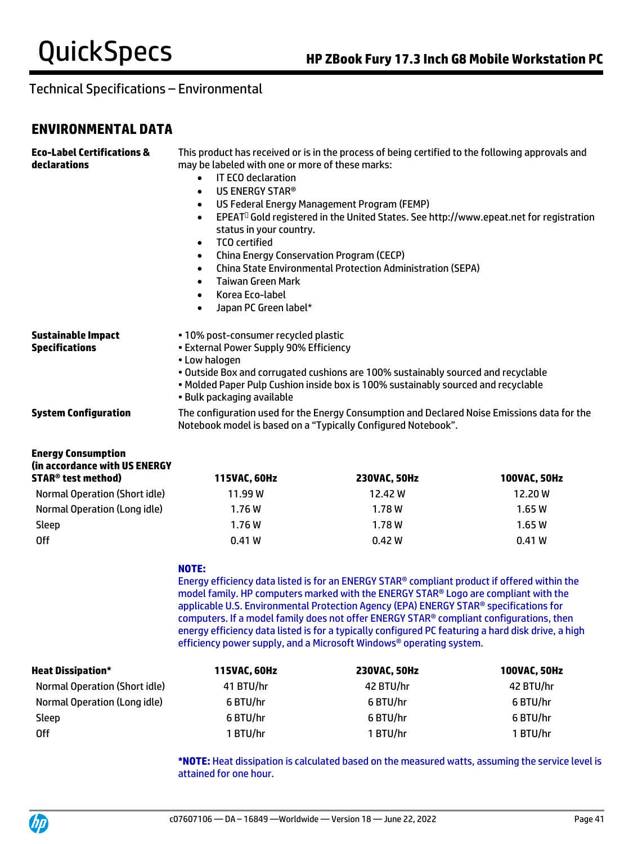## **ENVIRONMENTAL DATA**

| <b>Eco-Label Certifications &amp;</b><br>declarations                                              | This product has received or is in the process of being certified to the following approvals and<br>may be labeled with one or more of these marks:<br><b>IT ECO declaration</b><br>$\bullet$<br>US ENERGY STAR®<br>$\bullet$<br>US Federal Energy Management Program (FEMP)<br>$\bullet$<br>EPEAT <sup>D</sup> Gold registered in the United States. See http://www.epeat.net for registration<br>$\bullet$<br>status in your country.<br><b>TCO</b> certified<br>$\bullet$<br><b>China Energy Conservation Program (CECP)</b><br>$\bullet$<br><b>China State Environmental Protection Administration (SEPA)</b><br>$\bullet$<br><b>Taiwan Green Mark</b><br>$\bullet$<br>Korea Eco-label<br>$\bullet$<br>Japan PC Green label*<br>$\bullet$ |                                                                                                                                                                                                                                                                                                                                                                                                                                                                                                                                                      |              |
|----------------------------------------------------------------------------------------------------|-----------------------------------------------------------------------------------------------------------------------------------------------------------------------------------------------------------------------------------------------------------------------------------------------------------------------------------------------------------------------------------------------------------------------------------------------------------------------------------------------------------------------------------------------------------------------------------------------------------------------------------------------------------------------------------------------------------------------------------------------|------------------------------------------------------------------------------------------------------------------------------------------------------------------------------------------------------------------------------------------------------------------------------------------------------------------------------------------------------------------------------------------------------------------------------------------------------------------------------------------------------------------------------------------------------|--------------|
| <b>Sustainable Impact</b><br><b>Specifications</b>                                                 | • 10% post-consumer recycled plastic<br>• External Power Supply 90% Efficiency<br>• Low halogen<br>. Outside Box and corrugated cushions are 100% sustainably sourced and recyclable<br>. Molded Paper Pulp Cushion inside box is 100% sustainably sourced and recyclable<br>• Bulk packaging available                                                                                                                                                                                                                                                                                                                                                                                                                                       |                                                                                                                                                                                                                                                                                                                                                                                                                                                                                                                                                      |              |
| <b>System Configuration</b>                                                                        |                                                                                                                                                                                                                                                                                                                                                                                                                                                                                                                                                                                                                                                                                                                                               | The configuration used for the Energy Consumption and Declared Noise Emissions data for the<br>Notebook model is based on a "Typically Configured Notebook".                                                                                                                                                                                                                                                                                                                                                                                         |              |
| <b>Energy Consumption</b><br>(in accordance with US ENERGY<br><b>STAR<sup>®</sup> test method)</b> | 115VAC, 60Hz                                                                                                                                                                                                                                                                                                                                                                                                                                                                                                                                                                                                                                                                                                                                  | 230VAC, 50Hz                                                                                                                                                                                                                                                                                                                                                                                                                                                                                                                                         | 100VAC, 50Hz |
| <b>Normal Operation (Short idle)</b>                                                               | 11.99 W                                                                                                                                                                                                                                                                                                                                                                                                                                                                                                                                                                                                                                                                                                                                       | 12.42 W                                                                                                                                                                                                                                                                                                                                                                                                                                                                                                                                              | 12.20 W      |
| Normal Operation (Long idle)                                                                       | 1.76W                                                                                                                                                                                                                                                                                                                                                                                                                                                                                                                                                                                                                                                                                                                                         | 1.78 W                                                                                                                                                                                                                                                                                                                                                                                                                                                                                                                                               | 1.65W        |
| Sleep                                                                                              | 1.76W                                                                                                                                                                                                                                                                                                                                                                                                                                                                                                                                                                                                                                                                                                                                         | 1.78W                                                                                                                                                                                                                                                                                                                                                                                                                                                                                                                                                | 1.65W        |
| <b>Off</b><br>0.41W                                                                                |                                                                                                                                                                                                                                                                                                                                                                                                                                                                                                                                                                                                                                                                                                                                               | 0.42W<br>0.41W                                                                                                                                                                                                                                                                                                                                                                                                                                                                                                                                       |              |
|                                                                                                    | <b>NOTE:</b>                                                                                                                                                                                                                                                                                                                                                                                                                                                                                                                                                                                                                                                                                                                                  | Energy efficiency data listed is for an ENERGY STAR® compliant product if offered within the<br>model family. HP computers marked with the ENERGY STAR® Logo are compliant with the<br>applicable U.S. Environmental Protection Agency (EPA) ENERGY STAR® specifications for<br>computers. If a model family does not offer ENERGY STAR® compliant configurations, then<br>energy efficiency data listed is for a typically configured PC featuring a hard disk drive, a high<br>efficiency power supply, and a Microsoft Windows® operating system. |              |
| <b>Heat Dissipation*</b>                                                                           | 115VAC, 60Hz                                                                                                                                                                                                                                                                                                                                                                                                                                                                                                                                                                                                                                                                                                                                  | 230VAC, 50Hz                                                                                                                                                                                                                                                                                                                                                                                                                                                                                                                                         | 100VAC, 50Hz |
| <b>Normal Operation (Short idle)</b>                                                               | 41 BTU/hr                                                                                                                                                                                                                                                                                                                                                                                                                                                                                                                                                                                                                                                                                                                                     | 42 BTU/hr                                                                                                                                                                                                                                                                                                                                                                                                                                                                                                                                            | 42 BTU/hr    |
| Normal Operation (Long idle)                                                                       | 6 BTU/hr                                                                                                                                                                                                                                                                                                                                                                                                                                                                                                                                                                                                                                                                                                                                      | 6 BTU/hr                                                                                                                                                                                                                                                                                                                                                                                                                                                                                                                                             | 6 BTU/hr     |
| Sleep                                                                                              | 6 BTU/hr                                                                                                                                                                                                                                                                                                                                                                                                                                                                                                                                                                                                                                                                                                                                      | 6 BTU/hr                                                                                                                                                                                                                                                                                                                                                                                                                                                                                                                                             | 6 BTU/hr     |
| <b>Off</b>                                                                                         | 1 BTU/hr<br>1 BTU/hr<br>1 BTU/hr                                                                                                                                                                                                                                                                                                                                                                                                                                                                                                                                                                                                                                                                                                              |                                                                                                                                                                                                                                                                                                                                                                                                                                                                                                                                                      |              |

**\*NOTE:** Heat dissipation is calculated based on the measured watts, assuming the service level is attained for one hour.

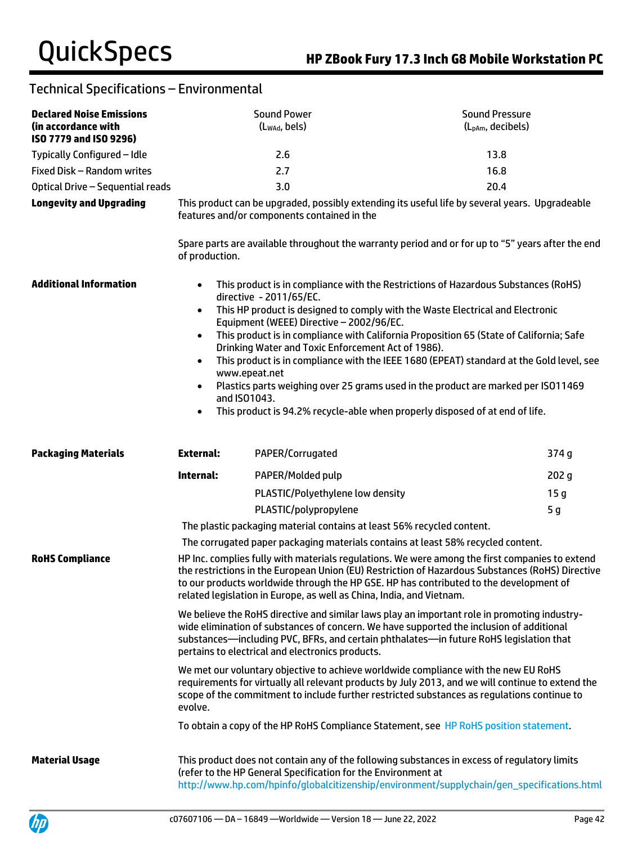| <b>Declared Noise Emissions</b><br>(in accordance with<br>ISO 7779 and ISO 9296) |                                                                                                                                                                                                                                                                                                                                                                               | <b>Sound Power</b><br>(Lwad, bels)                            | <b>Sound Pressure</b><br>(L <sub>pAm</sub> , decibels)                                                                                                                                     |
|----------------------------------------------------------------------------------|-------------------------------------------------------------------------------------------------------------------------------------------------------------------------------------------------------------------------------------------------------------------------------------------------------------------------------------------------------------------------------|---------------------------------------------------------------|--------------------------------------------------------------------------------------------------------------------------------------------------------------------------------------------|
| Typically Configured - Idle                                                      |                                                                                                                                                                                                                                                                                                                                                                               | 2.6                                                           | 13.8                                                                                                                                                                                       |
| Fixed Disk - Random writes                                                       |                                                                                                                                                                                                                                                                                                                                                                               | 2.7                                                           | 16.8                                                                                                                                                                                       |
| Optical Drive - Sequential reads                                                 |                                                                                                                                                                                                                                                                                                                                                                               | 3.0                                                           | 20.4                                                                                                                                                                                       |
| <b>Longevity and Upgrading</b>                                                   | This product can be upgraded, possibly extending its useful life by several years. Upgradeable<br>features and/or components contained in the                                                                                                                                                                                                                                 |                                                               |                                                                                                                                                                                            |
|                                                                                  | of production.                                                                                                                                                                                                                                                                                                                                                                |                                                               | Spare parts are available throughout the warranty period and or for up to "5" years after the end                                                                                          |
| <b>Additional Information</b>                                                    | This product is in compliance with the Restrictions of Hazardous Substances (RoHS)<br>$\bullet$<br>directive - 2011/65/EC.<br>This HP product is designed to comply with the Waste Electrical and Electronic<br>$\bullet$<br>Equipment (WEEE) Directive - 2002/96/EC.<br>This product is in compliance with California Proposition 65 (State of California; Safe<br>$\bullet$ |                                                               |                                                                                                                                                                                            |
|                                                                                  | $\bullet$<br>www.epeat.net                                                                                                                                                                                                                                                                                                                                                    | Drinking Water and Toxic Enforcement Act of 1986).            | This product is in compliance with the IEEE 1680 (EPEAT) standard at the Gold level, see                                                                                                   |
|                                                                                  | and ISO1043.                                                                                                                                                                                                                                                                                                                                                                  |                                                               | Plastics parts weighing over 25 grams used in the product are marked per ISO11469                                                                                                          |
|                                                                                  | $\bullet$                                                                                                                                                                                                                                                                                                                                                                     |                                                               | This product is 94.2% recycle-able when properly disposed of at end of life.                                                                                                               |
| <b>Packaging Materials</b>                                                       | <b>External:</b>                                                                                                                                                                                                                                                                                                                                                              | PAPER/Corrugated                                              | 374 g                                                                                                                                                                                      |
|                                                                                  | Internal:                                                                                                                                                                                                                                                                                                                                                                     | PAPER/Molded pulp                                             | 202 g                                                                                                                                                                                      |
|                                                                                  |                                                                                                                                                                                                                                                                                                                                                                               | PLASTIC/Polyethylene low density                              | 15 <sub>g</sub>                                                                                                                                                                            |
|                                                                                  |                                                                                                                                                                                                                                                                                                                                                                               | PLASTIC/polypropylene                                         | 5 <sub>g</sub>                                                                                                                                                                             |
|                                                                                  |                                                                                                                                                                                                                                                                                                                                                                               |                                                               | The plastic packaging material contains at least 56% recycled content.                                                                                                                     |
|                                                                                  |                                                                                                                                                                                                                                                                                                                                                                               |                                                               | The corrugated paper packaging materials contains at least 58% recycled content.                                                                                                           |
| <b>RoHS Compliance</b>                                                           | HP Inc. complies fully with materials regulations. We were among the first companies to extend<br>the restrictions in the European Union (EU) Restriction of Hazardous Substances (RoHS) Directive<br>to our products worldwide through the HP GSE. HP has contributed to the development of<br>related legislation in Europe, as well as China, India, and Vietnam.          |                                                               |                                                                                                                                                                                            |
|                                                                                  | We believe the RoHS directive and similar laws play an important role in promoting industry-<br>wide elimination of substances of concern. We have supported the inclusion of additional<br>substances-including PVC, BFRs, and certain phthalates-in future RoHS legislation that<br>pertains to electrical and electronics products.                                        |                                                               |                                                                                                                                                                                            |
|                                                                                  | We met our voluntary objective to achieve worldwide compliance with the new EU RoHS<br>requirements for virtually all relevant products by July 2013, and we will continue to extend the<br>scope of the commitment to include further restricted substances as regulations continue to<br>evolve.                                                                            |                                                               |                                                                                                                                                                                            |
|                                                                                  |                                                                                                                                                                                                                                                                                                                                                                               |                                                               | To obtain a copy of the HP RoHS Compliance Statement, see HP RoHS position statement.                                                                                                      |
| <b>Material Usage</b>                                                            |                                                                                                                                                                                                                                                                                                                                                                               | (refer to the HP General Specification for the Environment at | This product does not contain any of the following substances in excess of regulatory limits<br>http://www.hp.com/hpinfo/globalcitizenship/environment/supplychain/gen_specifications.html |

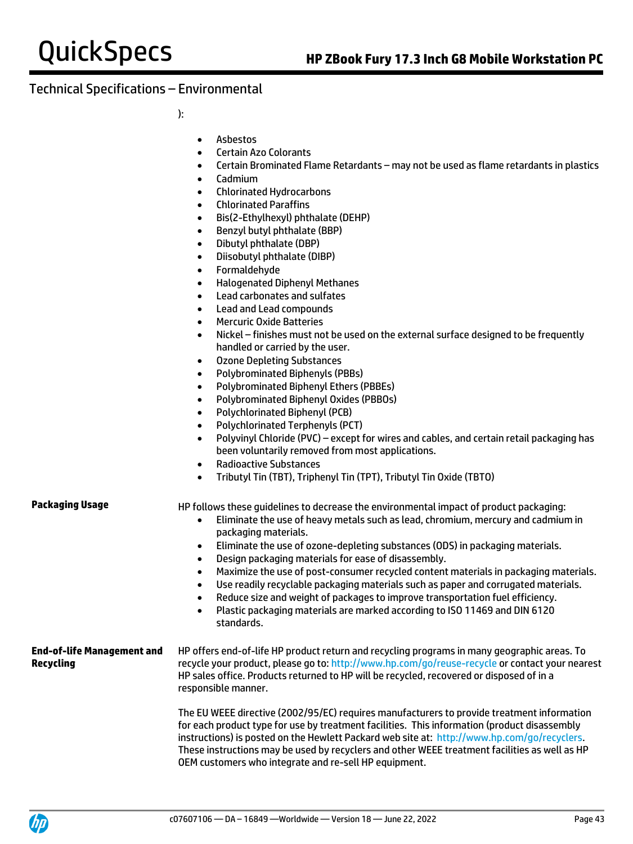):

- Asbestos
- Certain Azo Colorants
- Certain Brominated Flame Retardants may not be used as flame retardants in plastics
- Cadmium
- Chlorinated Hydrocarbons
- Chlorinated Paraffins
- Bis(2-Ethylhexyl) phthalate (DEHP)
- Benzyl butyl phthalate (BBP)
- Dibutyl phthalate (DBP)
- Diisobutyl phthalate (DIBP)
- Formaldehyde
- Halogenated Diphenyl Methanes
- Lead carbonates and sulfates
- Lead and Lead compounds
- Mercuric Oxide Batteries
- Nickel finishes must not be used on the external surface designed to be frequently handled or carried by the user.
- Ozone Depleting Substances
- Polybrominated Biphenyls (PBBs)
- Polybrominated Biphenyl Ethers (PBBEs)
- Polybrominated Biphenyl Oxides (PBBOs)
- Polychlorinated Biphenyl (PCB)
- Polychlorinated Terphenyls (PCT)
- Polyvinyl Chloride (PVC) except for wires and cables, and certain retail packaging has been voluntarily removed from most applications.
- Radioactive Substances
- Tributyl Tin (TBT), Triphenyl Tin (TPT), Tributyl Tin Oxide (TBTO)

**Packaging Usage HP follows these quidelines to decrease the environmental impact of product packaging:** 

- Eliminate the use of heavy metals such as lead, chromium, mercury and cadmium in packaging materials.
- Eliminate the use of ozone-depleting substances (ODS) in packaging materials.
- Design packaging materials for ease of disassembly.
- Maximize the use of post-consumer recycled content materials in packaging materials.
- Use readily recyclable packaging materials such as paper and corrugated materials.
- Reduce size and weight of packages to improve transportation fuel efficiency.
- Plastic packaging materials are marked according to ISO 11469 and DIN 6120 standards.

#### **End-of-life Management and Recycling** HP offers end-of-life HP product return and recycling programs in many geographic areas. To recycle your product, please go to:<http://www.hp.com/go/reuse-recycle> or contact your nearest HP sales office. Products returned to HP will be recycled, recovered or disposed of in a responsible manner.

The EU WEEE directive (2002/95/EC) requires manufacturers to provide treatment information for each product type for use by treatment facilities. This information (product disassembly instructions) is posted on the Hewlett Packard web site at: [http://www.hp.com/go/recyclers.](http://www.hp.com/go/recyclers)  These instructions may be used by recyclers and other WEEE treatment facilities as well as HP OEM customers who integrate and re-sell HP equipment.

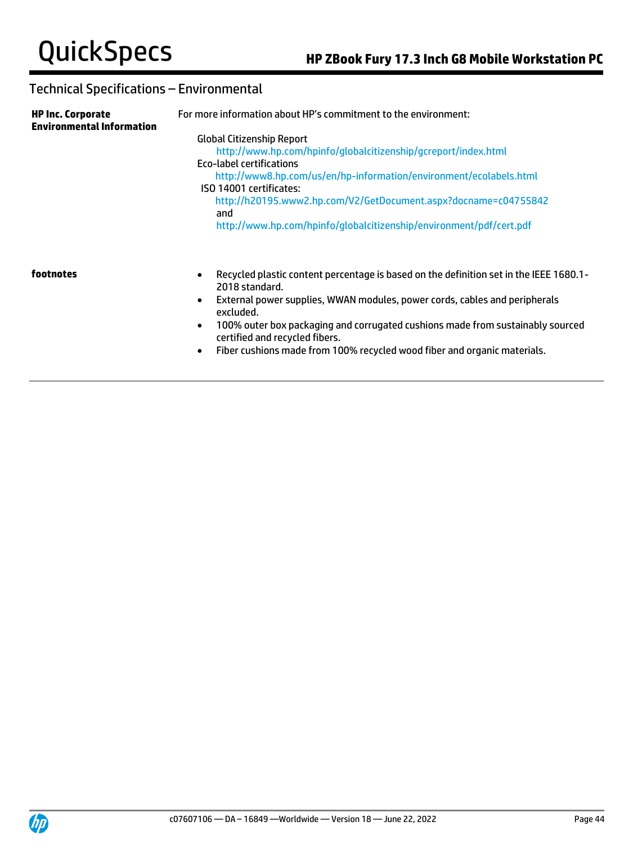| <b>HP Inc. Corporate</b><br><b>Environmental Information</b> | For more information about HP's commitment to the environment:                                                                                                                                                                                                                                                                                                                   |  |  |  |
|--------------------------------------------------------------|----------------------------------------------------------------------------------------------------------------------------------------------------------------------------------------------------------------------------------------------------------------------------------------------------------------------------------------------------------------------------------|--|--|--|
|                                                              | <b>Global Citizenship Report</b><br>http://www.hp.com/hpinfo/qlobalcitizenship/qcreport/index.html<br>Eco-label certifications<br>http://www8.hp.com/us/en/hp-information/environment/ecolabels.html<br>ISO 14001 certificates:<br>http://h20195.www2.hp.com/V2/GetDocument.aspx?docname=c04755842<br>and<br>http://www.hp.com/hpinfo/globalcitizenship/environment/pdf/cert.pdf |  |  |  |
| footnotes                                                    | Recycled plastic content percentage is based on the definition set in the IEEE 1680.1-<br>$\bullet$<br>2018 standard.<br>External power supplies, WWAN modules, power cords, cables and peripherals<br>$\bullet$<br>excluded.<br>100% outer box packaging and corrugated cushions made from sustainably sourced<br>$\bullet$<br>certified and recycled fibers.                   |  |  |  |

• Fiber cushions made from 100% recycled wood fiber and organic materials.

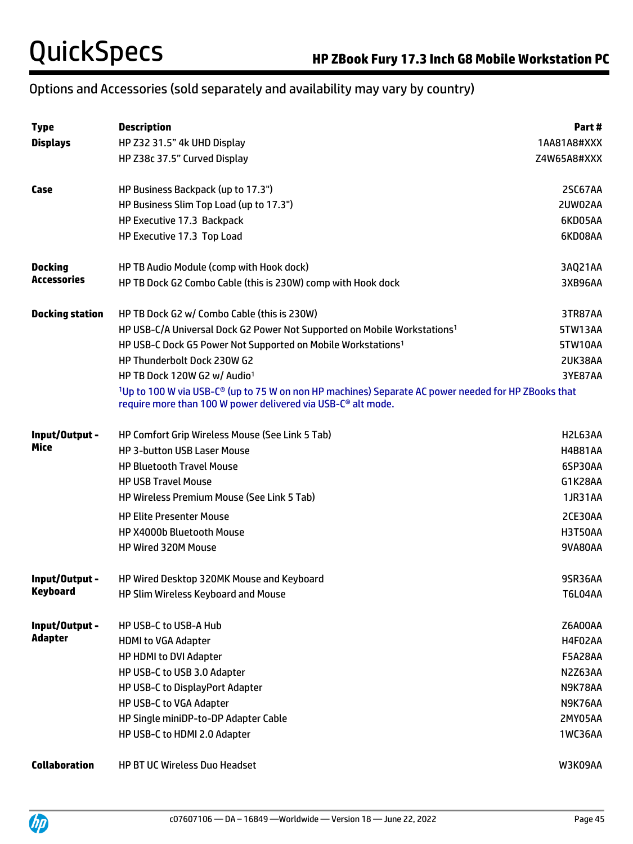# Options and Accessories (sold separately and availability may vary by country)

| <b>Type</b>            | <b>Description</b>                                                                                                                                                                          | Part#          |
|------------------------|---------------------------------------------------------------------------------------------------------------------------------------------------------------------------------------------|----------------|
| <b>Displays</b>        | HP Z32 31.5" 4k UHD Display                                                                                                                                                                 | 1AA81A8#XXX    |
|                        | HP Z38c 37.5" Curved Display                                                                                                                                                                | Z4W65A8#XXX    |
| Case                   | HP Business Backpack (up to 17.3")                                                                                                                                                          | 2SC67AA        |
|                        | HP Business Slim Top Load (up to 17.3")                                                                                                                                                     | 2UW02AA        |
|                        | HP Executive 17.3 Backpack                                                                                                                                                                  | 6KD05AA        |
|                        | HP Executive 17.3 Top Load                                                                                                                                                                  | 6KD08AA        |
| <b>Docking</b>         | HP TB Audio Module (comp with Hook dock)                                                                                                                                                    | 3AQ21AA        |
| <b>Accessories</b>     | HP TB Dock G2 Combo Cable (this is 230W) comp with Hook dock                                                                                                                                | 3XB96AA        |
| <b>Docking station</b> | HP TB Dock G2 w/ Combo Cable (this is 230W)                                                                                                                                                 | 3TR87AA        |
|                        | HP USB-C/A Universal Dock G2 Power Not Supported on Mobile Workstations <sup>1</sup>                                                                                                        | 5TW13AA        |
|                        | HP USB-C Dock G5 Power Not Supported on Mobile Workstations <sup>1</sup>                                                                                                                    | 5TW10AA        |
|                        | HP Thunderbolt Dock 230W G2                                                                                                                                                                 | 2UK38AA        |
|                        | HP TB Dock 120W G2 w/ Audio <sup>1</sup>                                                                                                                                                    | 3YE87AA        |
|                        | <sup>1</sup> Up to 100 W via USB-C® (up to 75 W on non HP machines) Separate AC power needed for HP ZBooks that<br>require more than 100 W power delivered via USB-C <sup>®</sup> alt mode. |                |
| Input/Output -         | HP Comfort Grip Wireless Mouse (See Link 5 Tab)                                                                                                                                             | H2L63AA        |
| Mice                   | <b>HP 3-button USB Laser Mouse</b>                                                                                                                                                          | <b>H4B81AA</b> |
|                        | <b>HP Bluetooth Travel Mouse</b>                                                                                                                                                            | 6SP30AA        |
|                        | <b>HP USB Travel Mouse</b>                                                                                                                                                                  | G1K28AA        |
|                        | HP Wireless Premium Mouse (See Link 5 Tab)                                                                                                                                                  | <b>1JR31AA</b> |
|                        | <b>HP Elite Presenter Mouse</b>                                                                                                                                                             | 2CE30AA        |
|                        | <b>HP X4000b Bluetooth Mouse</b>                                                                                                                                                            | H3T50AA        |
|                        | HP Wired 320M Mouse                                                                                                                                                                         | 9VA80AA        |
| Input/Output -         | HP Wired Desktop 320MK Mouse and Keyboard                                                                                                                                                   | 9SR36AA        |
| Keyboard               | HP Slim Wireless Keyboard and Mouse                                                                                                                                                         | T6L04AA        |
| Input/Output -         | HP USB-C to USB-A Hub                                                                                                                                                                       | Z6A00AA        |
| <b>Adapter</b>         | <b>HDMI to VGA Adapter</b>                                                                                                                                                                  | H4F02AA        |
|                        | HP HDMI to DVI Adapter                                                                                                                                                                      | <b>F5A28AA</b> |
|                        | HP USB-C to USB 3.0 Adapter                                                                                                                                                                 | N2Z63AA        |
|                        | HP USB-C to DisplayPort Adapter                                                                                                                                                             | N9K78AA        |
|                        | HP USB-C to VGA Adapter                                                                                                                                                                     | N9K76AA        |
|                        | HP Single miniDP-to-DP Adapter Cable                                                                                                                                                        | 2MY05AA        |
|                        | HP USB-C to HDMI 2.0 Adapter                                                                                                                                                                | 1WC36AA        |
| <b>Collaboration</b>   | HP BT UC Wireless Duo Headset                                                                                                                                                               | W3K09AA        |

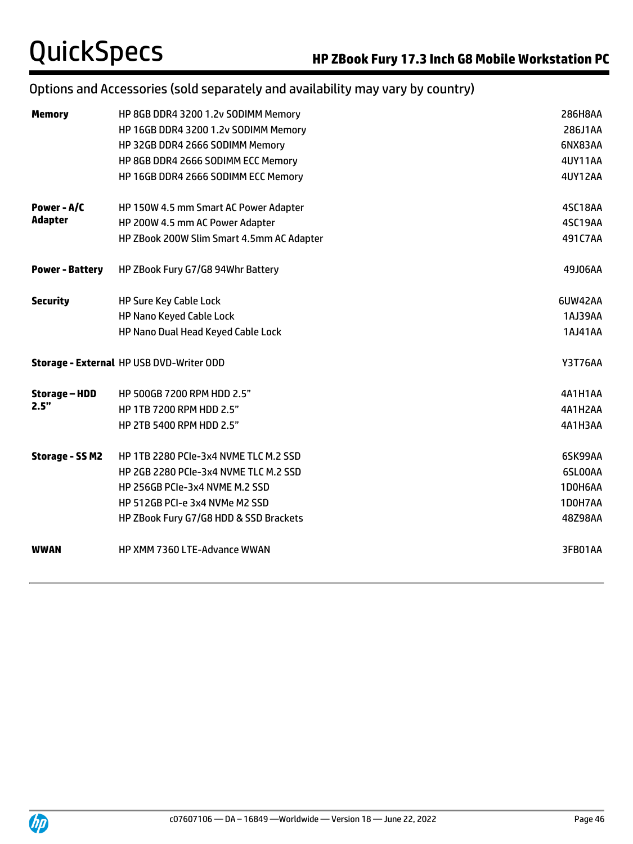# Options and Accessories (sold separately and availability may vary by country)

| <b>Memory</b>          | HP 8GB DDR4 3200 1.2v SODIMM Memory             | 286H8AA        |
|------------------------|-------------------------------------------------|----------------|
|                        | HP 16GB DDR4 3200 1.2v SODIMM Memory            | 286J1AA        |
|                        | HP 32GB DDR4 2666 SODIMM Memory                 | 6NX83AA        |
|                        | HP 8GB DDR4 2666 SODIMM ECC Memory              | 4UY11AA        |
|                        | HP 16GB DDR4 2666 SODIMM ECC Memory             | <b>4UY12AA</b> |
| Power - A/C            | HP 150W 4.5 mm Smart AC Power Adapter           | 4SC18AA        |
| <b>Adapter</b>         | HP 200W 4.5 mm AC Power Adapter                 | 4SC19AA        |
|                        | HP ZBook 200W Slim Smart 4.5mm AC Adapter       | 491C7AA        |
| <b>Power - Battery</b> | HP ZBook Fury G7/G8 94Whr Battery               | 49J06AA        |
| <b>Security</b>        | <b>HP Sure Key Cable Lock</b>                   | 6UW42AA        |
|                        | <b>HP Nano Keyed Cable Lock</b>                 | 1AJ39AA        |
|                        | HP Nano Dual Head Keyed Cable Lock              | 1AJ41AA        |
|                        | <b>Storage - External HP USB DVD-Writer ODD</b> | <b>Y3T76AA</b> |
| <b>Storage - HDD</b>   | HP 500GB 7200 RPM HDD 2.5"                      | 4A1H1AA        |
| 2.5"                   | HP 1TB 7200 RPM HDD 2.5"                        | 4A1H2AA        |
|                        | <b>HP 2TB 5400 RPM HDD 2.5"</b>                 | 4A1H3AA        |
| <b>Storage - SS M2</b> | HP 1TB 2280 PCIe-3x4 NVME TLC M.2 SSD           | 6SK99AA        |
|                        | HP 2GB 2280 PCIe-3x4 NVME TLC M.2 SSD           | 6SL00AA        |
|                        | HP 256GB PCIe-3x4 NVME M.2 SSD                  | 1D0H6AA        |
|                        | HP 512GB PCI-e 3x4 NVMe M2 SSD                  | 1D0H7AA        |
|                        | HP ZBook Fury G7/G8 HDD & SSD Brackets          | 48Z98AA        |
| <b>WWAN</b>            | HP XMM 7360 LTE-Advance WWAN                    | 3FB01AA        |